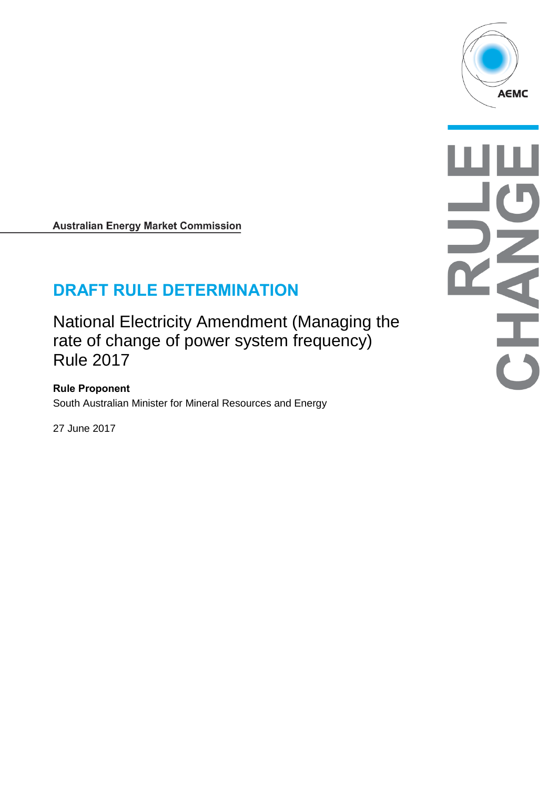

**Australian Energy Market Commission** 

# **DRAFT RULE DETERMINATION**

National Electricity Amendment (Managing the rate of change of power system frequency) Rule 2017

**Rule Proponent** South Australian Minister for Mineral Resources and Energy

27 June 2017

OHAHO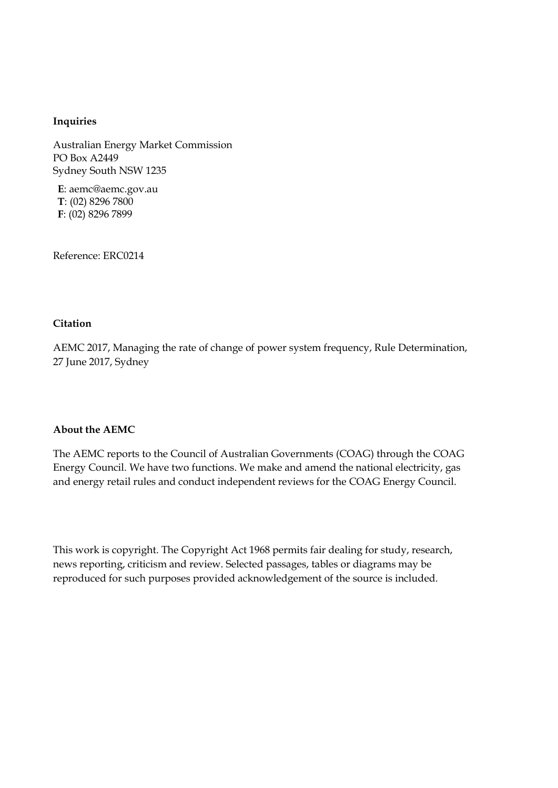#### **Inquiries**

Australian Energy Market Commission PO Box A2449 Sydney South NSW 1235

**E**: aemc@aemc.gov.au **T**: (02) 8296 7800 **F**: (02) 8296 7899

Reference: ERC0214

#### **Citation**

AEMC 2017, Managing the rate of change of power system frequency, Rule Determination, 27 June 2017, Sydney

#### **About the AEMC**

The AEMC reports to the Council of Australian Governments (COAG) through the COAG Energy Council. We have two functions. We make and amend the national electricity, gas and energy retail rules and conduct independent reviews for the COAG Energy Council.

This work is copyright. The Copyright Act 1968 permits fair dealing for study, research, news reporting, criticism and review. Selected passages, tables or diagrams may be reproduced for such purposes provided acknowledgement of the source is included.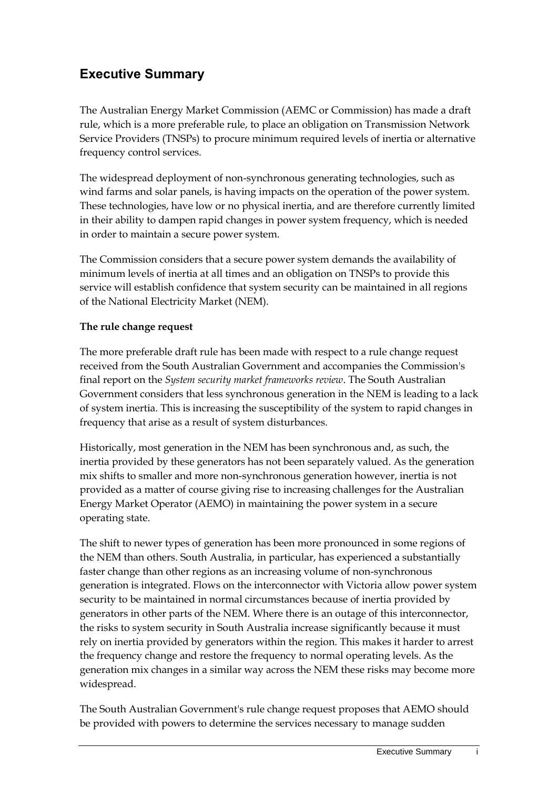# **Executive Summary**

The Australian Energy Market Commission (AEMC or Commission) has made a draft rule, which is a more preferable rule, to place an obligation on Transmission Network Service Providers (TNSPs) to procure minimum required levels of inertia or alternative frequency control services.

The widespread deployment of non-synchronous generating technologies, such as wind farms and solar panels, is having impacts on the operation of the power system. These technologies, have low or no physical inertia, and are therefore currently limited in their ability to dampen rapid changes in power system frequency, which is needed in order to maintain a secure power system.

The Commission considers that a secure power system demands the availability of minimum levels of inertia at all times and an obligation on TNSPs to provide this service will establish confidence that system security can be maintained in all regions of the National Electricity Market (NEM).

### **The rule change request**

The more preferable draft rule has been made with respect to a rule change request received from the South Australian Government and accompanies the Commission's final report on the *System security market frameworks review*. The South Australian Government considers that less synchronous generation in the NEM is leading to a lack of system inertia. This is increasing the susceptibility of the system to rapid changes in frequency that arise as a result of system disturbances.

Historically, most generation in the NEM has been synchronous and, as such, the inertia provided by these generators has not been separately valued. As the generation mix shifts to smaller and more non-synchronous generation however, inertia is not provided as a matter of course giving rise to increasing challenges for the Australian Energy Market Operator (AEMO) in maintaining the power system in a secure operating state.

The shift to newer types of generation has been more pronounced in some regions of the NEM than others. South Australia, in particular, has experienced a substantially faster change than other regions as an increasing volume of non-synchronous generation is integrated. Flows on the interconnector with Victoria allow power system security to be maintained in normal circumstances because of inertia provided by generators in other parts of the NEM. Where there is an outage of this interconnector, the risks to system security in South Australia increase significantly because it must rely on inertia provided by generators within the region. This makes it harder to arrest the frequency change and restore the frequency to normal operating levels. As the generation mix changes in a similar way across the NEM these risks may become more widespread.

The South Australian Government's rule change request proposes that AEMO should be provided with powers to determine the services necessary to manage sudden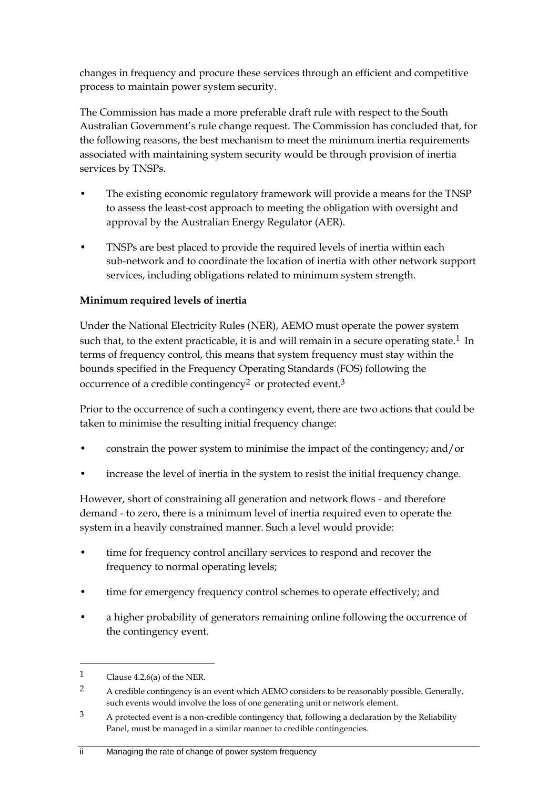changes in frequency and procure these services through an efficient and competitive process to maintain power system security.

The Commission has made a more preferable draft rule with respect to the South Australian Government's rule change request. The Commission has concluded that, for the following reasons, the best mechanism to meet the minimum inertia requirements associated with maintaining system security would be through provision of inertia services by TNSPs.

- The existing economic regulatory framework will provide a means for the TNSP to assess the least-cost approach to meeting the obligation with oversight and approval by the Australian Energy Regulator (AER).
- TNSPs are best placed to provide the required levels of inertia within each sub-network and to coordinate the location of inertia with other network support services, including obligations related to minimum system strength.

### **Minimum required levels of inertia**

Under the National Electricity Rules (NER), AEMO must operate the power system such that, to the extent practicable, it is and will remain in a secure operating state.<sup>1</sup> In terms of frequency control, this means that system frequency must stay within the bounds specified in the Frequency Operating Standards (FOS) following the occurrence of a credible contingency<sup>2</sup> or protected event.<sup>3</sup>

Prior to the occurrence of such a contingency event, there are two actions that could be taken to minimise the resulting initial frequency change:

- constrain the power system to minimise the impact of the contingency; and/or
- increase the level of inertia in the system to resist the initial frequency change.

However, short of constraining all generation and network flows - and therefore demand - to zero, there is a minimum level of inertia required even to operate the system in a heavily constrained manner. Such a level would provide:

- time for frequency control ancillary services to respond and recover the frequency to normal operating levels;
- time for emergency frequency control schemes to operate effectively; and
- a higher probability of generators remaining online following the occurrence of the contingency event.

<sup>1</sup> Clause 4.2.6(a) of the NER.

<sup>&</sup>lt;sup>2</sup> A credible contingency is an event which AEMO considers to be reasonably possible. Generally, such events would involve the loss of one generating unit or network element.

 $3$  A protected event is a non-credible contingency that, following a declaration by the Reliability Panel, must be managed in a similar manner to credible contingencies.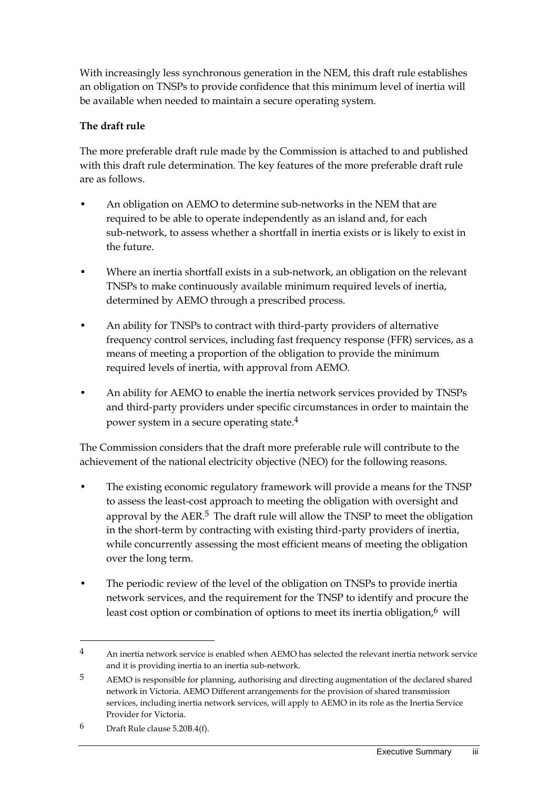With increasingly less synchronous generation in the NEM, this draft rule establishes an obligation on TNSPs to provide confidence that this minimum level of inertia will be available when needed to maintain a secure operating system.

### **The draft rule**

The more preferable draft rule made by the Commission is attached to and published with this draft rule determination. The key features of the more preferable draft rule are as follows.

- An obligation on AEMO to determine sub-networks in the NEM that are required to be able to operate independently as an island and, for each sub-network, to assess whether a shortfall in inertia exists or is likely to exist in the future.
- Where an inertia shortfall exists in a sub-network, an obligation on the relevant TNSPs to make continuously available minimum required levels of inertia, determined by AEMO through a prescribed process.
- An ability for TNSPs to contract with third-party providers of alternative frequency control services, including fast frequency response (FFR) services, as a means of meeting a proportion of the obligation to provide the minimum required levels of inertia, with approval from AEMO.
- An ability for AEMO to enable the inertia network services provided by TNSPs and third-party providers under specific circumstances in order to maintain the power system in a secure operating state.4

The Commission considers that the draft more preferable rule will contribute to the achievement of the national electricity objective (NEO) for the following reasons.

- The existing economic regulatory framework will provide a means for the TNSP to assess the least-cost approach to meeting the obligation with oversight and approval by the  $AER<sup>5</sup>$ . The draft rule will allow the TNSP to meet the obligation in the short-term by contracting with existing third-party providers of inertia, while concurrently assessing the most efficient means of meeting the obligation over the long term.
- The periodic review of the level of the obligation on TNSPs to provide inertia network services, and the requirement for the TNSP to identify and procure the least cost option or combination of options to meet its inertia obligation, $6$  will

<sup>4</sup> An inertia network service is enabled when AEMO has selected the relevant inertia network service and it is providing inertia to an inertia sub-network.

<sup>5</sup> AEMO is responsible for planning, authorising and directing augmentation of the declared shared network in Victoria. AEMO Different arrangements for the provision of shared transmission services, including inertia network services, will apply to AEMO in its role as the Inertia Service Provider for Victoria.

<sup>6</sup> Draft Rule clause 5.20B.4(f).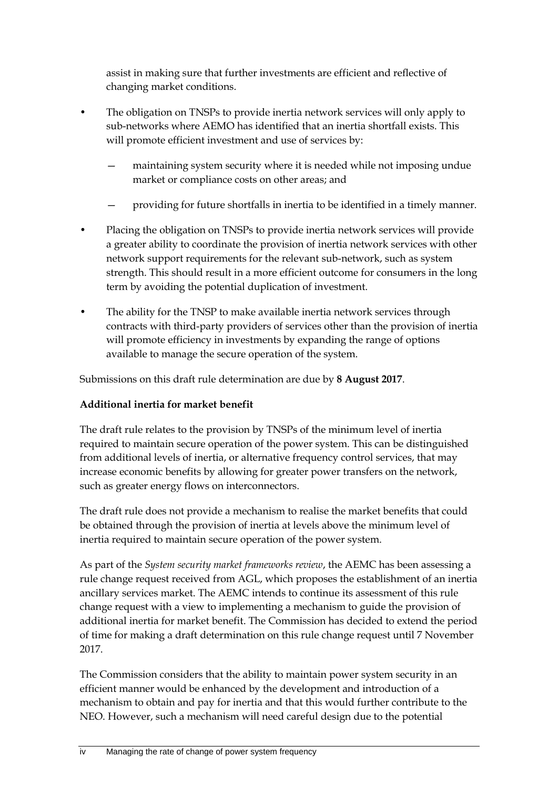assist in making sure that further investments are efficient and reflective of changing market conditions.

- The obligation on TNSPs to provide inertia network services will only apply to sub-networks where AEMO has identified that an inertia shortfall exists. This will promote efficient investment and use of services by:
	- maintaining system security where it is needed while not imposing undue market or compliance costs on other areas; and
	- providing for future shortfalls in inertia to be identified in a timely manner.
- Placing the obligation on TNSPs to provide inertia network services will provide a greater ability to coordinate the provision of inertia network services with other network support requirements for the relevant sub-network, such as system strength. This should result in a more efficient outcome for consumers in the long term by avoiding the potential duplication of investment.
- The ability for the TNSP to make available inertia network services through contracts with third-party providers of services other than the provision of inertia will promote efficiency in investments by expanding the range of options available to manage the secure operation of the system.

Submissions on this draft rule determination are due by **8 August 2017**.

### **Additional inertia for market benefit**

The draft rule relates to the provision by TNSPs of the minimum level of inertia required to maintain secure operation of the power system. This can be distinguished from additional levels of inertia, or alternative frequency control services, that may increase economic benefits by allowing for greater power transfers on the network, such as greater energy flows on interconnectors.

The draft rule does not provide a mechanism to realise the market benefits that could be obtained through the provision of inertia at levels above the minimum level of inertia required to maintain secure operation of the power system.

As part of the *System security market frameworks review*, the AEMC has been assessing a rule change request received from AGL, which proposes the establishment of an inertia ancillary services market. The AEMC intends to continue its assessment of this rule change request with a view to implementing a mechanism to guide the provision of additional inertia for market benefit. The Commission has decided to extend the period of time for making a draft determination on this rule change request until 7 November 2017.

The Commission considers that the ability to maintain power system security in an efficient manner would be enhanced by the development and introduction of a mechanism to obtain and pay for inertia and that this would further contribute to the NEO. However, such a mechanism will need careful design due to the potential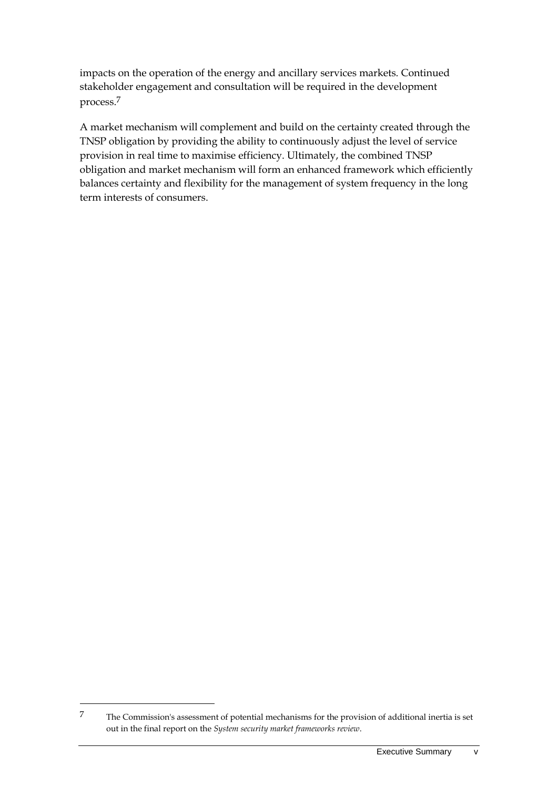impacts on the operation of the energy and ancillary services markets. Continued stakeholder engagement and consultation will be required in the development process.7

A market mechanism will complement and build on the certainty created through the TNSP obligation by providing the ability to continuously adjust the level of service provision in real time to maximise efficiency. Ultimately, the combined TNSP obligation and market mechanism will form an enhanced framework which efficiently balances certainty and flexibility for the management of system frequency in the long term interests of consumers.

<sup>7</sup> The Commission's assessment of potential mechanisms for the provision of additional inertia is set out in the final report on the *System security market frameworks review*.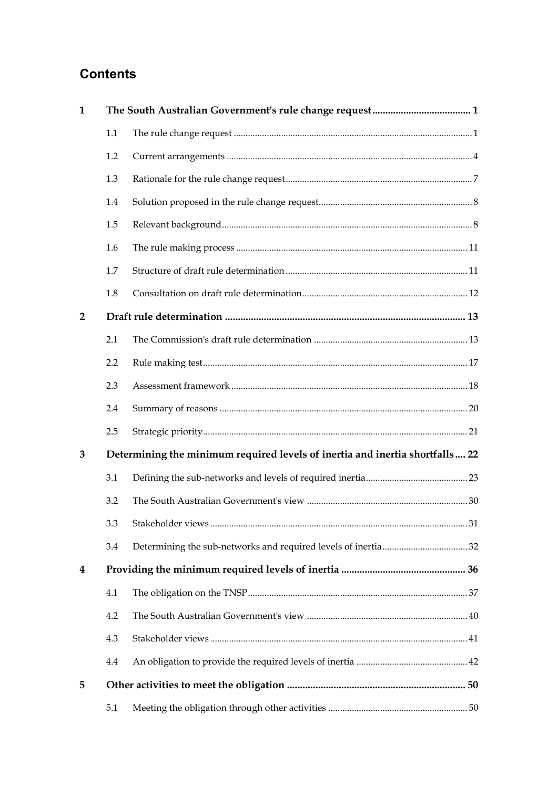# **Contents**

| $\mathbf{1}$   |                  |                                                                              |  |  |
|----------------|------------------|------------------------------------------------------------------------------|--|--|
|                | 1.1              |                                                                              |  |  |
|                | 1.2              |                                                                              |  |  |
|                | 1.3              |                                                                              |  |  |
|                | 1.4              |                                                                              |  |  |
|                | 1.5              |                                                                              |  |  |
|                | 1.6              |                                                                              |  |  |
|                | 1.7              |                                                                              |  |  |
|                | 1.8              |                                                                              |  |  |
| $\overline{2}$ |                  |                                                                              |  |  |
|                | 2.1              |                                                                              |  |  |
|                | 2.2              |                                                                              |  |  |
|                | 2.3              |                                                                              |  |  |
|                | 2.4              |                                                                              |  |  |
|                | 2.5              |                                                                              |  |  |
| 3              |                  | Determining the minimum required levels of inertia and inertia shortfalls 22 |  |  |
|                | 3.1              |                                                                              |  |  |
|                | 3.2              |                                                                              |  |  |
|                | 3.3 <sub>1</sub> |                                                                              |  |  |
|                | 3.4              |                                                                              |  |  |
| 4              |                  |                                                                              |  |  |
|                | 4.1              |                                                                              |  |  |
|                | 4.2              |                                                                              |  |  |
|                | 4.3              |                                                                              |  |  |
|                | 4.4              |                                                                              |  |  |
| 5              |                  |                                                                              |  |  |
|                | 5.1              |                                                                              |  |  |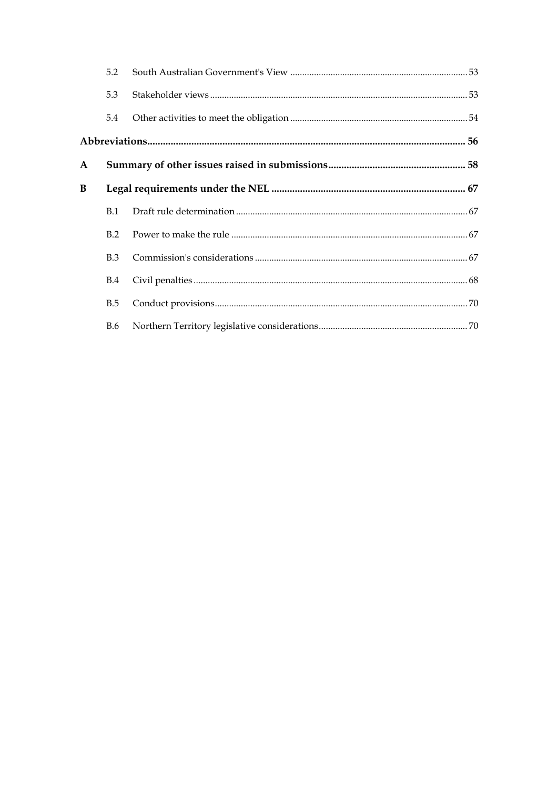|              | 5.2        |  |  |  |  |
|--------------|------------|--|--|--|--|
|              | 5.3        |  |  |  |  |
|              | 5.4        |  |  |  |  |
|              |            |  |  |  |  |
| $\mathbf{A}$ |            |  |  |  |  |
| B            |            |  |  |  |  |
|              | B.1        |  |  |  |  |
|              | B.2        |  |  |  |  |
|              | B.3        |  |  |  |  |
|              | <b>B.4</b> |  |  |  |  |
|              | <b>B.5</b> |  |  |  |  |
|              | <b>B.6</b> |  |  |  |  |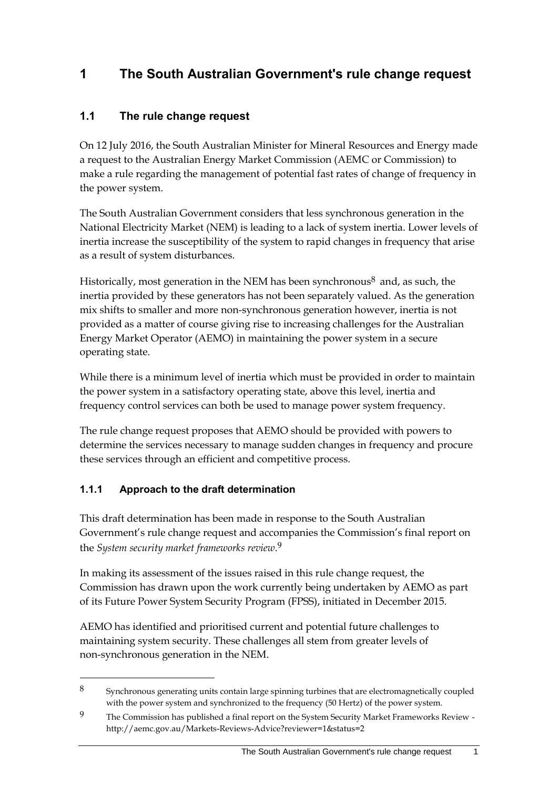# <span id="page-10-0"></span>**1 The South Australian Government's rule change request**

# <span id="page-10-1"></span>**1.1 The rule change request**

On 12 July 2016, the South Australian Minister for Mineral Resources and Energy made a request to the Australian Energy Market Commission (AEMC or Commission) to make a rule regarding the management of potential fast rates of change of frequency in the power system.

The South Australian Government considers that less synchronous generation in the National Electricity Market (NEM) is leading to a lack of system inertia. Lower levels of inertia increase the susceptibility of the system to rapid changes in frequency that arise as a result of system disturbances.

Historically, most generation in the NEM has been synchronous<sup>8</sup> and, as such, the inertia provided by these generators has not been separately valued. As the generation mix shifts to smaller and more non-synchronous generation however, inertia is not provided as a matter of course giving rise to increasing challenges for the Australian Energy Market Operator (AEMO) in maintaining the power system in a secure operating state.

While there is a minimum level of inertia which must be provided in order to maintain the power system in a satisfactory operating state, above this level, inertia and frequency control services can both be used to manage power system frequency.

The rule change request proposes that AEMO should be provided with powers to determine the services necessary to manage sudden changes in frequency and procure these services through an efficient and competitive process.

## **1.1.1 Approach to the draft determination**

<u>.</u>

This draft determination has been made in response to the South Australian Government's rule change request and accompanies the Commission's final report on the *System security market frameworks review*. 9

In making its assessment of the issues raised in this rule change request, the Commission has drawn upon the work currently being undertaken by AEMO as part of its Future Power System Security Program (FPSS), initiated in December 2015.

AEMO has identified and prioritised current and potential future challenges to maintaining system security. These challenges all stem from greater levels of non-synchronous generation in the NEM.

<sup>8</sup> Synchronous generating units contain large spinning turbines that are electromagnetically coupled with the power system and synchronized to the frequency (50 Hertz) of the power system.

<sup>9</sup> The Commission has published a final report on the System Security Market Frameworks Review http://aemc.gov.au/Markets-Reviews-Advice?reviewer=1&status=2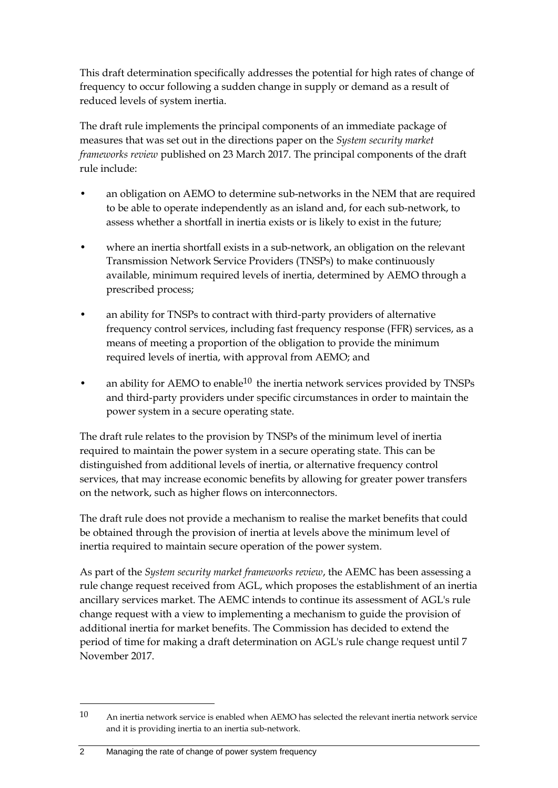This draft determination specifically addresses the potential for high rates of change of frequency to occur following a sudden change in supply or demand as a result of reduced levels of system inertia.

The draft rule implements the principal components of an immediate package of measures that was set out in the directions paper on the *System security market frameworks review* published on 23 March 2017. The principal components of the draft rule include:

- an obligation on AEMO to determine sub-networks in the NEM that are required to be able to operate independently as an island and, for each sub-network, to assess whether a shortfall in inertia exists or is likely to exist in the future;
- where an inertia shortfall exists in a sub-network, an obligation on the relevant Transmission Network Service Providers (TNSPs) to make continuously available, minimum required levels of inertia, determined by AEMO through a prescribed process;
- an ability for TNSPs to contract with third-party providers of alternative frequency control services, including fast frequency response (FFR) services, as a means of meeting a proportion of the obligation to provide the minimum required levels of inertia, with approval from AEMO; and
- an ability for AEMO to enable $^{10}$  the inertia network services provided by TNSPs and third-party providers under specific circumstances in order to maintain the power system in a secure operating state.

The draft rule relates to the provision by TNSPs of the minimum level of inertia required to maintain the power system in a secure operating state. This can be distinguished from additional levels of inertia, or alternative frequency control services, that may increase economic benefits by allowing for greater power transfers on the network, such as higher flows on interconnectors.

The draft rule does not provide a mechanism to realise the market benefits that could be obtained through the provision of inertia at levels above the minimum level of inertia required to maintain secure operation of the power system.

As part of the *System security market frameworks review*, the AEMC has been assessing a rule change request received from AGL, which proposes the establishment of an inertia ancillary services market. The AEMC intends to continue its assessment of AGL's rule change request with a view to implementing a mechanism to guide the provision of additional inertia for market benefits. The Commission has decided to extend the period of time for making a draft determination on AGL's rule change request until 7 November 2017.

<sup>10</sup> An inertia network service is enabled when AEMO has selected the relevant inertia network service and it is providing inertia to an inertia sub-network.

<sup>2</sup> Managing the rate of change of power system frequency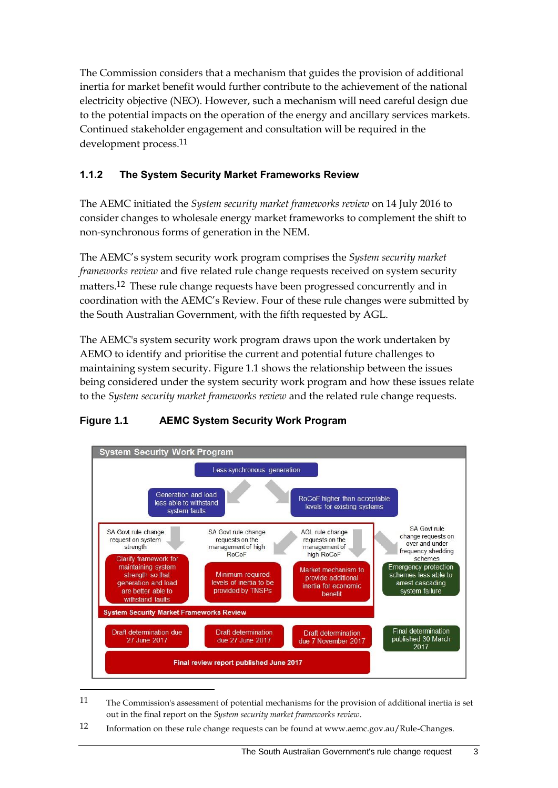The Commission considers that a mechanism that guides the provision of additional inertia for market benefit would further contribute to the achievement of the national electricity objective (NEO). However, such a mechanism will need careful design due to the potential impacts on the operation of the energy and ancillary services markets. Continued stakeholder engagement and consultation will be required in the development process.11

### **1.1.2 The System Security Market Frameworks Review**

The AEMC initiated the *System security market frameworks review* on 14 July 2016 to consider changes to wholesale energy market frameworks to complement the shift to non-synchronous forms of generation in the NEM.

The AEMC's system security work program comprises the *System security market frameworks review* and five related rule change requests received on system security matters.<sup>12</sup> These rule change requests have been progressed concurrently and in coordination with the AEMC's Review. Four of these rule changes were submitted by the South Australian Government, with the fifth requested by AGL.

The AEMC's system security work program draws upon the work undertaken by AEMO to identify and prioritise the current and potential future challenges to maintaining system security. Figure 1.1 shows the relationship between the issues being considered under the system security work program and how these issues relate to the *System security market frameworks review* and the related rule change requests.



### **Figure 1.1 AEMC System Security Work Program**

12 Information on these rule change requests can be found at www.aemc.gov.au/Rule-Changes.

<sup>11</sup> The Commission's assessment of potential mechanisms for the provision of additional inertia is set out in the final report on the *System security market frameworks review*.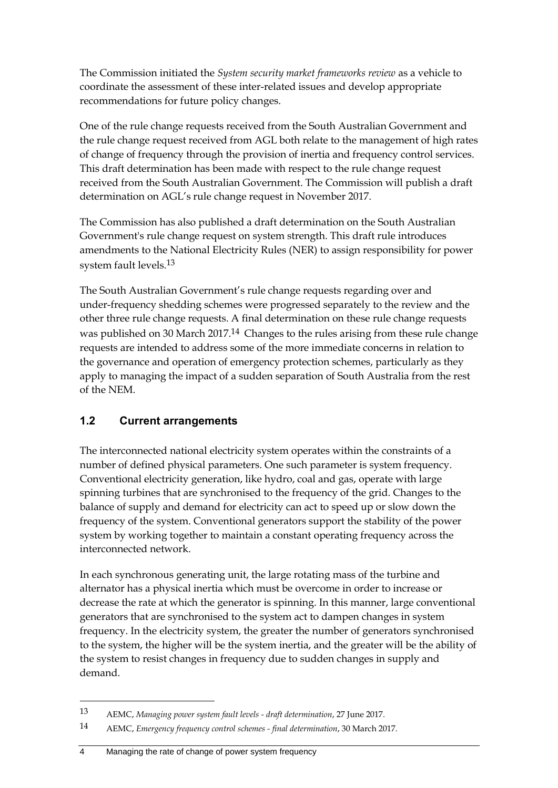The Commission initiated the *System security market frameworks review* as a vehicle to coordinate the assessment of these inter-related issues and develop appropriate recommendations for future policy changes.

One of the rule change requests received from the South Australian Government and the rule change request received from AGL both relate to the management of high rates of change of frequency through the provision of inertia and frequency control services. This draft determination has been made with respect to the rule change request received from the South Australian Government. The Commission will publish a draft determination on AGL's rule change request in November 2017.

The Commission has also published a draft determination on the South Australian Government's rule change request on system strength. This draft rule introduces amendments to the National Electricity Rules (NER) to assign responsibility for power system fault levels.13

The South Australian Government's rule change requests regarding over and under-frequency shedding schemes were progressed separately to the review and the other three rule change requests. A final determination on these rule change requests was published on 30 March 2017.<sup>14</sup> Changes to the rules arising from these rule change requests are intended to address some of the more immediate concerns in relation to the governance and operation of emergency protection schemes, particularly as they apply to managing the impact of a sudden separation of South Australia from the rest of the NEM.

### <span id="page-13-0"></span>**1.2 Current arrangements**

The interconnected national electricity system operates within the constraints of a number of defined physical parameters. One such parameter is system frequency. Conventional electricity generation, like hydro, coal and gas, operate with large spinning turbines that are synchronised to the frequency of the grid. Changes to the balance of supply and demand for electricity can act to speed up or slow down the frequency of the system. Conventional generators support the stability of the power system by working together to maintain a constant operating frequency across the interconnected network.

In each synchronous generating unit, the large rotating mass of the turbine and alternator has a physical inertia which must be overcome in order to increase or decrease the rate at which the generator is spinning. In this manner, large conventional generators that are synchronised to the system act to dampen changes in system frequency. In the electricity system, the greater the number of generators synchronised to the system, the higher will be the system inertia, and the greater will be the ability of the system to resist changes in frequency due to sudden changes in supply and demand.

4 Managing the rate of change of power system frequency

<sup>13</sup> AEMC, *Managing power system fault levels - draft determination*, 27 June 2017.

<sup>14</sup> AEMC, *Emergency frequency control schemes - final determination*, 30 March 2017.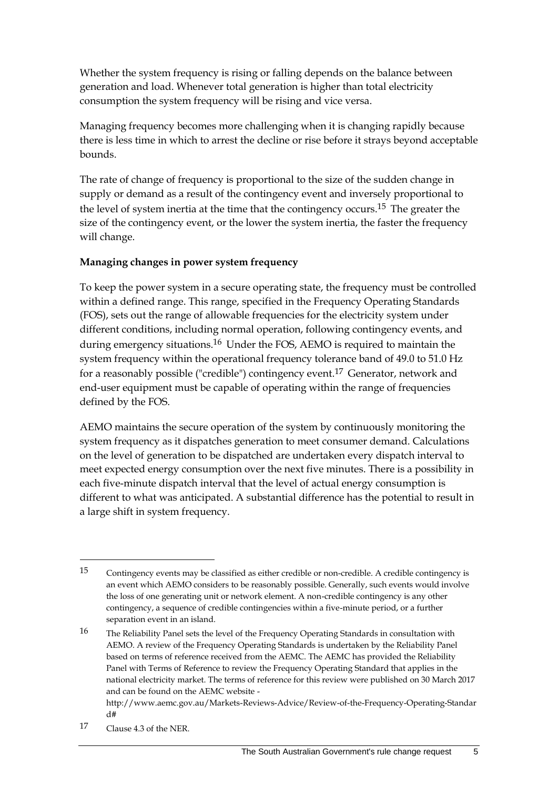Whether the system frequency is rising or falling depends on the balance between generation and load. Whenever total generation is higher than total electricity consumption the system frequency will be rising and vice versa.

Managing frequency becomes more challenging when it is changing rapidly because there is less time in which to arrest the decline or rise before it strays beyond acceptable bounds.

The rate of change of frequency is proportional to the size of the sudden change in supply or demand as a result of the contingency event and inversely proportional to the level of system inertia at the time that the contingency occurs.<sup>15</sup> The greater the size of the contingency event, or the lower the system inertia, the faster the frequency will change.

### **Managing changes in power system frequency**

To keep the power system in a secure operating state, the frequency must be controlled within a defined range. This range, specified in the Frequency Operating Standards (FOS), sets out the range of allowable frequencies for the electricity system under different conditions, including normal operation, following contingency events, and during emergency situations.<sup>16</sup> Under the FOS, AEMO is required to maintain the system frequency within the operational frequency tolerance band of 49.0 to 51.0 Hz for a reasonably possible ("credible") contingency event.17 Generator, network and end-user equipment must be capable of operating within the range of frequencies defined by the FOS.

AEMO maintains the secure operation of the system by continuously monitoring the system frequency as it dispatches generation to meet consumer demand. Calculations on the level of generation to be dispatched are undertaken every dispatch interval to meet expected energy consumption over the next five minutes. There is a possibility in each five-minute dispatch interval that the level of actual energy consumption is different to what was anticipated. A substantial difference has the potential to result in a large shift in system frequency.

17 Clause 4.3 of the NER.

<sup>15</sup> Contingency events may be classified as either credible or non-credible. A credible contingency is an event which AEMO considers to be reasonably possible. Generally, such events would involve the loss of one generating unit or network element. A non-credible contingency is any other contingency, a sequence of credible contingencies within a five-minute period, or a further separation event in an island.

<sup>16</sup> The Reliability Panel sets the level of the Frequency Operating Standards in consultation with AEMO. A review of the Frequency Operating Standards is undertaken by the Reliability Panel based on terms of reference received from the AEMC. The AEMC has provided the Reliability Panel with Terms of Reference to review the Frequency Operating Standard that applies in the national electricity market. The terms of reference for this review were published on 30 March 2017 and can be found on the AEMC website -

http://www.aemc.gov.au/Markets-Reviews-Advice/Review-of-the-Frequency-Operating-Standar d#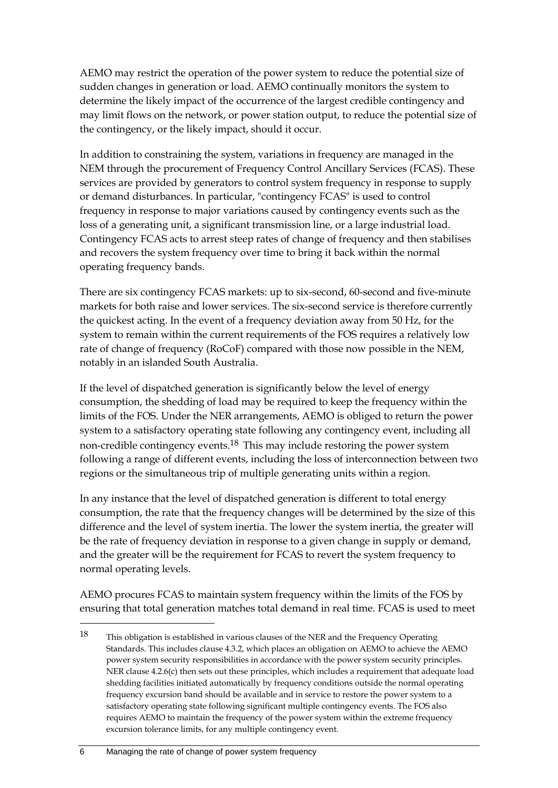AEMO may restrict the operation of the power system to reduce the potential size of sudden changes in generation or load. AEMO continually monitors the system to determine the likely impact of the occurrence of the largest credible contingency and may limit flows on the network, or power station output, to reduce the potential size of the contingency, or the likely impact, should it occur.

In addition to constraining the system, variations in frequency are managed in the NEM through the procurement of Frequency Control Ancillary Services (FCAS). These services are provided by generators to control system frequency in response to supply or demand disturbances. In particular, "contingency FCAS" is used to control frequency in response to major variations caused by contingency events such as the loss of a generating unit, a significant transmission line, or a large industrial load. Contingency FCAS acts to arrest steep rates of change of frequency and then stabilises and recovers the system frequency over time to bring it back within the normal operating frequency bands.

There are six contingency FCAS markets: up to six-second, 60-second and five-minute markets for both raise and lower services. The six-second service is therefore currently the quickest acting. In the event of a frequency deviation away from 50 Hz, for the system to remain within the current requirements of the FOS requires a relatively low rate of change of frequency (RoCoF) compared with those now possible in the NEM, notably in an islanded South Australia.

If the level of dispatched generation is significantly below the level of energy consumption, the shedding of load may be required to keep the frequency within the limits of the FOS. Under the NER arrangements, AEMO is obliged to return the power system to a satisfactory operating state following any contingency event, including all non-credible contingency events.18 This may include restoring the power system following a range of different events, including the loss of interconnection between two regions or the simultaneous trip of multiple generating units within a region.

In any instance that the level of dispatched generation is different to total energy consumption, the rate that the frequency changes will be determined by the size of this difference and the level of system inertia. The lower the system inertia, the greater will be the rate of frequency deviation in response to a given change in supply or demand, and the greater will be the requirement for FCAS to revert the system frequency to normal operating levels.

AEMO procures FCAS to maintain system frequency within the limits of the FOS by ensuring that total generation matches total demand in real time. FCAS is used to meet

<sup>18</sup> This obligation is established in various clauses of the NER and the Frequency Operating Standards. This includes clause 4.3.2, which places an obligation on AEMO to achieve the AEMO power system security responsibilities in accordance with the power system security principles. NER clause 4.2.6(c) then sets out these principles, which includes a requirement that adequate load shedding facilities initiated automatically by frequency conditions outside the normal operating frequency excursion band should be available and in service to restore the power system to a satisfactory operating state following significant multiple contingency events. The FOS also requires AEMO to maintain the frequency of the power system within the extreme frequency excursion tolerance limits, for any multiple contingency event.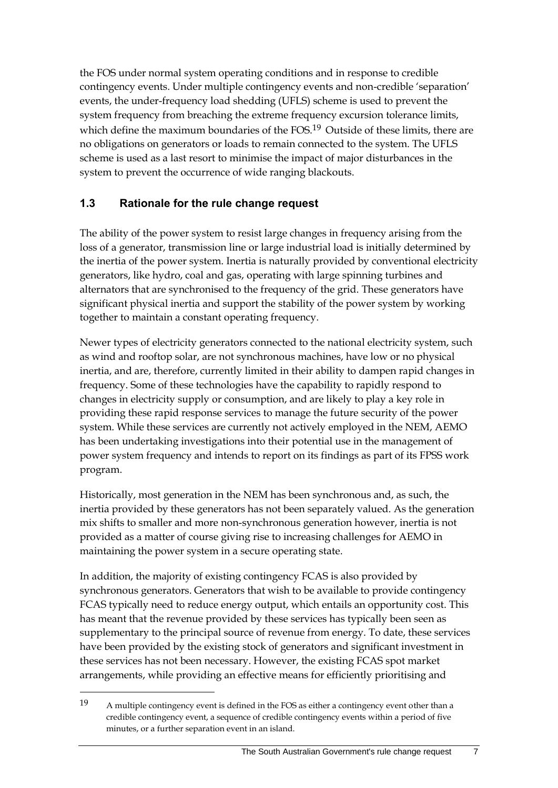the FOS under normal system operating conditions and in response to credible contingency events. Under multiple contingency events and non-credible 'separation' events, the under-frequency load shedding (UFLS) scheme is used to prevent the system frequency from breaching the extreme frequency excursion tolerance limits, which define the maximum boundaries of the FOS.<sup>19</sup> Outside of these limits, there are no obligations on generators or loads to remain connected to the system. The UFLS scheme is used as a last resort to minimise the impact of major disturbances in the system to prevent the occurrence of wide ranging blackouts.

### <span id="page-16-0"></span>**1.3 Rationale for the rule change request**

The ability of the power system to resist large changes in frequency arising from the loss of a generator, transmission line or large industrial load is initially determined by the inertia of the power system. Inertia is naturally provided by conventional electricity generators, like hydro, coal and gas, operating with large spinning turbines and alternators that are synchronised to the frequency of the grid. These generators have significant physical inertia and support the stability of the power system by working together to maintain a constant operating frequency.

Newer types of electricity generators connected to the national electricity system, such as wind and rooftop solar, are not synchronous machines, have low or no physical inertia, and are, therefore, currently limited in their ability to dampen rapid changes in frequency. Some of these technologies have the capability to rapidly respond to changes in electricity supply or consumption, and are likely to play a key role in providing these rapid response services to manage the future security of the power system. While these services are currently not actively employed in the NEM, AEMO has been undertaking investigations into their potential use in the management of power system frequency and intends to report on its findings as part of its FPSS work program.

Historically, most generation in the NEM has been synchronous and, as such, the inertia provided by these generators has not been separately valued. As the generation mix shifts to smaller and more non-synchronous generation however, inertia is not provided as a matter of course giving rise to increasing challenges for AEMO in maintaining the power system in a secure operating state.

In addition, the majority of existing contingency FCAS is also provided by synchronous generators. Generators that wish to be available to provide contingency FCAS typically need to reduce energy output, which entails an opportunity cost. This has meant that the revenue provided by these services has typically been seen as supplementary to the principal source of revenue from energy. To date, these services have been provided by the existing stock of generators and significant investment in these services has not been necessary. However, the existing FCAS spot market arrangements, while providing an effective means for efficiently prioritising and

<sup>19</sup> A multiple contingency event is defined in the FOS as either a contingency event other than a credible contingency event, a sequence of credible contingency events within a period of five minutes, or a further separation event in an island.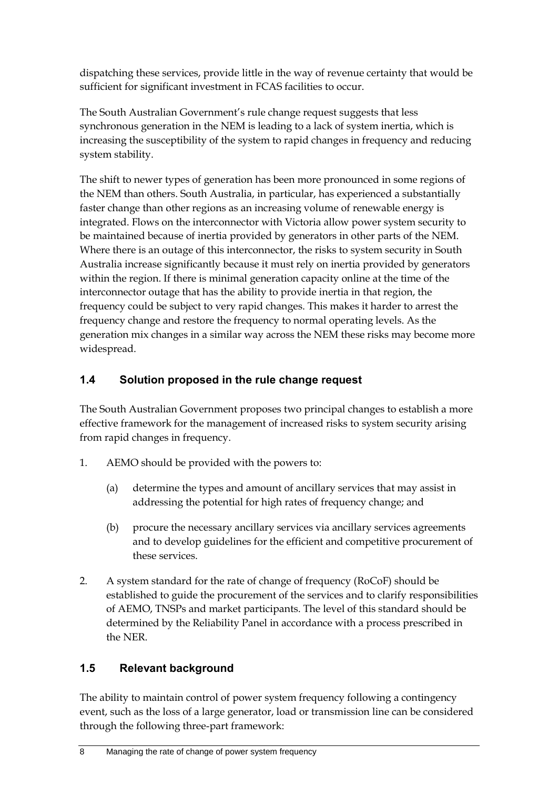dispatching these services, provide little in the way of revenue certainty that would be sufficient for significant investment in FCAS facilities to occur.

The South Australian Government's rule change request suggests that less synchronous generation in the NEM is leading to a lack of system inertia, which is increasing the susceptibility of the system to rapid changes in frequency and reducing system stability.

The shift to newer types of generation has been more pronounced in some regions of the NEM than others. South Australia, in particular, has experienced a substantially faster change than other regions as an increasing volume of renewable energy is integrated. Flows on the interconnector with Victoria allow power system security to be maintained because of inertia provided by generators in other parts of the NEM. Where there is an outage of this interconnector, the risks to system security in South Australia increase significantly because it must rely on inertia provided by generators within the region. If there is minimal generation capacity online at the time of the interconnector outage that has the ability to provide inertia in that region, the frequency could be subject to very rapid changes. This makes it harder to arrest the frequency change and restore the frequency to normal operating levels. As the generation mix changes in a similar way across the NEM these risks may become more widespread.

## <span id="page-17-0"></span>**1.4 Solution proposed in the rule change request**

The South Australian Government proposes two principal changes to establish a more effective framework for the management of increased risks to system security arising from rapid changes in frequency.

- 1. AEMO should be provided with the powers to:
	- (a) determine the types and amount of ancillary services that may assist in addressing the potential for high rates of frequency change; and
	- (b) procure the necessary ancillary services via ancillary services agreements and to develop guidelines for the efficient and competitive procurement of these services.
- 2. A system standard for the rate of change of frequency (RoCoF) should be established to guide the procurement of the services and to clarify responsibilities of AEMO, TNSPs and market participants. The level of this standard should be determined by the Reliability Panel in accordance with a process prescribed in the NER.

## <span id="page-17-1"></span>**1.5 Relevant background**

The ability to maintain control of power system frequency following a contingency event, such as the loss of a large generator, load or transmission line can be considered through the following three-part framework: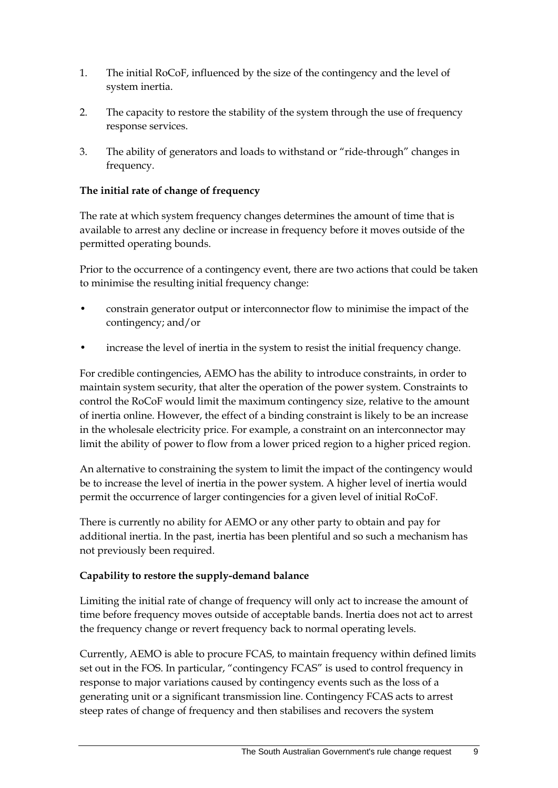- 1. The initial RoCoF, influenced by the size of the contingency and the level of system inertia.
- 2. The capacity to restore the stability of the system through the use of frequency response services.
- 3. The ability of generators and loads to withstand or "ride-through" changes in frequency.

### **The initial rate of change of frequency**

The rate at which system frequency changes determines the amount of time that is available to arrest any decline or increase in frequency before it moves outside of the permitted operating bounds.

Prior to the occurrence of a contingency event, there are two actions that could be taken to minimise the resulting initial frequency change:

- constrain generator output or interconnector flow to minimise the impact of the contingency; and/or
- increase the level of inertia in the system to resist the initial frequency change.

For credible contingencies, AEMO has the ability to introduce constraints, in order to maintain system security, that alter the operation of the power system. Constraints to control the RoCoF would limit the maximum contingency size, relative to the amount of inertia online. However, the effect of a binding constraint is likely to be an increase in the wholesale electricity price. For example, a constraint on an interconnector may limit the ability of power to flow from a lower priced region to a higher priced region.

An alternative to constraining the system to limit the impact of the contingency would be to increase the level of inertia in the power system. A higher level of inertia would permit the occurrence of larger contingencies for a given level of initial RoCoF.

There is currently no ability for AEMO or any other party to obtain and pay for additional inertia. In the past, inertia has been plentiful and so such a mechanism has not previously been required.

### **Capability to restore the supply-demand balance**

Limiting the initial rate of change of frequency will only act to increase the amount of time before frequency moves outside of acceptable bands. Inertia does not act to arrest the frequency change or revert frequency back to normal operating levels.

Currently, AEMO is able to procure FCAS, to maintain frequency within defined limits set out in the FOS. In particular, "contingency FCAS" is used to control frequency in response to major variations caused by contingency events such as the loss of a generating unit or a significant transmission line. Contingency FCAS acts to arrest steep rates of change of frequency and then stabilises and recovers the system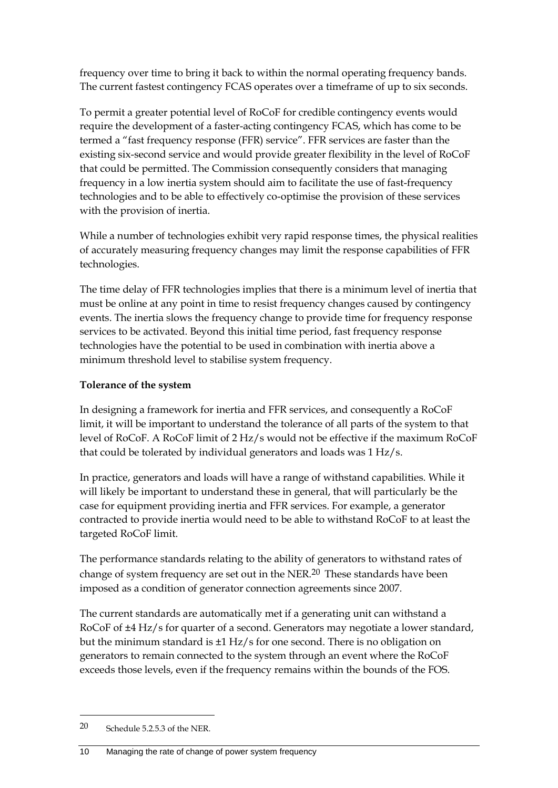frequency over time to bring it back to within the normal operating frequency bands. The current fastest contingency FCAS operates over a timeframe of up to six seconds.

To permit a greater potential level of RoCoF for credible contingency events would require the development of a faster-acting contingency FCAS, which has come to be termed a "fast frequency response (FFR) service". FFR services are faster than the existing six-second service and would provide greater flexibility in the level of RoCoF that could be permitted. The Commission consequently considers that managing frequency in a low inertia system should aim to facilitate the use of fast-frequency technologies and to be able to effectively co-optimise the provision of these services with the provision of inertia.

While a number of technologies exhibit very rapid response times, the physical realities of accurately measuring frequency changes may limit the response capabilities of FFR technologies.

The time delay of FFR technologies implies that there is a minimum level of inertia that must be online at any point in time to resist frequency changes caused by contingency events. The inertia slows the frequency change to provide time for frequency response services to be activated. Beyond this initial time period, fast frequency response technologies have the potential to be used in combination with inertia above a minimum threshold level to stabilise system frequency.

### **Tolerance of the system**

In designing a framework for inertia and FFR services, and consequently a RoCoF limit, it will be important to understand the tolerance of all parts of the system to that level of RoCoF. A RoCoF limit of 2 Hz/s would not be effective if the maximum RoCoF that could be tolerated by individual generators and loads was 1 Hz/s.

In practice, generators and loads will have a range of withstand capabilities. While it will likely be important to understand these in general, that will particularly be the case for equipment providing inertia and FFR services. For example, a generator contracted to provide inertia would need to be able to withstand RoCoF to at least the targeted RoCoF limit.

The performance standards relating to the ability of generators to withstand rates of change of system frequency are set out in the NER.20 These standards have been imposed as a condition of generator connection agreements since 2007.

The current standards are automatically met if a generating unit can withstand a RoCoF of ±4 Hz/s for quarter of a second. Generators may negotiate a lower standard, but the minimum standard is ±1 Hz/s for one second. There is no obligation on generators to remain connected to the system through an event where the RoCoF exceeds those levels, even if the frequency remains within the bounds of the FOS.

<sup>20</sup> Schedule 5.2.5.3 of the NER.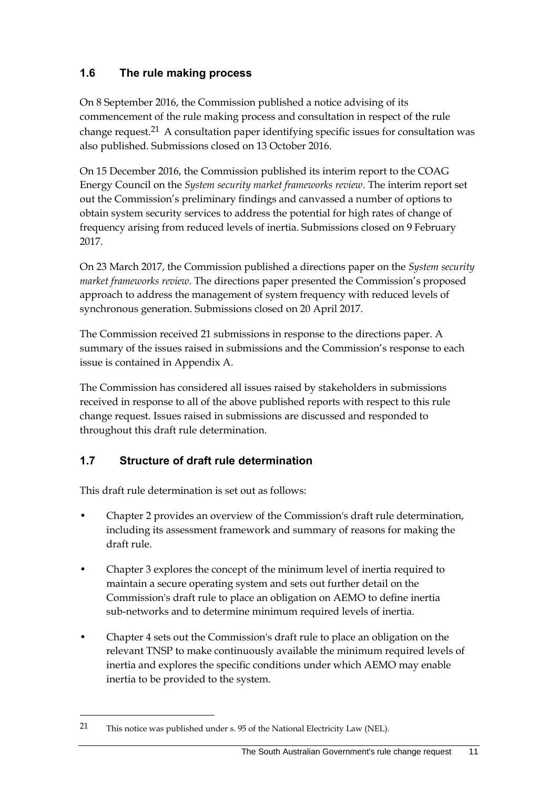### <span id="page-20-0"></span>**1.6 The rule making process**

On 8 September 2016, the Commission published a notice advising of its commencement of the rule making process and consultation in respect of the rule change request.21 A consultation paper identifying specific issues for consultation was also published. Submissions closed on 13 October 2016.

On 15 December 2016, the Commission published its interim report to the COAG Energy Council on the *System security market frameworks review*. The interim report set out the Commission's preliminary findings and canvassed a number of options to obtain system security services to address the potential for high rates of change of frequency arising from reduced levels of inertia. Submissions closed on 9 February 2017.

On 23 March 2017, the Commission published a directions paper on the *System security market frameworks review*. The directions paper presented the Commission's proposed approach to address the management of system frequency with reduced levels of synchronous generation. Submissions closed on 20 April 2017.

The Commission received 21 submissions in response to the directions paper. A summary of the issues raised in submissions and the Commission's response to each issue is contained in Appendix A.

The Commission has considered all issues raised by stakeholders in submissions received in response to all of the above published reports with respect to this rule change request. Issues raised in submissions are discussed and responded to throughout this draft rule determination.

### <span id="page-20-1"></span>**1.7 Structure of draft rule determination**

This draft rule determination is set out as follows:

- Chapter 2 provides an overview of the Commission's draft rule determination, including its assessment framework and summary of reasons for making the draft rule.
- Chapter 3 explores the concept of the minimum level of inertia required to maintain a secure operating system and sets out further detail on the Commission's draft rule to place an obligation on AEMO to define inertia sub-networks and to determine minimum required levels of inertia.
- Chapter 4 sets out the Commission's draft rule to place an obligation on the relevant TNSP to make continuously available the minimum required levels of inertia and explores the specific conditions under which AEMO may enable inertia to be provided to the system.

<sup>21</sup> This notice was published under s. 95 of the National Electricity Law (NEL).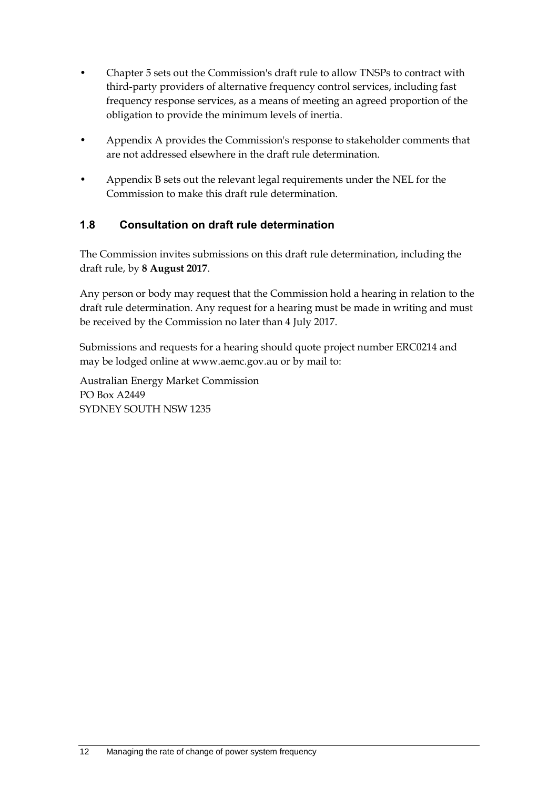- Chapter 5 sets out the Commission's draft rule to allow TNSPs to contract with third-party providers of alternative frequency control services, including fast frequency response services, as a means of meeting an agreed proportion of the obligation to provide the minimum levels of inertia.
- Appendix A provides the Commission's response to stakeholder comments that are not addressed elsewhere in the draft rule determination.
- Appendix B sets out the relevant legal requirements under the NEL for the Commission to make this draft rule determination.

### <span id="page-21-0"></span>**1.8 Consultation on draft rule determination**

The Commission invites submissions on this draft rule determination, including the draft rule, by **8 August 2017**.

Any person or body may request that the Commission hold a hearing in relation to the draft rule determination. Any request for a hearing must be made in writing and must be received by the Commission no later than 4 July 2017.

Submissions and requests for a hearing should quote project number ERC0214 and may be lodged online at www.aemc.gov.au or by mail to:

Australian Energy Market Commission PO Box A2449 SYDNEY SOUTH NSW 1235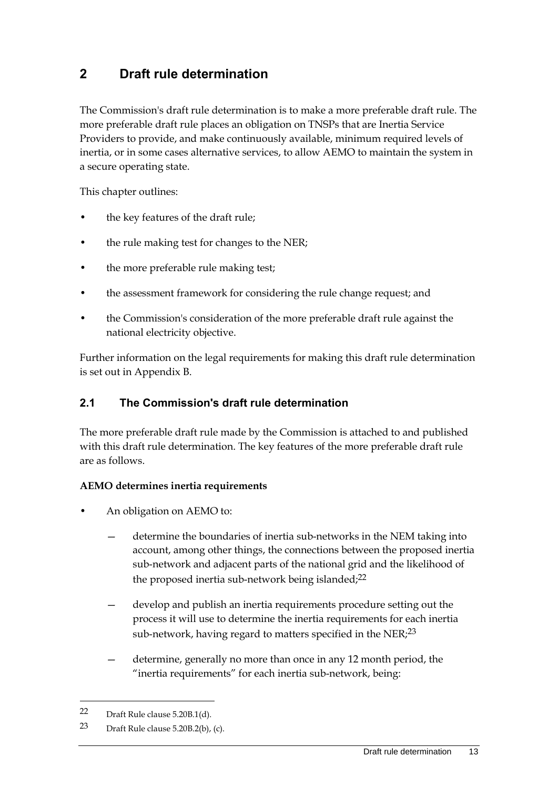# <span id="page-22-0"></span>**2 Draft rule determination**

The Commission's draft rule determination is to make a more preferable draft rule. The more preferable draft rule places an obligation on TNSPs that are Inertia Service Providers to provide, and make continuously available, minimum required levels of inertia, or in some cases alternative services, to allow AEMO to maintain the system in a secure operating state.

This chapter outlines:

- the key features of the draft rule;
- the rule making test for changes to the NER;
- the more preferable rule making test;
- the assessment framework for considering the rule change request; and
- the Commission's consideration of the more preferable draft rule against the national electricity objective.

Further information on the legal requirements for making this draft rule determination is set out in Appendix B.

### <span id="page-22-1"></span>**2.1 The Commission's draft rule determination**

The more preferable draft rule made by the Commission is attached to and published with this draft rule determination. The key features of the more preferable draft rule are as follows.

#### **AEMO determines inertia requirements**

- An obligation on AEMO to:
	- determine the boundaries of inertia sub-networks in the NEM taking into account, among other things, the connections between the proposed inertia sub-network and adjacent parts of the national grid and the likelihood of the proposed inertia sub-network being islanded;22
	- develop and publish an inertia requirements procedure setting out the process it will use to determine the inertia requirements for each inertia sub-network, having regard to matters specified in the NER;<sup>23</sup>
	- determine, generally no more than once in any 12 month period, the "inertia requirements" for each inertia sub-network, being:

<sup>22</sup> Draft Rule clause 5.20B.1(d).

<sup>23</sup> Draft Rule clause 5.20B.2(b), (c).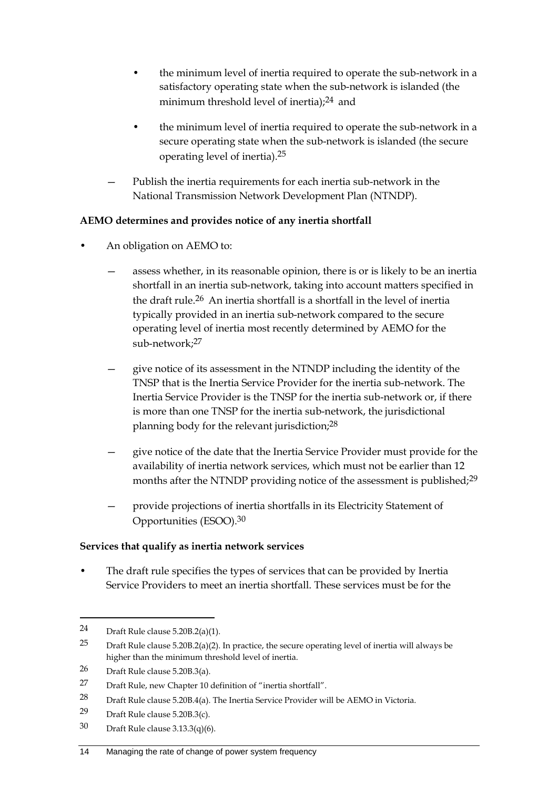- the minimum level of inertia required to operate the sub-network in a satisfactory operating state when the sub-network is islanded (the minimum threshold level of inertia);<sup>24</sup> and
- the minimum level of inertia required to operate the sub-network in a secure operating state when the sub-network is islanded (the secure operating level of inertia).25
- Publish the inertia requirements for each inertia sub-network in the National Transmission Network Development Plan (NTNDP).

### **AEMO determines and provides notice of any inertia shortfall**

- An obligation on AEMO to:
	- assess whether, in its reasonable opinion, there is or is likely to be an inertia shortfall in an inertia sub-network, taking into account matters specified in the draft rule.26 An inertia shortfall is a shortfall in the level of inertia typically provided in an inertia sub-network compared to the secure operating level of inertia most recently determined by AEMO for the sub-network;27
	- give notice of its assessment in the NTNDP including the identity of the TNSP that is the Inertia Service Provider for the inertia sub-network. The Inertia Service Provider is the TNSP for the inertia sub-network or, if there is more than one TNSP for the inertia sub-network, the jurisdictional planning body for the relevant jurisdiction;28
	- give notice of the date that the Inertia Service Provider must provide for the availability of inertia network services, which must not be earlier than 12 months after the NTNDP providing notice of the assessment is published;<sup>29</sup>
	- provide projections of inertia shortfalls in its Electricity Statement of Opportunities (ESOO).30

### **Services that qualify as inertia network services**

The draft rule specifies the types of services that can be provided by Inertia Service Providers to meet an inertia shortfall. These services must be for the

<u>.</u>

30 Draft Rule clause 3.13.3(q)(6).

<sup>24</sup> Draft Rule clause 5.20B.2(a)(1).

<sup>25</sup> Draft Rule clause 5.20B.2(a)(2). In practice, the secure operating level of inertia will always be higher than the minimum threshold level of inertia.

<sup>26</sup> Draft Rule clause 5.20B.3(a).

<sup>27</sup> Draft Rule, new Chapter 10 definition of "inertia shortfall".

<sup>28</sup> Draft Rule clause 5.20B.4(a). The Inertia Service Provider will be AEMO in Victoria.

<sup>29</sup> Draft Rule clause 5.20B.3(c).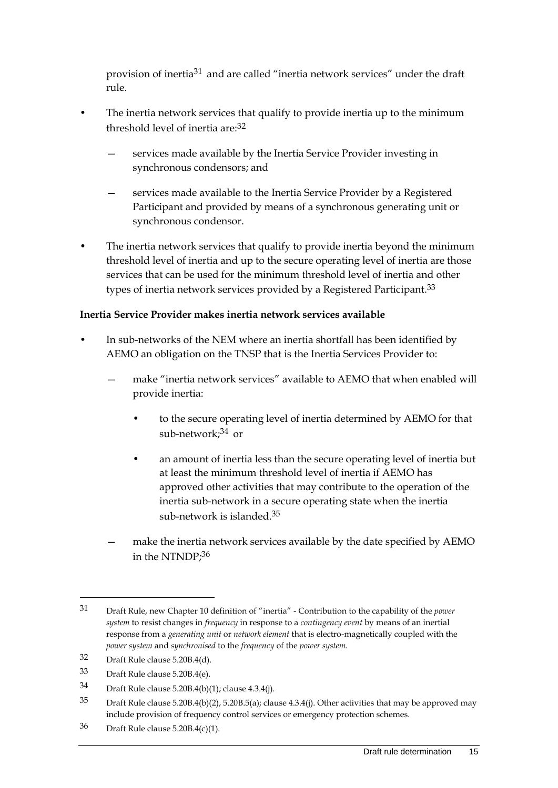provision of inertia31 and are called "inertia network services" under the draft rule.

- The inertia network services that qualify to provide inertia up to the minimum threshold level of inertia are:32
	- services made available by the Inertia Service Provider investing in synchronous condensors; and
	- services made available to the Inertia Service Provider by a Registered Participant and provided by means of a synchronous generating unit or synchronous condensor.
- The inertia network services that qualify to provide inertia beyond the minimum threshold level of inertia and up to the secure operating level of inertia are those services that can be used for the minimum threshold level of inertia and other types of inertia network services provided by a Registered Participant.<sup>33</sup>

### **Inertia Service Provider makes inertia network services available**

- In sub-networks of the NEM where an inertia shortfall has been identified by AEMO an obligation on the TNSP that is the Inertia Services Provider to:
	- make "inertia network services" available to AEMO that when enabled will provide inertia:
		- to the secure operating level of inertia determined by AEMO for that sub-network;34 or
		- an amount of inertia less than the secure operating level of inertia but at least the minimum threshold level of inertia if AEMO has approved other activities that may contribute to the operation of the inertia sub-network in a secure operating state when the inertia sub-network is islanded.35
	- make the inertia network services available by the date specified by AEMO in the NTNDP;36

32 Draft Rule clause 5.20B.4(d).

<u>.</u>

36 Draft Rule clause 5.20B.4(c)(1).

<sup>31</sup> Draft Rule, new Chapter 10 definition of "inertia" - Contribution to the capability of the *power system* to resist changes in *frequency* in response to a *contingency event* by means of an inertial response from a *generating unit* or *network element* that is electro-magnetically coupled with the *power system* and *synchronised* to the *frequency* of the *power system*.

<sup>33</sup> Draft Rule clause 5.20B.4(e).

<sup>34</sup> Draft Rule clause 5.20B.4(b)(1); clause 4.3.4(j).

<sup>35</sup> Draft Rule clause 5.20B.4(b)(2), 5.20B.5(a); clause 4.3.4(j). Other activities that may be approved may include provision of frequency control services or emergency protection schemes.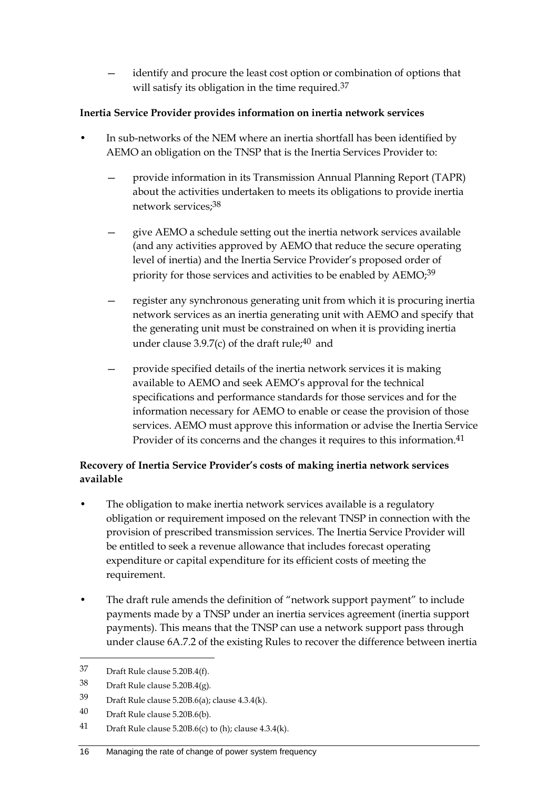identify and procure the least cost option or combination of options that will satisfy its obligation in the time required.<sup>37</sup>

### **Inertia Service Provider provides information on inertia network services**

- In sub-networks of the NEM where an inertia shortfall has been identified by AEMO an obligation on the TNSP that is the Inertia Services Provider to:
	- provide information in its Transmission Annual Planning Report (TAPR) about the activities undertaken to meets its obligations to provide inertia network services;38
	- give AEMO a schedule setting out the inertia network services available (and any activities approved by AEMO that reduce the secure operating level of inertia) and the Inertia Service Provider's proposed order of priority for those services and activities to be enabled by AEMO;<sup>39</sup>
	- register any synchronous generating unit from which it is procuring inertia network services as an inertia generating unit with AEMO and specify that the generating unit must be constrained on when it is providing inertia under clause 3.9.7(c) of the draft rule; $40$  and
	- provide specified details of the inertia network services it is making available to AEMO and seek AEMO's approval for the technical specifications and performance standards for those services and for the information necessary for AEMO to enable or cease the provision of those services. AEMO must approve this information or advise the Inertia Service Provider of its concerns and the changes it requires to this information.<sup>41</sup>

### **Recovery of Inertia Service Provider's costs of making inertia network services available**

- The obligation to make inertia network services available is a regulatory obligation or requirement imposed on the relevant TNSP in connection with the provision of prescribed transmission services. The Inertia Service Provider will be entitled to seek a revenue allowance that includes forecast operating expenditure or capital expenditure for its efficient costs of meeting the requirement.
- The draft rule amends the definition of "network support payment" to include payments made by a TNSP under an inertia services agreement (inertia support payments). This means that the TNSP can use a network support pass through under clause 6A.7.2 of the existing Rules to recover the difference between inertia

<sup>37</sup> Draft Rule clause 5.20B.4(f).

<sup>38</sup> Draft Rule clause 5.20B.4(g).

<sup>39</sup> Draft Rule clause 5.20B.6(a); clause 4.3.4(k).

<sup>40</sup> Draft Rule clause 5.20B.6(b).

<sup>41</sup> Draft Rule clause 5.20B.6(c) to (h); clause 4.3.4(k).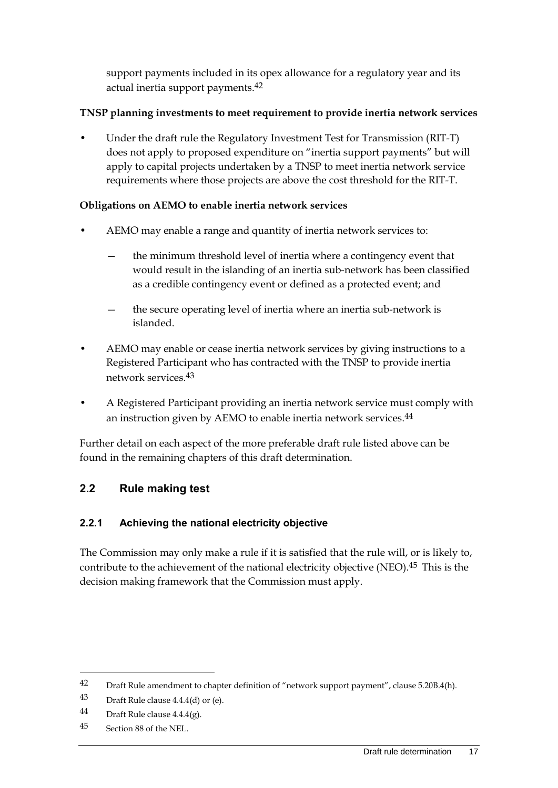support payments included in its opex allowance for a regulatory year and its actual inertia support payments.42

### **TNSP planning investments to meet requirement to provide inertia network services**

• Under the draft rule the Regulatory Investment Test for Transmission (RIT-T) does not apply to proposed expenditure on "inertia support payments" but will apply to capital projects undertaken by a TNSP to meet inertia network service requirements where those projects are above the cost threshold for the RIT-T.

### **Obligations on AEMO to enable inertia network services**

- AEMO may enable a range and quantity of inertia network services to:
	- the minimum threshold level of inertia where a contingency event that would result in the islanding of an inertia sub-network has been classified as a credible contingency event or defined as a protected event; and
	- the secure operating level of inertia where an inertia sub-network is islanded.
- AEMO may enable or cease inertia network services by giving instructions to a Registered Participant who has contracted with the TNSP to provide inertia network services.43
- A Registered Participant providing an inertia network service must comply with an instruction given by AEMO to enable inertia network services.44

Further detail on each aspect of the more preferable draft rule listed above can be found in the remaining chapters of this draft determination.

### <span id="page-26-0"></span>**2.2 Rule making test**

### **2.2.1 Achieving the national electricity objective**

The Commission may only make a rule if it is satisfied that the rule will, or is likely to, contribute to the achievement of the national electricity objective (NEO).<sup>45</sup> This is the decision making framework that the Commission must apply.

<sup>42</sup> Draft Rule amendment to chapter definition of "network support payment", clause 5.20B.4(h).

<sup>43</sup> Draft Rule clause 4.4.4(d) or (e).

<sup>44</sup> Draft Rule clause  $4.4.4(g)$ .

<sup>45</sup> Section 88 of the NEL.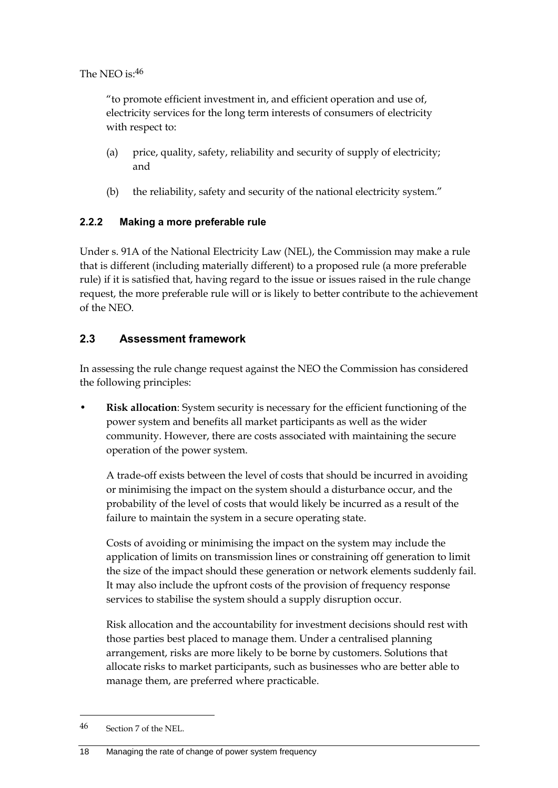The NEO is:46

"to promote efficient investment in, and efficient operation and use of, electricity services for the long term interests of consumers of electricity with respect to:

- (a) price, quality, safety, reliability and security of supply of electricity; and
- (b) the reliability, safety and security of the national electricity system."

### **2.2.2 Making a more preferable rule**

Under s. 91A of the National Electricity Law (NEL), the Commission may make a rule that is different (including materially different) to a proposed rule (a more preferable rule) if it is satisfied that, having regard to the issue or issues raised in the rule change request, the more preferable rule will or is likely to better contribute to the achievement of the NEO.

### <span id="page-27-0"></span>**2.3 Assessment framework**

In assessing the rule change request against the NEO the Commission has considered the following principles:

**Risk allocation**: System security is necessary for the efficient functioning of the power system and benefits all market participants as well as the wider community. However, there are costs associated with maintaining the secure operation of the power system.

A trade-off exists between the level of costs that should be incurred in avoiding or minimising the impact on the system should a disturbance occur, and the probability of the level of costs that would likely be incurred as a result of the failure to maintain the system in a secure operating state.

Costs of avoiding or minimising the impact on the system may include the application of limits on transmission lines or constraining off generation to limit the size of the impact should these generation or network elements suddenly fail. It may also include the upfront costs of the provision of frequency response services to stabilise the system should a supply disruption occur.

Risk allocation and the accountability for investment decisions should rest with those parties best placed to manage them. Under a centralised planning arrangement, risks are more likely to be borne by customers. Solutions that allocate risks to market participants, such as businesses who are better able to manage them, are preferred where practicable.

<sup>46</sup> Section 7 of the NEL.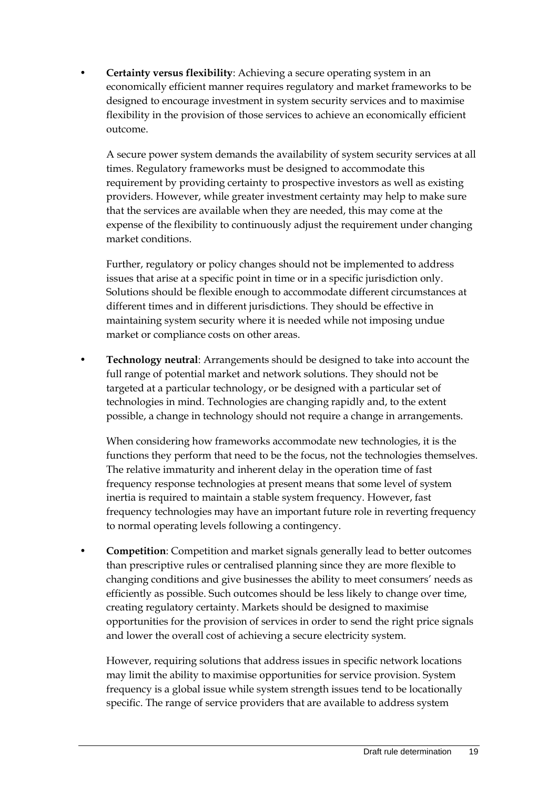• **Certainty versus flexibility**: Achieving a secure operating system in an economically efficient manner requires regulatory and market frameworks to be designed to encourage investment in system security services and to maximise flexibility in the provision of those services to achieve an economically efficient outcome.

A secure power system demands the availability of system security services at all times. Regulatory frameworks must be designed to accommodate this requirement by providing certainty to prospective investors as well as existing providers. However, while greater investment certainty may help to make sure that the services are available when they are needed, this may come at the expense of the flexibility to continuously adjust the requirement under changing market conditions.

Further, regulatory or policy changes should not be implemented to address issues that arise at a specific point in time or in a specific jurisdiction only. Solutions should be flexible enough to accommodate different circumstances at different times and in different jurisdictions. They should be effective in maintaining system security where it is needed while not imposing undue market or compliance costs on other areas.

• **Technology neutral**: Arrangements should be designed to take into account the full range of potential market and network solutions. They should not be targeted at a particular technology, or be designed with a particular set of technologies in mind. Technologies are changing rapidly and, to the extent possible, a change in technology should not require a change in arrangements.

When considering how frameworks accommodate new technologies, it is the functions they perform that need to be the focus, not the technologies themselves. The relative immaturity and inherent delay in the operation time of fast frequency response technologies at present means that some level of system inertia is required to maintain a stable system frequency. However, fast frequency technologies may have an important future role in reverting frequency to normal operating levels following a contingency.

• **Competition**: Competition and market signals generally lead to better outcomes than prescriptive rules or centralised planning since they are more flexible to changing conditions and give businesses the ability to meet consumers' needs as efficiently as possible. Such outcomes should be less likely to change over time, creating regulatory certainty. Markets should be designed to maximise opportunities for the provision of services in order to send the right price signals and lower the overall cost of achieving a secure electricity system.

However, requiring solutions that address issues in specific network locations may limit the ability to maximise opportunities for service provision. System frequency is a global issue while system strength issues tend to be locationally specific. The range of service providers that are available to address system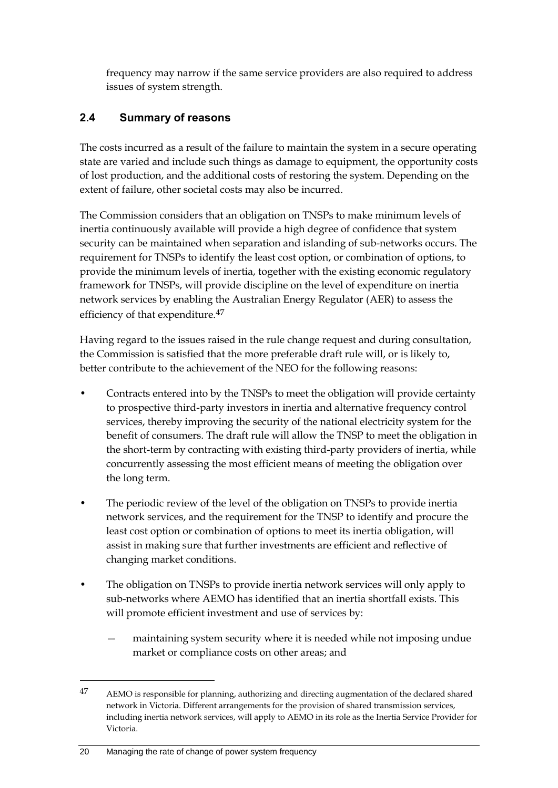frequency may narrow if the same service providers are also required to address issues of system strength.

### <span id="page-29-0"></span>**2.4 Summary of reasons**

The costs incurred as a result of the failure to maintain the system in a secure operating state are varied and include such things as damage to equipment, the opportunity costs of lost production, and the additional costs of restoring the system. Depending on the extent of failure, other societal costs may also be incurred.

The Commission considers that an obligation on TNSPs to make minimum levels of inertia continuously available will provide a high degree of confidence that system security can be maintained when separation and islanding of sub-networks occurs. The requirement for TNSPs to identify the least cost option, or combination of options, to provide the minimum levels of inertia, together with the existing economic regulatory framework for TNSPs, will provide discipline on the level of expenditure on inertia network services by enabling the Australian Energy Regulator (AER) to assess the efficiency of that expenditure.<sup>47</sup>

Having regard to the issues raised in the rule change request and during consultation, the Commission is satisfied that the more preferable draft rule will, or is likely to, better contribute to the achievement of the NEO for the following reasons:

- Contracts entered into by the TNSPs to meet the obligation will provide certainty to prospective third-party investors in inertia and alternative frequency control services, thereby improving the security of the national electricity system for the benefit of consumers. The draft rule will allow the TNSP to meet the obligation in the short-term by contracting with existing third-party providers of inertia, while concurrently assessing the most efficient means of meeting the obligation over the long term.
- The periodic review of the level of the obligation on TNSPs to provide inertia network services, and the requirement for the TNSP to identify and procure the least cost option or combination of options to meet its inertia obligation, will assist in making sure that further investments are efficient and reflective of changing market conditions.
- The obligation on TNSPs to provide inertia network services will only apply to sub-networks where AEMO has identified that an inertia shortfall exists. This will promote efficient investment and use of services by:
	- maintaining system security where it is needed while not imposing undue market or compliance costs on other areas; and

<sup>47</sup> AEMO is responsible for planning, authorizing and directing augmentation of the declared shared network in Victoria. Different arrangements for the provision of shared transmission services, including inertia network services, will apply to AEMO in its role as the Inertia Service Provider for Victoria.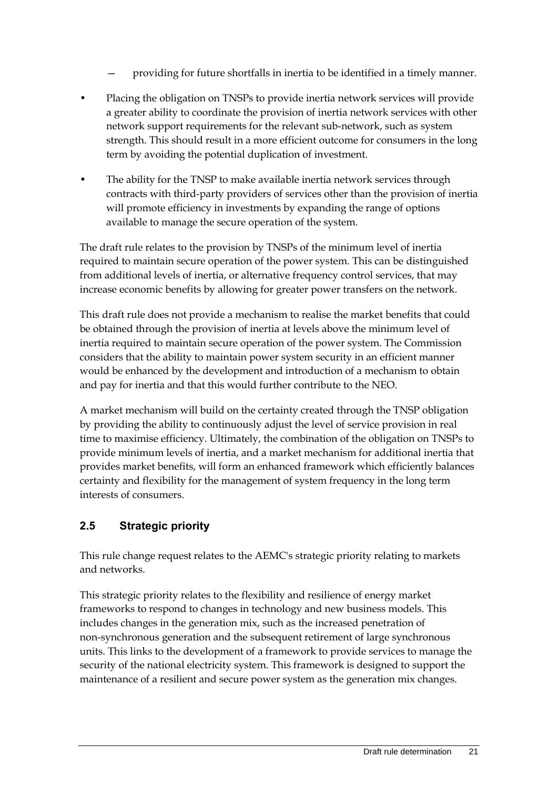- providing for future shortfalls in inertia to be identified in a timely manner.
- Placing the obligation on TNSPs to provide inertia network services will provide a greater ability to coordinate the provision of inertia network services with other network support requirements for the relevant sub-network, such as system strength. This should result in a more efficient outcome for consumers in the long term by avoiding the potential duplication of investment.
- The ability for the TNSP to make available inertia network services through contracts with third-party providers of services other than the provision of inertia will promote efficiency in investments by expanding the range of options available to manage the secure operation of the system.

The draft rule relates to the provision by TNSPs of the minimum level of inertia required to maintain secure operation of the power system. This can be distinguished from additional levels of inertia, or alternative frequency control services, that may increase economic benefits by allowing for greater power transfers on the network.

This draft rule does not provide a mechanism to realise the market benefits that could be obtained through the provision of inertia at levels above the minimum level of inertia required to maintain secure operation of the power system. The Commission considers that the ability to maintain power system security in an efficient manner would be enhanced by the development and introduction of a mechanism to obtain and pay for inertia and that this would further contribute to the NEO.

A market mechanism will build on the certainty created through the TNSP obligation by providing the ability to continuously adjust the level of service provision in real time to maximise efficiency. Ultimately, the combination of the obligation on TNSPs to provide minimum levels of inertia, and a market mechanism for additional inertia that provides market benefits, will form an enhanced framework which efficiently balances certainty and flexibility for the management of system frequency in the long term interests of consumers.

### <span id="page-30-0"></span>**2.5 Strategic priority**

This rule change request relates to the AEMC's strategic priority relating to markets and networks.

This strategic priority relates to the flexibility and resilience of energy market frameworks to respond to changes in technology and new business models. This includes changes in the generation mix, such as the increased penetration of non-synchronous generation and the subsequent retirement of large synchronous units. This links to the development of a framework to provide services to manage the security of the national electricity system. This framework is designed to support the maintenance of a resilient and secure power system as the generation mix changes.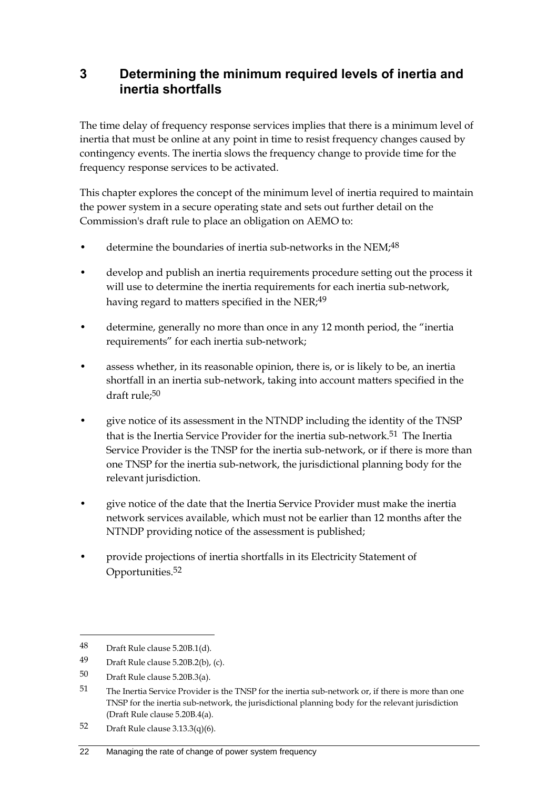# <span id="page-31-0"></span>**3 Determining the minimum required levels of inertia and inertia shortfalls**

The time delay of frequency response services implies that there is a minimum level of inertia that must be online at any point in time to resist frequency changes caused by contingency events. The inertia slows the frequency change to provide time for the frequency response services to be activated.

This chapter explores the concept of the minimum level of inertia required to maintain the power system in a secure operating state and sets out further detail on the Commission's draft rule to place an obligation on AEMO to:

- determine the boundaries of inertia sub-networks in the NEM;<sup>48</sup>
- develop and publish an inertia requirements procedure setting out the process it will use to determine the inertia requirements for each inertia sub-network, having regard to matters specified in the NER;<sup>49</sup>
- determine, generally no more than once in any 12 month period, the "inertia requirements" for each inertia sub-network;
- assess whether, in its reasonable opinion, there is, or is likely to be, an inertia shortfall in an inertia sub-network, taking into account matters specified in the draft rule;50
- give notice of its assessment in the NTNDP including the identity of the TNSP that is the Inertia Service Provider for the inertia sub-network.51 The Inertia Service Provider is the TNSP for the inertia sub-network, or if there is more than one TNSP for the inertia sub-network, the jurisdictional planning body for the relevant jurisdiction.
- give notice of the date that the Inertia Service Provider must make the inertia network services available, which must not be earlier than 12 months after the NTNDP providing notice of the assessment is published;
- provide projections of inertia shortfalls in its Electricity Statement of Opportunities.52

<u>.</u>

#### 22 Managing the rate of change of power system frequency

<sup>48</sup> Draft Rule clause 5.20B.1(d).

<sup>49</sup> Draft Rule clause 5.20B.2(b), (c).

<sup>50</sup> Draft Rule clause 5.20B.3(a).

<sup>51</sup> The Inertia Service Provider is the TNSP for the inertia sub-network or, if there is more than one TNSP for the inertia sub-network, the jurisdictional planning body for the relevant jurisdiction (Draft Rule clause 5.20B.4(a).

<sup>52</sup> Draft Rule clause 3.13.3(q)(6).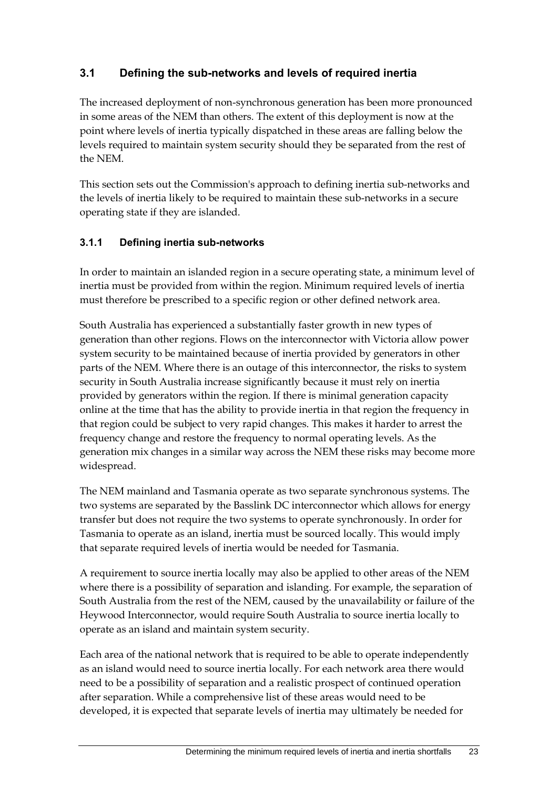### <span id="page-32-0"></span>**3.1 Defining the sub-networks and levels of required inertia**

The increased deployment of non-synchronous generation has been more pronounced in some areas of the NEM than others. The extent of this deployment is now at the point where levels of inertia typically dispatched in these areas are falling below the levels required to maintain system security should they be separated from the rest of the NEM.

This section sets out the Commission's approach to defining inertia sub-networks and the levels of inertia likely to be required to maintain these sub-networks in a secure operating state if they are islanded.

### **3.1.1 Defining inertia sub-networks**

In order to maintain an islanded region in a secure operating state, a minimum level of inertia must be provided from within the region. Minimum required levels of inertia must therefore be prescribed to a specific region or other defined network area.

South Australia has experienced a substantially faster growth in new types of generation than other regions. Flows on the interconnector with Victoria allow power system security to be maintained because of inertia provided by generators in other parts of the NEM. Where there is an outage of this interconnector, the risks to system security in South Australia increase significantly because it must rely on inertia provided by generators within the region. If there is minimal generation capacity online at the time that has the ability to provide inertia in that region the frequency in that region could be subject to very rapid changes. This makes it harder to arrest the frequency change and restore the frequency to normal operating levels. As the generation mix changes in a similar way across the NEM these risks may become more widespread.

The NEM mainland and Tasmania operate as two separate synchronous systems. The two systems are separated by the Basslink DC interconnector which allows for energy transfer but does not require the two systems to operate synchronously. In order for Tasmania to operate as an island, inertia must be sourced locally. This would imply that separate required levels of inertia would be needed for Tasmania.

A requirement to source inertia locally may also be applied to other areas of the NEM where there is a possibility of separation and islanding. For example, the separation of South Australia from the rest of the NEM, caused by the unavailability or failure of the Heywood Interconnector, would require South Australia to source inertia locally to operate as an island and maintain system security.

Each area of the national network that is required to be able to operate independently as an island would need to source inertia locally. For each network area there would need to be a possibility of separation and a realistic prospect of continued operation after separation. While a comprehensive list of these areas would need to be developed, it is expected that separate levels of inertia may ultimately be needed for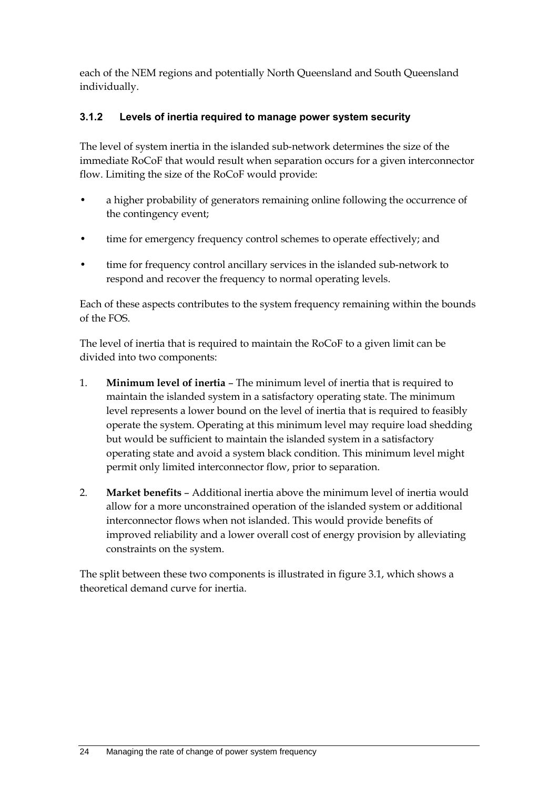each of the NEM regions and potentially North Queensland and South Queensland individually.

### **3.1.2 Levels of inertia required to manage power system security**

The level of system inertia in the islanded sub-network determines the size of the immediate RoCoF that would result when separation occurs for a given interconnector flow. Limiting the size of the RoCoF would provide:

- a higher probability of generators remaining online following the occurrence of the contingency event;
- time for emergency frequency control schemes to operate effectively; and
- time for frequency control ancillary services in the islanded sub-network to respond and recover the frequency to normal operating levels.

Each of these aspects contributes to the system frequency remaining within the bounds of the FOS.

The level of inertia that is required to maintain the RoCoF to a given limit can be divided into two components:

- 1. **Minimum level of inertia** The minimum level of inertia that is required to maintain the islanded system in a satisfactory operating state. The minimum level represents a lower bound on the level of inertia that is required to feasibly operate the system. Operating at this minimum level may require load shedding but would be sufficient to maintain the islanded system in a satisfactory operating state and avoid a system black condition. This minimum level might permit only limited interconnector flow, prior to separation.
- 2. **Market benefits** Additional inertia above the minimum level of inertia would allow for a more unconstrained operation of the islanded system or additional interconnector flows when not islanded. This would provide benefits of improved reliability and a lower overall cost of energy provision by alleviating constraints on the system.

The split between these two components is illustrated in figure 3.1, which shows a theoretical demand curve for inertia.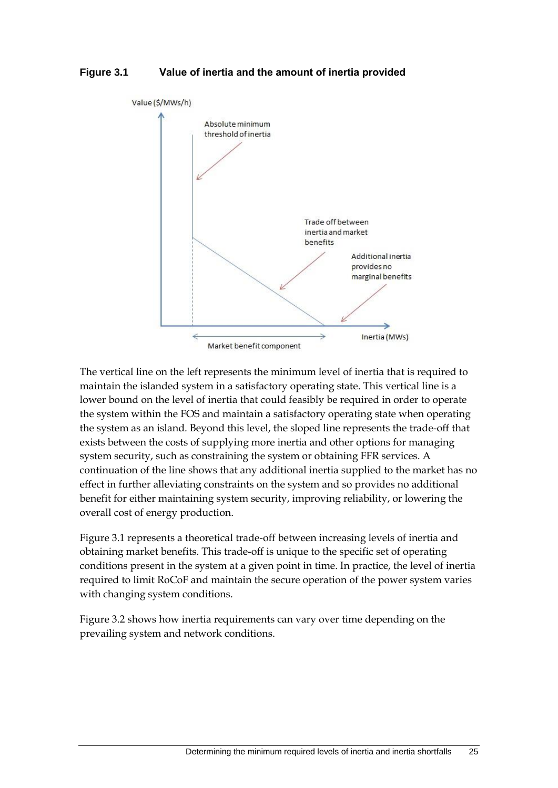#### **Figure 3.1 Value of inertia and the amount of inertia provided**



The vertical line on the left represents the minimum level of inertia that is required to maintain the islanded system in a satisfactory operating state. This vertical line is a lower bound on the level of inertia that could feasibly be required in order to operate the system within the FOS and maintain a satisfactory operating state when operating the system as an island. Beyond this level, the sloped line represents the trade-off that exists between the costs of supplying more inertia and other options for managing system security, such as constraining the system or obtaining FFR services. A continuation of the line shows that any additional inertia supplied to the market has no effect in further alleviating constraints on the system and so provides no additional benefit for either maintaining system security, improving reliability, or lowering the overall cost of energy production.

Figure 3.1 represents a theoretical trade-off between increasing levels of inertia and obtaining market benefits. This trade-off is unique to the specific set of operating conditions present in the system at a given point in time. In practice, the level of inertia required to limit RoCoF and maintain the secure operation of the power system varies with changing system conditions.

Figure 3.2 shows how inertia requirements can vary over time depending on the prevailing system and network conditions.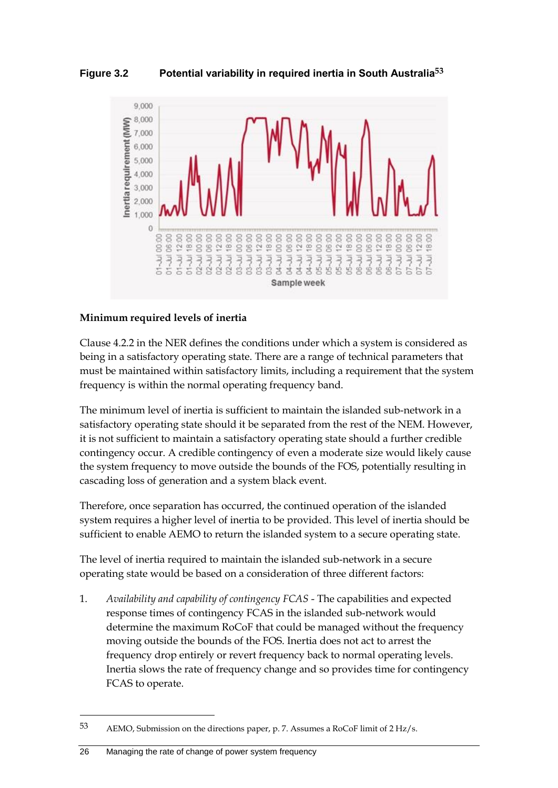**Figure 3.2 Potential variability in required inertia in South Australia53**



#### **Minimum required levels of inertia**

Clause 4.2.2 in the NER defines the conditions under which a system is considered as being in a satisfactory operating state. There are a range of technical parameters that must be maintained within satisfactory limits, including a requirement that the system frequency is within the normal operating frequency band.

The minimum level of inertia is sufficient to maintain the islanded sub-network in a satisfactory operating state should it be separated from the rest of the NEM. However, it is not sufficient to maintain a satisfactory operating state should a further credible contingency occur. A credible contingency of even a moderate size would likely cause the system frequency to move outside the bounds of the FOS, potentially resulting in cascading loss of generation and a system black event.

Therefore, once separation has occurred, the continued operation of the islanded system requires a higher level of inertia to be provided. This level of inertia should be sufficient to enable AEMO to return the islanded system to a secure operating state.

The level of inertia required to maintain the islanded sub-network in a secure operating state would be based on a consideration of three different factors:

1. *Availability and capability of contingency FCAS* - The capabilities and expected response times of contingency FCAS in the islanded sub-network would determine the maximum RoCoF that could be managed without the frequency moving outside the bounds of the FOS. Inertia does not act to arrest the frequency drop entirely or revert frequency back to normal operating levels. Inertia slows the rate of frequency change and so provides time for contingency FCAS to operate.

<sup>53</sup> AEMO, Submission on the directions paper, p. 7. Assumes a RoCoF limit of 2 Hz/s.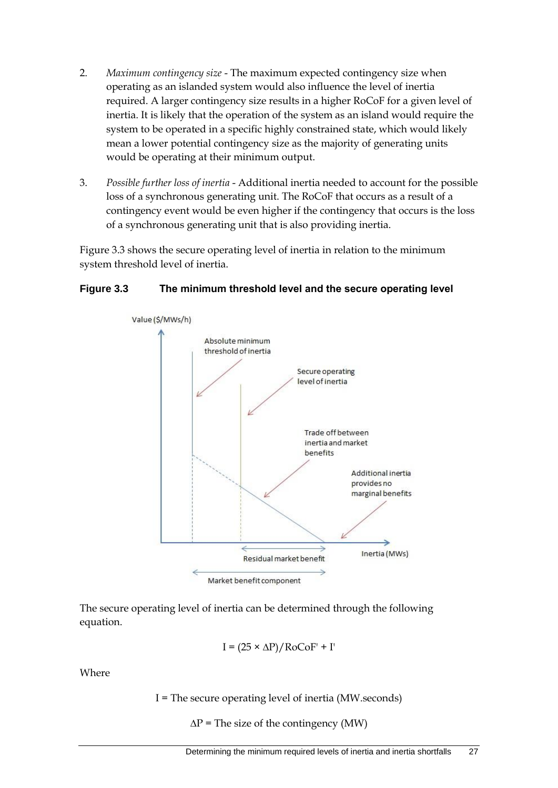- 2. *Maximum contingency size* The maximum expected contingency size when operating as an islanded system would also influence the level of inertia required. A larger contingency size results in a higher RoCoF for a given level of inertia. It is likely that the operation of the system as an island would require the system to be operated in a specific highly constrained state, which would likely mean a lower potential contingency size as the majority of generating units would be operating at their minimum output.
- 3. *Possible further loss of inertia* Additional inertia needed to account for the possible loss of a synchronous generating unit. The RoCoF that occurs as a result of a contingency event would be even higher if the contingency that occurs is the loss of a synchronous generating unit that is also providing inertia.

Figure 3.3 shows the secure operating level of inertia in relation to the minimum system threshold level of inertia.

#### **Figure 3.3 The minimum threshold level and the secure operating level**



The secure operating level of inertia can be determined through the following equation.

$$
I = (25 \times \Delta P) / \text{RoCoF'} + I'
$$

Where

I = The secure operating level of inertia (MW.seconds)

 $\Delta P$  = The size of the contingency (MW)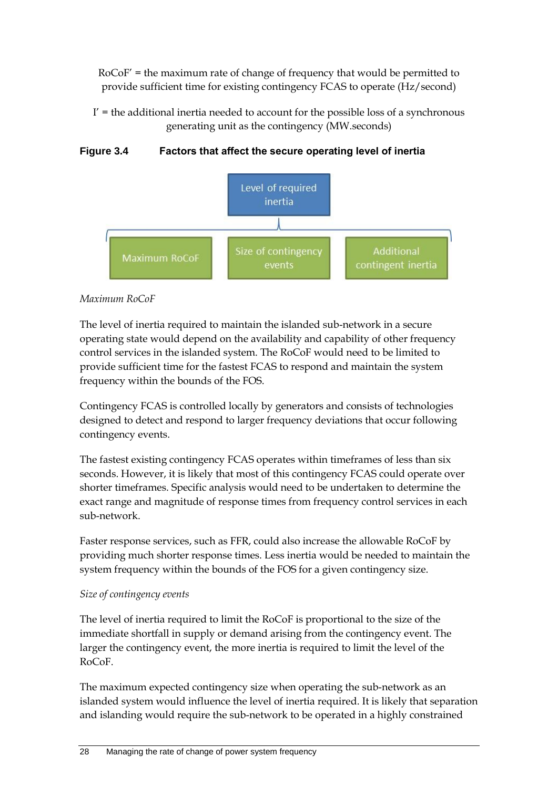RoCoF' = the maximum rate of change of frequency that would be permitted to provide sufficient time for existing contingency FCAS to operate (Hz/second)

 $I'$  = the additional inertia needed to account for the possible loss of a synchronous generating unit as the contingency (MW.seconds)

**Figure 3.4 Factors that affect the secure operating level of inertia**



#### *Maximum RoCoF*

The level of inertia required to maintain the islanded sub-network in a secure operating state would depend on the availability and capability of other frequency control services in the islanded system. The RoCoF would need to be limited to provide sufficient time for the fastest FCAS to respond and maintain the system frequency within the bounds of the FOS.

Contingency FCAS is controlled locally by generators and consists of technologies designed to detect and respond to larger frequency deviations that occur following contingency events.

The fastest existing contingency FCAS operates within timeframes of less than six seconds. However, it is likely that most of this contingency FCAS could operate over shorter timeframes. Specific analysis would need to be undertaken to determine the exact range and magnitude of response times from frequency control services in each sub-network.

Faster response services, such as FFR, could also increase the allowable RoCoF by providing much shorter response times. Less inertia would be needed to maintain the system frequency within the bounds of the FOS for a given contingency size.

#### *Size of contingency events*

The level of inertia required to limit the RoCoF is proportional to the size of the immediate shortfall in supply or demand arising from the contingency event. The larger the contingency event, the more inertia is required to limit the level of the RoCoF.

The maximum expected contingency size when operating the sub-network as an islanded system would influence the level of inertia required. It is likely that separation and islanding would require the sub-network to be operated in a highly constrained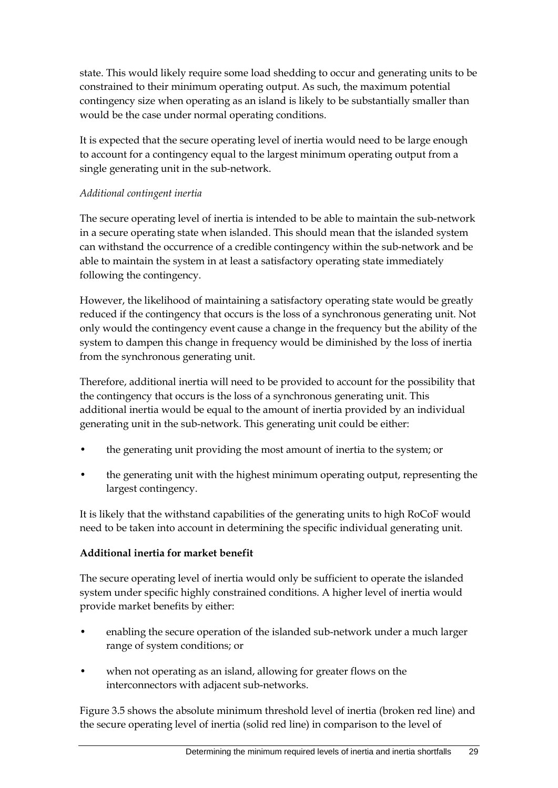state. This would likely require some load shedding to occur and generating units to be constrained to their minimum operating output. As such, the maximum potential contingency size when operating as an island is likely to be substantially smaller than would be the case under normal operating conditions.

It is expected that the secure operating level of inertia would need to be large enough to account for a contingency equal to the largest minimum operating output from a single generating unit in the sub-network.

### *Additional contingent inertia*

The secure operating level of inertia is intended to be able to maintain the sub-network in a secure operating state when islanded. This should mean that the islanded system can withstand the occurrence of a credible contingency within the sub-network and be able to maintain the system in at least a satisfactory operating state immediately following the contingency.

However, the likelihood of maintaining a satisfactory operating state would be greatly reduced if the contingency that occurs is the loss of a synchronous generating unit. Not only would the contingency event cause a change in the frequency but the ability of the system to dampen this change in frequency would be diminished by the loss of inertia from the synchronous generating unit.

Therefore, additional inertia will need to be provided to account for the possibility that the contingency that occurs is the loss of a synchronous generating unit. This additional inertia would be equal to the amount of inertia provided by an individual generating unit in the sub-network. This generating unit could be either:

- the generating unit providing the most amount of inertia to the system; or
- the generating unit with the highest minimum operating output, representing the largest contingency.

It is likely that the withstand capabilities of the generating units to high RoCoF would need to be taken into account in determining the specific individual generating unit.

#### **Additional inertia for market benefit**

The secure operating level of inertia would only be sufficient to operate the islanded system under specific highly constrained conditions. A higher level of inertia would provide market benefits by either:

- enabling the secure operation of the islanded sub-network under a much larger range of system conditions; or
- when not operating as an island, allowing for greater flows on the interconnectors with adjacent sub-networks.

Figure 3.5 shows the absolute minimum threshold level of inertia (broken red line) and the secure operating level of inertia (solid red line) in comparison to the level of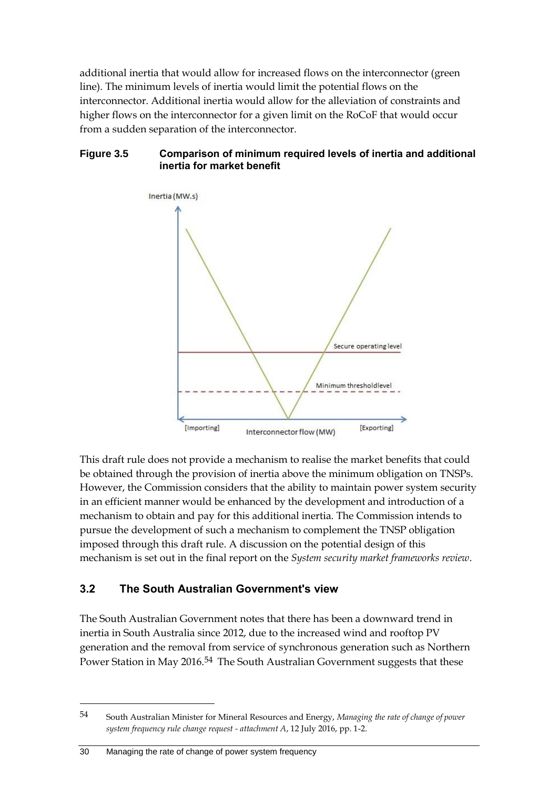additional inertia that would allow for increased flows on the interconnector (green line). The minimum levels of inertia would limit the potential flows on the interconnector. Additional inertia would allow for the alleviation of constraints and higher flows on the interconnector for a given limit on the RoCoF that would occur from a sudden separation of the interconnector.

#### **Figure 3.5 Comparison of minimum required levels of inertia and additional inertia for market benefit**



This draft rule does not provide a mechanism to realise the market benefits that could be obtained through the provision of inertia above the minimum obligation on TNSPs. However, the Commission considers that the ability to maintain power system security in an efficient manner would be enhanced by the development and introduction of a mechanism to obtain and pay for this additional inertia. The Commission intends to pursue the development of such a mechanism to complement the TNSP obligation imposed through this draft rule. A discussion on the potential design of this mechanism is set out in the final report on the *System security market frameworks review*.

## **3.2 The South Australian Government's view**

The South Australian Government notes that there has been a downward trend in inertia in South Australia since 2012, due to the increased wind and rooftop PV generation and the removal from service of synchronous generation such as Northern Power Station in May 2016.<sup>54</sup> The South Australian Government suggests that these

1

<sup>54</sup> South Australian Minister for Mineral Resources and Energy, *Managing the rate of change of power system frequency rule change request - attachment A*, 12 July 2016, pp. 1-2.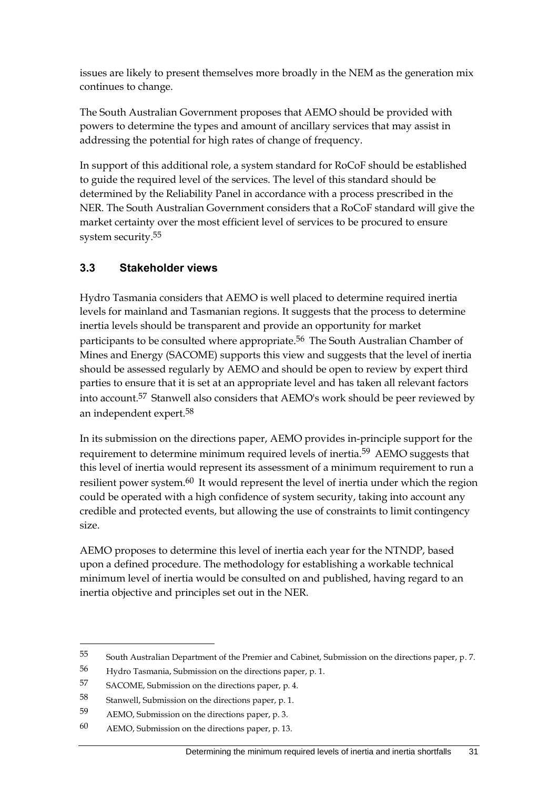issues are likely to present themselves more broadly in the NEM as the generation mix continues to change.

The South Australian Government proposes that AEMO should be provided with powers to determine the types and amount of ancillary services that may assist in addressing the potential for high rates of change of frequency.

In support of this additional role, a system standard for RoCoF should be established to guide the required level of the services. The level of this standard should be determined by the Reliability Panel in accordance with a process prescribed in the NER. The South Australian Government considers that a RoCoF standard will give the market certainty over the most efficient level of services to be procured to ensure system security.55

## **3.3 Stakeholder views**

Hydro Tasmania considers that AEMO is well placed to determine required inertia levels for mainland and Tasmanian regions. It suggests that the process to determine inertia levels should be transparent and provide an opportunity for market participants to be consulted where appropriate.<sup>56</sup> The South Australian Chamber of Mines and Energy (SACOME) supports this view and suggests that the level of inertia should be assessed regularly by AEMO and should be open to review by expert third parties to ensure that it is set at an appropriate level and has taken all relevant factors into account.57 Stanwell also considers that AEMO's work should be peer reviewed by an independent expert.58

In its submission on the directions paper, AEMO provides in-principle support for the requirement to determine minimum required levels of inertia.59 AEMO suggests that this level of inertia would represent its assessment of a minimum requirement to run a resilient power system.60 It would represent the level of inertia under which the region could be operated with a high confidence of system security, taking into account any credible and protected events, but allowing the use of constraints to limit contingency size.

AEMO proposes to determine this level of inertia each year for the NTNDP, based upon a defined procedure. The methodology for establishing a workable technical minimum level of inertia would be consulted on and published, having regard to an inertia objective and principles set out in the NER.

<sup>55</sup> South Australian Department of the Premier and Cabinet, Submission on the directions paper, p. 7.

<sup>56</sup> Hydro Tasmania, Submission on the directions paper, p. 1.

<sup>57</sup> SACOME, Submission on the directions paper, p. 4.

<sup>58</sup> Stanwell, Submission on the directions paper, p. 1.

<sup>59</sup> AEMO, Submission on the directions paper, p. 3.

<sup>60</sup> AEMO, Submission on the directions paper, p. 13.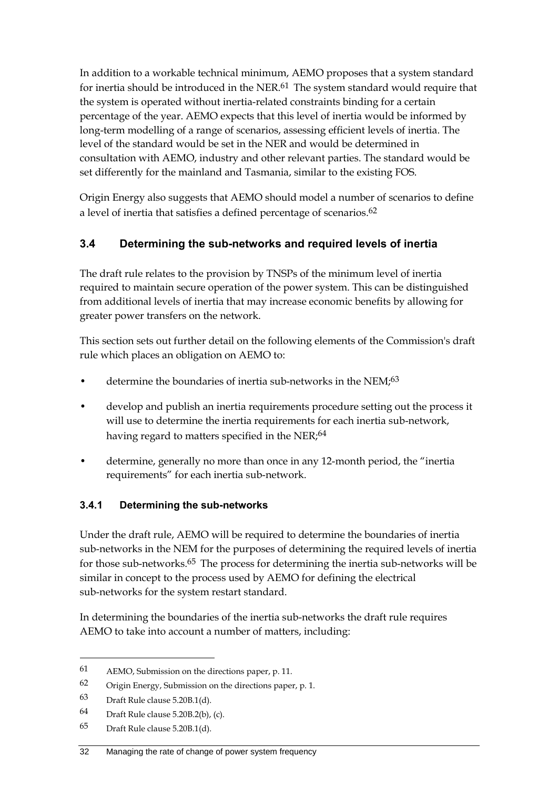In addition to a workable technical minimum, AEMO proposes that a system standard for inertia should be introduced in the NER.<sup>61</sup> The system standard would require that the system is operated without inertia-related constraints binding for a certain percentage of the year. AEMO expects that this level of inertia would be informed by long-term modelling of a range of scenarios, assessing efficient levels of inertia. The level of the standard would be set in the NER and would be determined in consultation with AEMO, industry and other relevant parties. The standard would be set differently for the mainland and Tasmania, similar to the existing FOS.

Origin Energy also suggests that AEMO should model a number of scenarios to define a level of inertia that satisfies a defined percentage of scenarios.<sup>62</sup>

## **3.4 Determining the sub-networks and required levels of inertia**

The draft rule relates to the provision by TNSPs of the minimum level of inertia required to maintain secure operation of the power system. This can be distinguished from additional levels of inertia that may increase economic benefits by allowing for greater power transfers on the network.

This section sets out further detail on the following elements of the Commission's draft rule which places an obligation on AEMO to:

- determine the boundaries of inertia sub-networks in the NEM;<sup>63</sup>
- develop and publish an inertia requirements procedure setting out the process it will use to determine the inertia requirements for each inertia sub-network, having regard to matters specified in the NER $;^{64}$
- determine, generally no more than once in any 12-month period, the "inertia requirements" for each inertia sub-network.

#### **3.4.1 Determining the sub-networks**

Under the draft rule, AEMO will be required to determine the boundaries of inertia sub-networks in the NEM for the purposes of determining the required levels of inertia for those sub-networks.65 The process for determining the inertia sub-networks will be similar in concept to the process used by AEMO for defining the electrical sub-networks for the system restart standard.

In determining the boundaries of the inertia sub-networks the draft rule requires AEMO to take into account a number of matters, including:

<sup>61</sup> AEMO, Submission on the directions paper, p. 11.

<sup>62</sup> Origin Energy, Submission on the directions paper, p. 1.

<sup>63</sup> Draft Rule clause 5.20B.1(d).

<sup>64</sup> Draft Rule clause 5.20B.2(b), (c).

<sup>65</sup> Draft Rule clause 5.20B.1(d).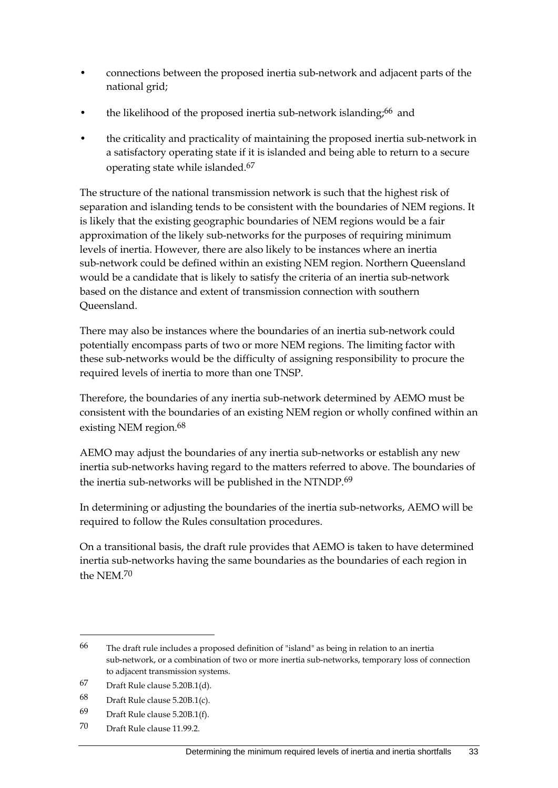- connections between the proposed inertia sub-network and adjacent parts of the national grid;
- the likelihood of the proposed inertia sub-network islanding;<sup>66</sup> and
- the criticality and practicality of maintaining the proposed inertia sub-network in a satisfactory operating state if it is islanded and being able to return to a secure operating state while islanded.67

The structure of the national transmission network is such that the highest risk of separation and islanding tends to be consistent with the boundaries of NEM regions. It is likely that the existing geographic boundaries of NEM regions would be a fair approximation of the likely sub-networks for the purposes of requiring minimum levels of inertia. However, there are also likely to be instances where an inertia sub-network could be defined within an existing NEM region. Northern Queensland would be a candidate that is likely to satisfy the criteria of an inertia sub-network based on the distance and extent of transmission connection with southern Queensland.

There may also be instances where the boundaries of an inertia sub-network could potentially encompass parts of two or more NEM regions. The limiting factor with these sub-networks would be the difficulty of assigning responsibility to procure the required levels of inertia to more than one TNSP.

Therefore, the boundaries of any inertia sub-network determined by AEMO must be consistent with the boundaries of an existing NEM region or wholly confined within an existing NEM region.<sup>68</sup>

AEMO may adjust the boundaries of any inertia sub-networks or establish any new inertia sub-networks having regard to the matters referred to above. The boundaries of the inertia sub-networks will be published in the NTNDP.<sup>69</sup>

In determining or adjusting the boundaries of the inertia sub-networks, AEMO will be required to follow the Rules consultation procedures.

On a transitional basis, the draft rule provides that AEMO is taken to have determined inertia sub-networks having the same boundaries as the boundaries of each region in the NEM.70

<sup>66</sup> The draft rule includes a proposed definition of "island" as being in relation to an inertia sub-network, or a combination of two or more inertia sub-networks, temporary loss of connection to adjacent transmission systems.

<sup>67</sup> Draft Rule clause 5.20B.1(d).

<sup>68</sup> Draft Rule clause 5.20B.1(c).

<sup>69</sup> Draft Rule clause 5.20B.1(f).

<sup>70</sup> Draft Rule clause 11.99.2.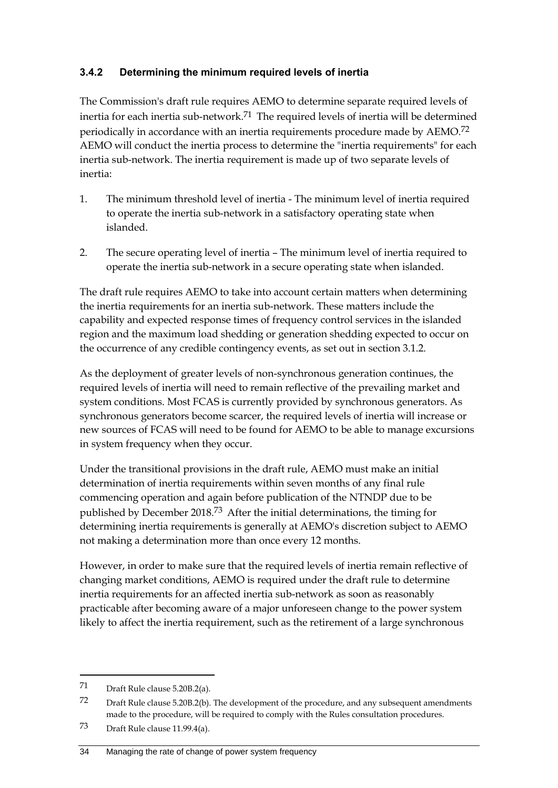### **3.4.2 Determining the minimum required levels of inertia**

The Commission's draft rule requires AEMO to determine separate required levels of inertia for each inertia sub-network.<sup>71</sup> The required levels of inertia will be determined periodically in accordance with an inertia requirements procedure made by AEMO.72 AEMO will conduct the inertia process to determine the "inertia requirements" for each inertia sub-network. The inertia requirement is made up of two separate levels of inertia:

- 1. The minimum threshold level of inertia The minimum level of inertia required to operate the inertia sub-network in a satisfactory operating state when islanded.
- 2. The secure operating level of inertia The minimum level of inertia required to operate the inertia sub-network in a secure operating state when islanded.

The draft rule requires AEMO to take into account certain matters when determining the inertia requirements for an inertia sub-network. These matters include the capability and expected response times of frequency control services in the islanded region and the maximum load shedding or generation shedding expected to occur on the occurrence of any credible contingency events, as set out in section 3.1.2.

As the deployment of greater levels of non-synchronous generation continues, the required levels of inertia will need to remain reflective of the prevailing market and system conditions. Most FCAS is currently provided by synchronous generators. As synchronous generators become scarcer, the required levels of inertia will increase or new sources of FCAS will need to be found for AEMO to be able to manage excursions in system frequency when they occur.

Under the transitional provisions in the draft rule, AEMO must make an initial determination of inertia requirements within seven months of any final rule commencing operation and again before publication of the NTNDP due to be published by December 2018.73 After the initial determinations, the timing for determining inertia requirements is generally at AEMO's discretion subject to AEMO not making a determination more than once every 12 months.

However, in order to make sure that the required levels of inertia remain reflective of changing market conditions, AEMO is required under the draft rule to determine inertia requirements for an affected inertia sub-network as soon as reasonably practicable after becoming aware of a major unforeseen change to the power system likely to affect the inertia requirement, such as the retirement of a large synchronous

<sup>71</sup> Draft Rule clause 5.20B.2(a).

<sup>72</sup> Draft Rule clause 5.20B.2(b). The development of the procedure, and any subsequent amendments made to the procedure, will be required to comply with the Rules consultation procedures.

<sup>73</sup> Draft Rule clause 11.99.4(a).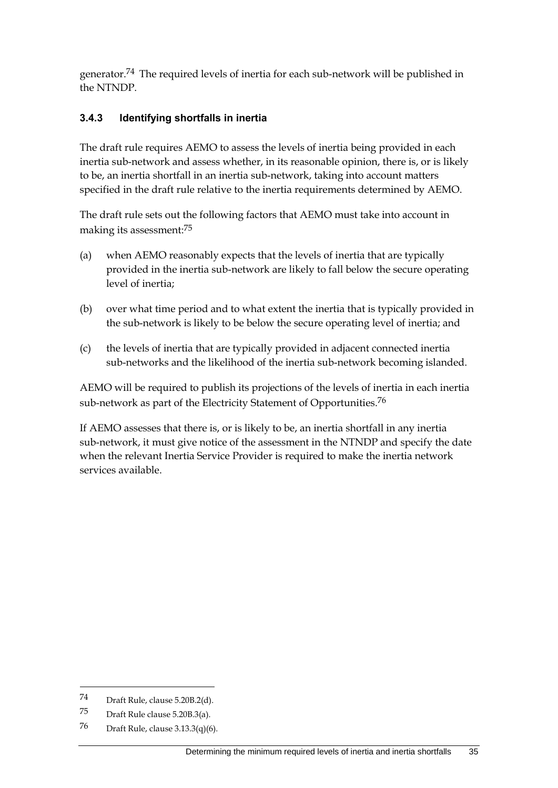generator.74 The required levels of inertia for each sub-network will be published in the NTNDP.

### **3.4.3 Identifying shortfalls in inertia**

The draft rule requires AEMO to assess the levels of inertia being provided in each inertia sub-network and assess whether, in its reasonable opinion, there is, or is likely to be, an inertia shortfall in an inertia sub-network, taking into account matters specified in the draft rule relative to the inertia requirements determined by AEMO.

The draft rule sets out the following factors that AEMO must take into account in making its assessment:75

- (a) when AEMO reasonably expects that the levels of inertia that are typically provided in the inertia sub-network are likely to fall below the secure operating level of inertia;
- (b) over what time period and to what extent the inertia that is typically provided in the sub-network is likely to be below the secure operating level of inertia; and
- (c) the levels of inertia that are typically provided in adjacent connected inertia sub-networks and the likelihood of the inertia sub-network becoming islanded.

AEMO will be required to publish its projections of the levels of inertia in each inertia sub-network as part of the Electricity Statement of Opportunities.<sup>76</sup>

If AEMO assesses that there is, or is likely to be, an inertia shortfall in any inertia sub-network, it must give notice of the assessment in the NTNDP and specify the date when the relevant Inertia Service Provider is required to make the inertia network services available.

<sup>74</sup> Draft Rule, clause 5.20B.2(d).

<sup>75</sup> Draft Rule clause 5.20B.3(a).

<sup>76</sup> Draft Rule, clause 3.13.3(q)(6).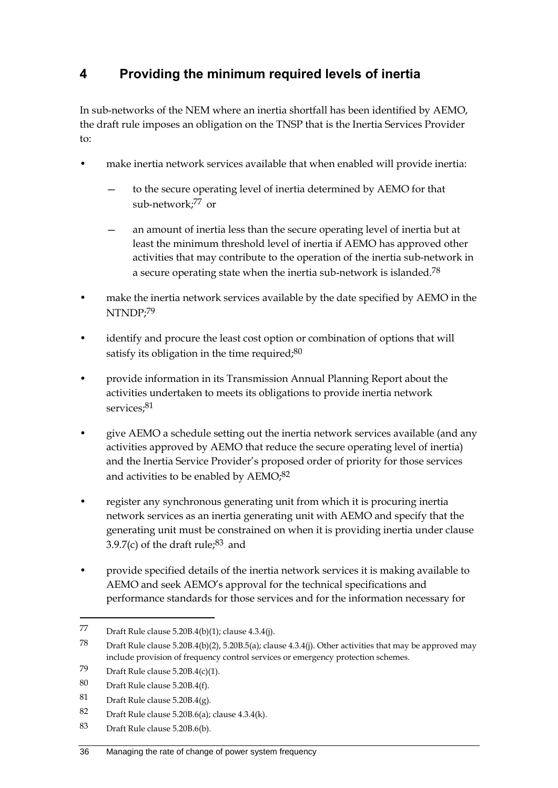# **4 Providing the minimum required levels of inertia**

In sub-networks of the NEM where an inertia shortfall has been identified by AEMO, the draft rule imposes an obligation on the TNSP that is the Inertia Services Provider to:

- make inertia network services available that when enabled will provide inertia:
	- to the secure operating level of inertia determined by AEMO for that sub-network;77 or
	- an amount of inertia less than the secure operating level of inertia but at least the minimum threshold level of inertia if AEMO has approved other activities that may contribute to the operation of the inertia sub-network in a secure operating state when the inertia sub-network is islanded.78
- make the inertia network services available by the date specified by AEMO in the NTNDP;79
- identify and procure the least cost option or combination of options that will satisfy its obligation in the time required; $80$
- provide information in its Transmission Annual Planning Report about the activities undertaken to meets its obligations to provide inertia network services:<sup>81</sup>
- give AEMO a schedule setting out the inertia network services available (and any activities approved by AEMO that reduce the secure operating level of inertia) and the Inertia Service Provider's proposed order of priority for those services and activities to be enabled by AEMO;<sup>82</sup>
- register any synchronous generating unit from which it is procuring inertia network services as an inertia generating unit with AEMO and specify that the generating unit must be constrained on when it is providing inertia under clause 3.9.7(c) of the draft rule; $83$  and
- provide specified details of the inertia network services it is making available to AEMO and seek AEMO's approval for the technical specifications and performance standards for those services and for the information necessary for

<sup>77</sup> Draft Rule clause 5.20B.4(b)(1); clause 4.3.4(j).

<sup>78</sup> Draft Rule clause 5.20B.4(b)(2), 5.20B.5(a); clause 4.3.4(j). Other activities that may be approved may include provision of frequency control services or emergency protection schemes.

<sup>79</sup> Draft Rule clause  $5.20B.4(c)(1)$ .

<sup>80</sup> Draft Rule clause 5.20B.4(f).

<sup>81</sup> Draft Rule clause 5.20B.4(g).

<sup>82</sup> Draft Rule clause 5.20B.6(a); clause  $4.3.4(k)$ .

<sup>83</sup> Draft Rule clause 5.20B.6(b).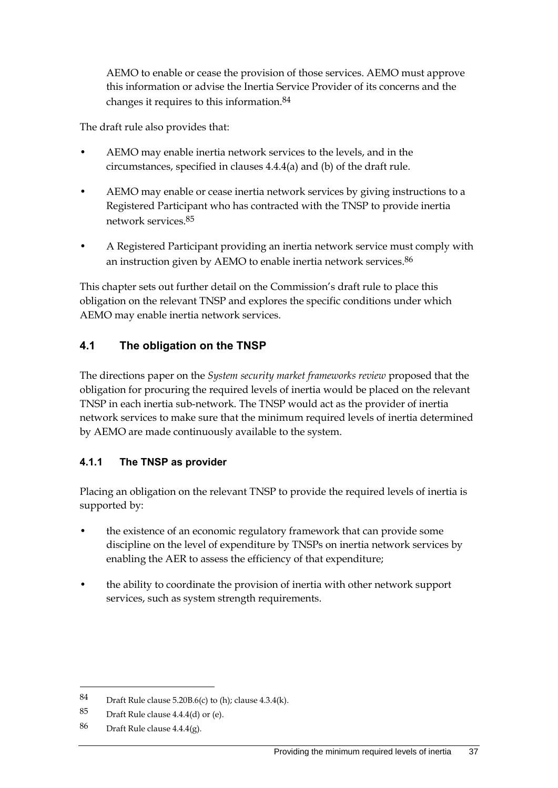AEMO to enable or cease the provision of those services. AEMO must approve this information or advise the Inertia Service Provider of its concerns and the changes it requires to this information.84

The draft rule also provides that:

- AEMO may enable inertia network services to the levels, and in the circumstances, specified in clauses 4.4.4(a) and (b) of the draft rule.
- AEMO may enable or cease inertia network services by giving instructions to a Registered Participant who has contracted with the TNSP to provide inertia network services.85
- A Registered Participant providing an inertia network service must comply with an instruction given by AEMO to enable inertia network services.<sup>86</sup>

This chapter sets out further detail on the Commission's draft rule to place this obligation on the relevant TNSP and explores the specific conditions under which AEMO may enable inertia network services.

### **4.1 The obligation on the TNSP**

The directions paper on the *System security market frameworks review* proposed that the obligation for procuring the required levels of inertia would be placed on the relevant TNSP in each inertia sub-network. The TNSP would act as the provider of inertia network services to make sure that the minimum required levels of inertia determined by AEMO are made continuously available to the system.

#### **4.1.1 The TNSP as provider**

Placing an obligation on the relevant TNSP to provide the required levels of inertia is supported by:

- the existence of an economic regulatory framework that can provide some discipline on the level of expenditure by TNSPs on inertia network services by enabling the AER to assess the efficiency of that expenditure;
- the ability to coordinate the provision of inertia with other network support services, such as system strength requirements.

<sup>84</sup> Draft Rule clause 5.20B.6(c) to (h); clause 4.3.4(k).

<sup>85</sup> Draft Rule clause 4.4.4(d) or (e).

<sup>86</sup> Draft Rule clause 4.4.4(g).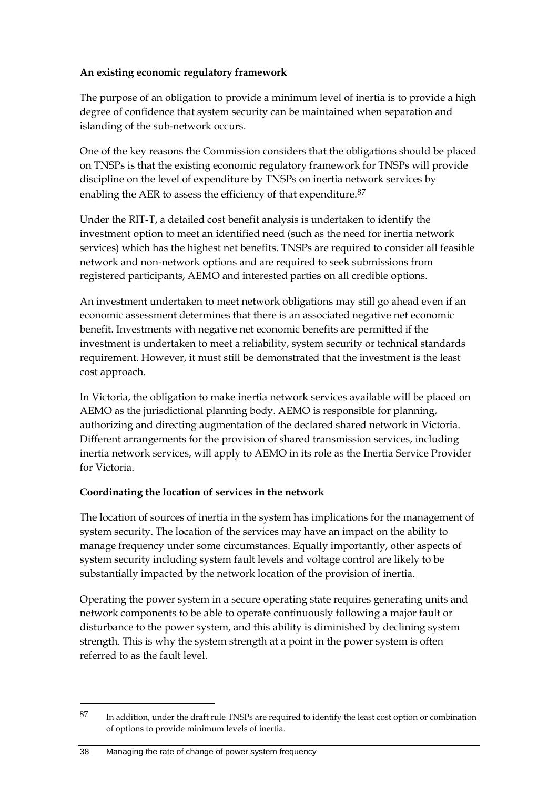#### **An existing economic regulatory framework**

The purpose of an obligation to provide a minimum level of inertia is to provide a high degree of confidence that system security can be maintained when separation and islanding of the sub-network occurs.

One of the key reasons the Commission considers that the obligations should be placed on TNSPs is that the existing economic regulatory framework for TNSPs will provide discipline on the level of expenditure by TNSPs on inertia network services by enabling the AER to assess the efficiency of that expenditure.<sup>87</sup>

Under the RIT-T, a detailed cost benefit analysis is undertaken to identify the investment option to meet an identified need (such as the need for inertia network services) which has the highest net benefits. TNSPs are required to consider all feasible network and non-network options and are required to seek submissions from registered participants, AEMO and interested parties on all credible options.

An investment undertaken to meet network obligations may still go ahead even if an economic assessment determines that there is an associated negative net economic benefit. Investments with negative net economic benefits are permitted if the investment is undertaken to meet a reliability, system security or technical standards requirement. However, it must still be demonstrated that the investment is the least cost approach.

In Victoria, the obligation to make inertia network services available will be placed on AEMO as the jurisdictional planning body. AEMO is responsible for planning, authorizing and directing augmentation of the declared shared network in Victoria. Different arrangements for the provision of shared transmission services, including inertia network services, will apply to AEMO in its role as the Inertia Service Provider for Victoria.

#### **Coordinating the location of services in the network**

The location of sources of inertia in the system has implications for the management of system security. The location of the services may have an impact on the ability to manage frequency under some circumstances. Equally importantly, other aspects of system security including system fault levels and voltage control are likely to be substantially impacted by the network location of the provision of inertia.

Operating the power system in a secure operating state requires generating units and network components to be able to operate continuously following a major fault or disturbance to the power system, and this ability is diminished by declining system strength. This is why the system strength at a point in the power system is often referred to as the fault level.

1

<sup>87</sup> In addition, under the draft rule TNSPs are required to identify the least cost option or combination of options to provide minimum levels of inertia.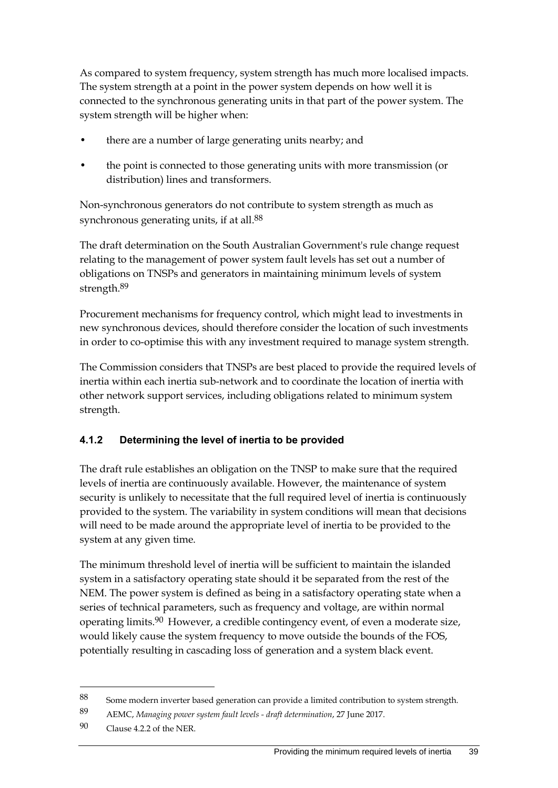As compared to system frequency, system strength has much more localised impacts. The system strength at a point in the power system depends on how well it is connected to the synchronous generating units in that part of the power system. The system strength will be higher when:

- there are a number of large generating units nearby; and
- the point is connected to those generating units with more transmission (or distribution) lines and transformers.

Non-synchronous generators do not contribute to system strength as much as synchronous generating units, if at all.<sup>88</sup>

The draft determination on the South Australian Government's rule change request relating to the management of power system fault levels has set out a number of obligations on TNSPs and generators in maintaining minimum levels of system strength.89

Procurement mechanisms for frequency control, which might lead to investments in new synchronous devices, should therefore consider the location of such investments in order to co-optimise this with any investment required to manage system strength.

The Commission considers that TNSPs are best placed to provide the required levels of inertia within each inertia sub-network and to coordinate the location of inertia with other network support services, including obligations related to minimum system strength.

#### **4.1.2 Determining the level of inertia to be provided**

The draft rule establishes an obligation on the TNSP to make sure that the required levels of inertia are continuously available. However, the maintenance of system security is unlikely to necessitate that the full required level of inertia is continuously provided to the system. The variability in system conditions will mean that decisions will need to be made around the appropriate level of inertia to be provided to the system at any given time.

The minimum threshold level of inertia will be sufficient to maintain the islanded system in a satisfactory operating state should it be separated from the rest of the NEM. The power system is defined as being in a satisfactory operating state when a series of technical parameters, such as frequency and voltage, are within normal operating limits.<sup>90</sup> However, a credible contingency event, of even a moderate size, would likely cause the system frequency to move outside the bounds of the FOS, potentially resulting in cascading loss of generation and a system black event.

<sup>88</sup> Some modern inverter based generation can provide a limited contribution to system strength.

<sup>89</sup> AEMC, *Managing power system fault levels - draft determination*, 27 June 2017.

<sup>90</sup> Clause 4.2.2 of the NER.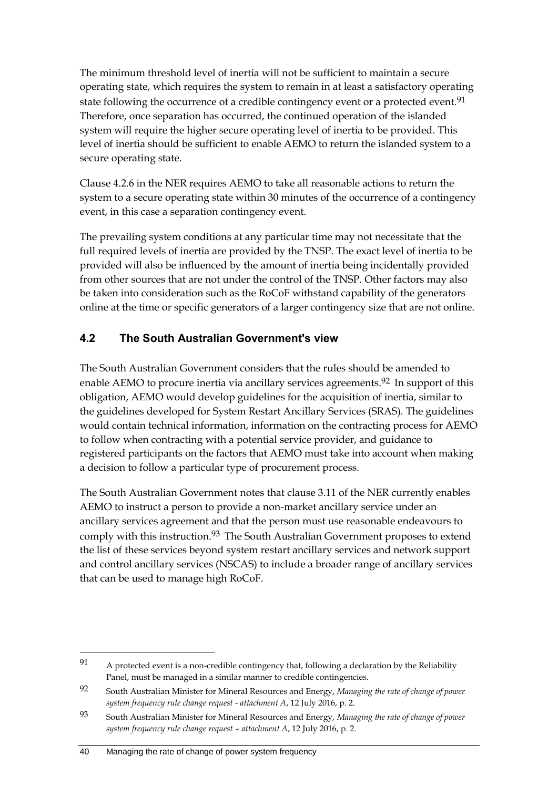The minimum threshold level of inertia will not be sufficient to maintain a secure operating state, which requires the system to remain in at least a satisfactory operating state following the occurrence of a credible contingency event or a protected event.<sup>91</sup> Therefore, once separation has occurred, the continued operation of the islanded system will require the higher secure operating level of inertia to be provided. This level of inertia should be sufficient to enable AEMO to return the islanded system to a secure operating state.

Clause 4.2.6 in the NER requires AEMO to take all reasonable actions to return the system to a secure operating state within 30 minutes of the occurrence of a contingency event, in this case a separation contingency event.

The prevailing system conditions at any particular time may not necessitate that the full required levels of inertia are provided by the TNSP. The exact level of inertia to be provided will also be influenced by the amount of inertia being incidentally provided from other sources that are not under the control of the TNSP. Other factors may also be taken into consideration such as the RoCoF withstand capability of the generators online at the time or specific generators of a larger contingency size that are not online.

## **4.2 The South Australian Government's view**

The South Australian Government considers that the rules should be amended to enable AEMO to procure inertia via ancillary services agreements.<sup>92</sup> In support of this obligation, AEMO would develop guidelines for the acquisition of inertia, similar to the guidelines developed for System Restart Ancillary Services (SRAS). The guidelines would contain technical information, information on the contracting process for AEMO to follow when contracting with a potential service provider, and guidance to registered participants on the factors that AEMO must take into account when making a decision to follow a particular type of procurement process.

The South Australian Government notes that clause 3.11 of the NER currently enables AEMO to instruct a person to provide a non-market ancillary service under an ancillary services agreement and that the person must use reasonable endeavours to comply with this instruction.<sup>93</sup> The South Australian Government proposes to extend the list of these services beyond system restart ancillary services and network support and control ancillary services (NSCAS) to include a broader range of ancillary services that can be used to manage high RoCoF.

<sup>91</sup> A protected event is a non-credible contingency that, following a declaration by the Reliability Panel, must be managed in a similar manner to credible contingencies.

<sup>92</sup> South Australian Minister for Mineral Resources and Energy, *Managing the rate of change of power system frequency rule change request - attachment A*, 12 July 2016, p. 2.

<sup>93</sup> South Australian Minister for Mineral Resources and Energy, *Managing the rate of change of power system frequency rule change request – attachment A*, 12 July 2016, p. 2.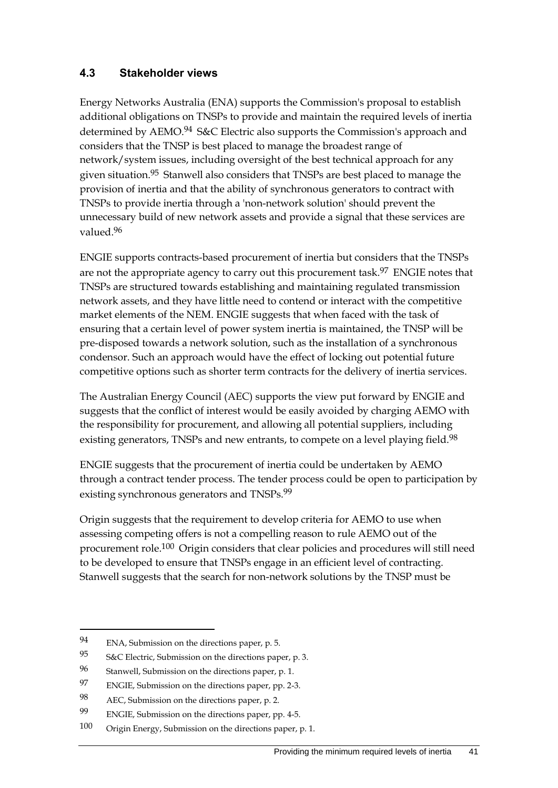### **4.3 Stakeholder views**

Energy Networks Australia (ENA) supports the Commission's proposal to establish additional obligations on TNSPs to provide and maintain the required levels of inertia determined by AEMO.94 S&C Electric also supports the Commission's approach and considers that the TNSP is best placed to manage the broadest range of network/system issues, including oversight of the best technical approach for any given situation.<sup>95</sup> Stanwell also considers that TNSPs are best placed to manage the provision of inertia and that the ability of synchronous generators to contract with TNSPs to provide inertia through a 'non-network solution' should prevent the unnecessary build of new network assets and provide a signal that these services are valued.96

ENGIE supports contracts-based procurement of inertia but considers that the TNSPs are not the appropriate agency to carry out this procurement task.<sup>97</sup> ENGIE notes that TNSPs are structured towards establishing and maintaining regulated transmission network assets, and they have little need to contend or interact with the competitive market elements of the NEM. ENGIE suggests that when faced with the task of ensuring that a certain level of power system inertia is maintained, the TNSP will be pre-disposed towards a network solution, such as the installation of a synchronous condensor. Such an approach would have the effect of locking out potential future competitive options such as shorter term contracts for the delivery of inertia services.

The Australian Energy Council (AEC) supports the view put forward by ENGIE and suggests that the conflict of interest would be easily avoided by charging AEMO with the responsibility for procurement, and allowing all potential suppliers, including existing generators, TNSPs and new entrants, to compete on a level playing field.<sup>98</sup>

ENGIE suggests that the procurement of inertia could be undertaken by AEMO through a contract tender process. The tender process could be open to participation by existing synchronous generators and TNSPs.<sup>99</sup>

Origin suggests that the requirement to develop criteria for AEMO to use when assessing competing offers is not a compelling reason to rule AEMO out of the procurement role.100 Origin considers that clear policies and procedures will still need to be developed to ensure that TNSPs engage in an efficient level of contracting. Stanwell suggests that the search for non-network solutions by the TNSP must be

<sup>94</sup> ENA, Submission on the directions paper, p. 5.

<sup>95</sup> S&C Electric, Submission on the directions paper, p. 3.

<sup>96</sup> Stanwell, Submission on the directions paper, p. 1.

<sup>97</sup> ENGIE, Submission on the directions paper, pp. 2-3.

<sup>98</sup> AEC, Submission on the directions paper, p. 2.

<sup>99</sup> ENGIE, Submission on the directions paper, pp. 4-5.

<sup>100</sup> Origin Energy, Submission on the directions paper, p. 1.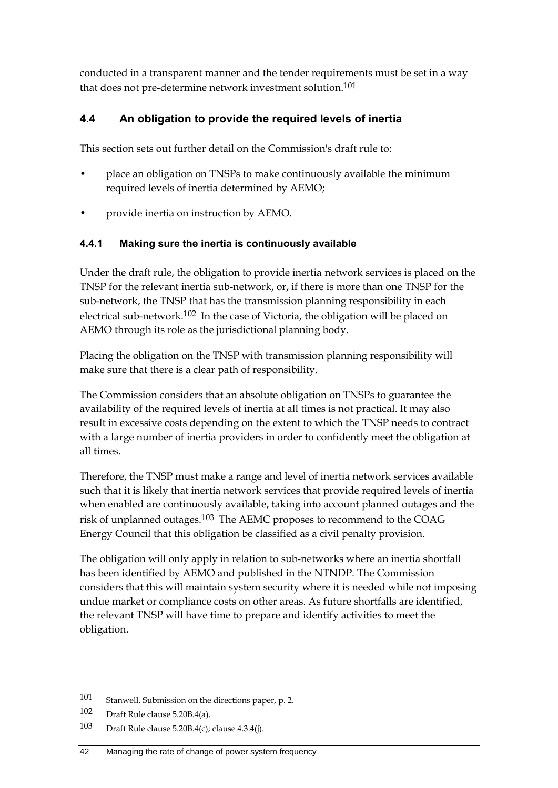conducted in a transparent manner and the tender requirements must be set in a way that does not pre-determine network investment solution.<sup>101</sup>

## **4.4 An obligation to provide the required levels of inertia**

This section sets out further detail on the Commission's draft rule to:

- place an obligation on TNSPs to make continuously available the minimum required levels of inertia determined by AEMO;
- provide inertia on instruction by AEMO.

#### **4.4.1 Making sure the inertia is continuously available**

Under the draft rule, the obligation to provide inertia network services is placed on the TNSP for the relevant inertia sub-network, or, if there is more than one TNSP for the sub-network, the TNSP that has the transmission planning responsibility in each electrical sub-network.102 In the case of Victoria, the obligation will be placed on AEMO through its role as the jurisdictional planning body.

Placing the obligation on the TNSP with transmission planning responsibility will make sure that there is a clear path of responsibility.

The Commission considers that an absolute obligation on TNSPs to guarantee the availability of the required levels of inertia at all times is not practical. It may also result in excessive costs depending on the extent to which the TNSP needs to contract with a large number of inertia providers in order to confidently meet the obligation at all times.

Therefore, the TNSP must make a range and level of inertia network services available such that it is likely that inertia network services that provide required levels of inertia when enabled are continuously available, taking into account planned outages and the risk of unplanned outages.103 The AEMC proposes to recommend to the COAG Energy Council that this obligation be classified as a civil penalty provision.

The obligation will only apply in relation to sub-networks where an inertia shortfall has been identified by AEMO and published in the NTNDP. The Commission considers that this will maintain system security where it is needed while not imposing undue market or compliance costs on other areas. As future shortfalls are identified, the relevant TNSP will have time to prepare and identify activities to meet the obligation.

<sup>101</sup> Stanwell, Submission on the directions paper, p. 2.

<sup>102</sup> Draft Rule clause 5.20B.4(a).

<sup>103</sup> Draft Rule clause 5.20B.4(c); clause 4.3.4(j).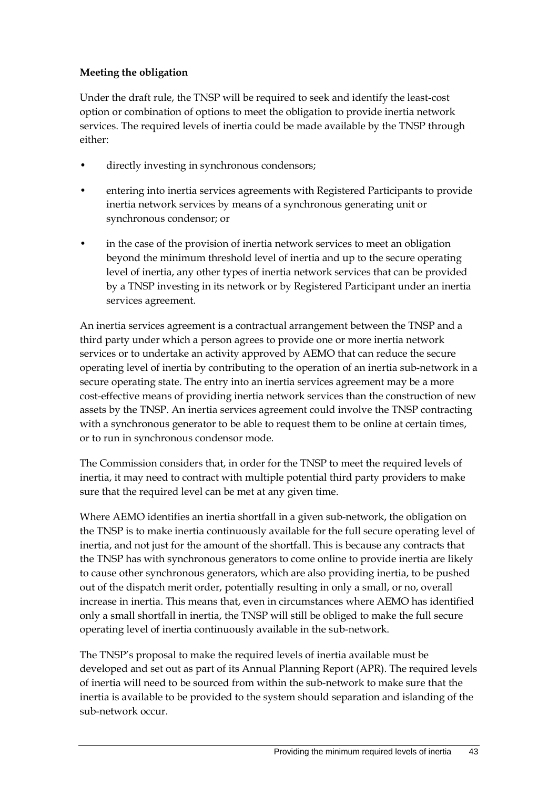#### **Meeting the obligation**

Under the draft rule, the TNSP will be required to seek and identify the least-cost option or combination of options to meet the obligation to provide inertia network services. The required levels of inertia could be made available by the TNSP through either:

- directly investing in synchronous condensors;
- entering into inertia services agreements with Registered Participants to provide inertia network services by means of a synchronous generating unit or synchronous condensor; or
- in the case of the provision of inertia network services to meet an obligation beyond the minimum threshold level of inertia and up to the secure operating level of inertia, any other types of inertia network services that can be provided by a TNSP investing in its network or by Registered Participant under an inertia services agreement.

An inertia services agreement is a contractual arrangement between the TNSP and a third party under which a person agrees to provide one or more inertia network services or to undertake an activity approved by AEMO that can reduce the secure operating level of inertia by contributing to the operation of an inertia sub-network in a secure operating state. The entry into an inertia services agreement may be a more cost-effective means of providing inertia network services than the construction of new assets by the TNSP. An inertia services agreement could involve the TNSP contracting with a synchronous generator to be able to request them to be online at certain times, or to run in synchronous condensor mode.

The Commission considers that, in order for the TNSP to meet the required levels of inertia, it may need to contract with multiple potential third party providers to make sure that the required level can be met at any given time.

Where AEMO identifies an inertia shortfall in a given sub-network, the obligation on the TNSP is to make inertia continuously available for the full secure operating level of inertia, and not just for the amount of the shortfall. This is because any contracts that the TNSP has with synchronous generators to come online to provide inertia are likely to cause other synchronous generators, which are also providing inertia, to be pushed out of the dispatch merit order, potentially resulting in only a small, or no, overall increase in inertia. This means that, even in circumstances where AEMO has identified only a small shortfall in inertia, the TNSP will still be obliged to make the full secure operating level of inertia continuously available in the sub-network.

The TNSP's proposal to make the required levels of inertia available must be developed and set out as part of its Annual Planning Report (APR). The required levels of inertia will need to be sourced from within the sub-network to make sure that the inertia is available to be provided to the system should separation and islanding of the sub-network occur.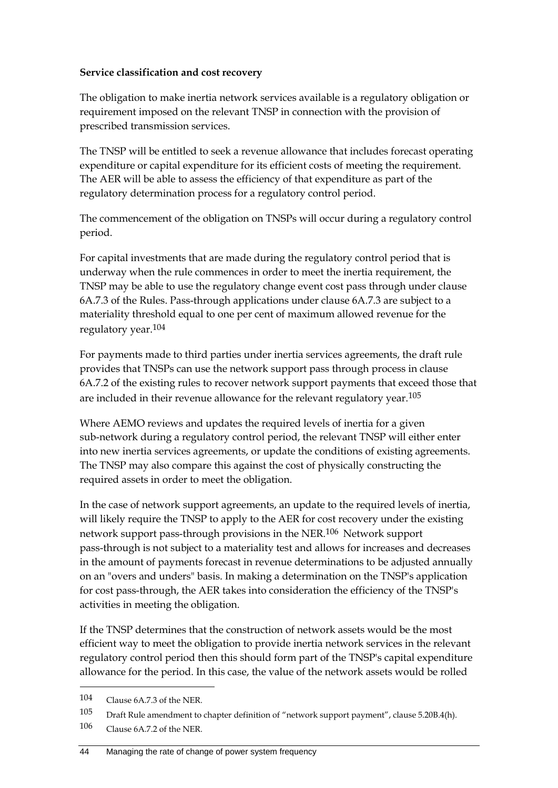#### **Service classification and cost recovery**

The obligation to make inertia network services available is a regulatory obligation or requirement imposed on the relevant TNSP in connection with the provision of prescribed transmission services.

The TNSP will be entitled to seek a revenue allowance that includes forecast operating expenditure or capital expenditure for its efficient costs of meeting the requirement. The AER will be able to assess the efficiency of that expenditure as part of the regulatory determination process for a regulatory control period.

The commencement of the obligation on TNSPs will occur during a regulatory control period.

For capital investments that are made during the regulatory control period that is underway when the rule commences in order to meet the inertia requirement, the TNSP may be able to use the regulatory change event cost pass through under clause 6A.7.3 of the Rules. Pass-through applications under clause 6A.7.3 are subject to a materiality threshold equal to one per cent of maximum allowed revenue for the regulatory year.104

For payments made to third parties under inertia services agreements, the draft rule provides that TNSPs can use the network support pass through process in clause 6A.7.2 of the existing rules to recover network support payments that exceed those that are included in their revenue allowance for the relevant regulatory year.105

Where AEMO reviews and updates the required levels of inertia for a given sub-network during a regulatory control period, the relevant TNSP will either enter into new inertia services agreements, or update the conditions of existing agreements. The TNSP may also compare this against the cost of physically constructing the required assets in order to meet the obligation.

In the case of network support agreements, an update to the required levels of inertia, will likely require the TNSP to apply to the AER for cost recovery under the existing network support pass-through provisions in the NER.106 Network support pass-through is not subject to a materiality test and allows for increases and decreases in the amount of payments forecast in revenue determinations to be adjusted annually on an "overs and unders" basis. In making a determination on the TNSP's application for cost pass-through, the AER takes into consideration the efficiency of the TNSP's activities in meeting the obligation.

If the TNSP determines that the construction of network assets would be the most efficient way to meet the obligation to provide inertia network services in the relevant regulatory control period then this should form part of the TNSP's capital expenditure allowance for the period. In this case, the value of the network assets would be rolled

<sup>104</sup> Clause 6A.7.3 of the NER.

<sup>105</sup> Draft Rule amendment to chapter definition of "network support payment", clause 5.20B.4(h).

<sup>106</sup> Clause 6A.7.2 of the NER.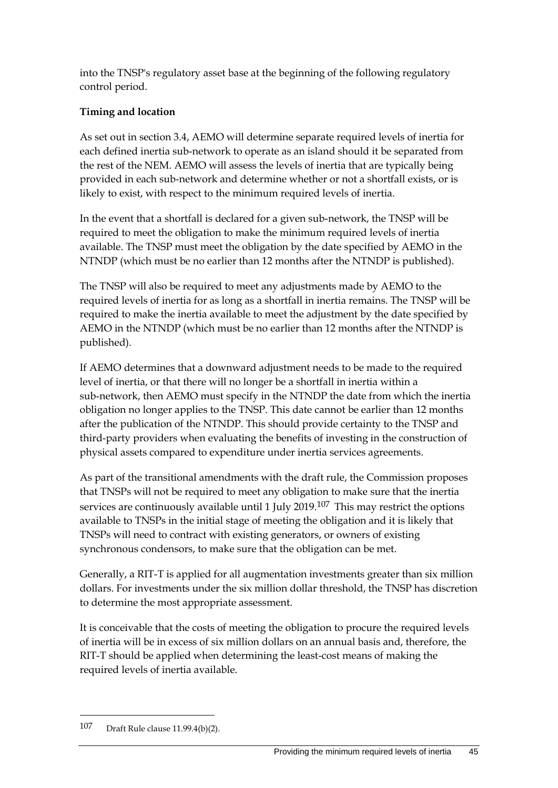into the TNSP's regulatory asset base at the beginning of the following regulatory control period.

### **Timing and location**

As set out in section 3.4, AEMO will determine separate required levels of inertia for each defined inertia sub-network to operate as an island should it be separated from the rest of the NEM. AEMO will assess the levels of inertia that are typically being provided in each sub-network and determine whether or not a shortfall exists, or is likely to exist, with respect to the minimum required levels of inertia.

In the event that a shortfall is declared for a given sub-network, the TNSP will be required to meet the obligation to make the minimum required levels of inertia available. The TNSP must meet the obligation by the date specified by AEMO in the NTNDP (which must be no earlier than 12 months after the NTNDP is published).

The TNSP will also be required to meet any adjustments made by AEMO to the required levels of inertia for as long as a shortfall in inertia remains. The TNSP will be required to make the inertia available to meet the adjustment by the date specified by AEMO in the NTNDP (which must be no earlier than 12 months after the NTNDP is published).

If AEMO determines that a downward adjustment needs to be made to the required level of inertia, or that there will no longer be a shortfall in inertia within a sub-network, then AEMO must specify in the NTNDP the date from which the inertia obligation no longer applies to the TNSP. This date cannot be earlier than 12 months after the publication of the NTNDP. This should provide certainty to the TNSP and third-party providers when evaluating the benefits of investing in the construction of physical assets compared to expenditure under inertia services agreements.

As part of the transitional amendments with the draft rule, the Commission proposes that TNSPs will not be required to meet any obligation to make sure that the inertia services are continuously available until 1 July 2019.<sup>107</sup> This may restrict the options available to TNSPs in the initial stage of meeting the obligation and it is likely that TNSPs will need to contract with existing generators, or owners of existing synchronous condensors, to make sure that the obligation can be met.

Generally, a RIT-T is applied for all augmentation investments greater than six million dollars. For investments under the six million dollar threshold, the TNSP has discretion to determine the most appropriate assessment.

It is conceivable that the costs of meeting the obligation to procure the required levels of inertia will be in excess of six million dollars on an annual basis and, therefore, the RIT-T should be applied when determining the least-cost means of making the required levels of inertia available.

1

<sup>107</sup> Draft Rule clause 11.99.4(b)(2).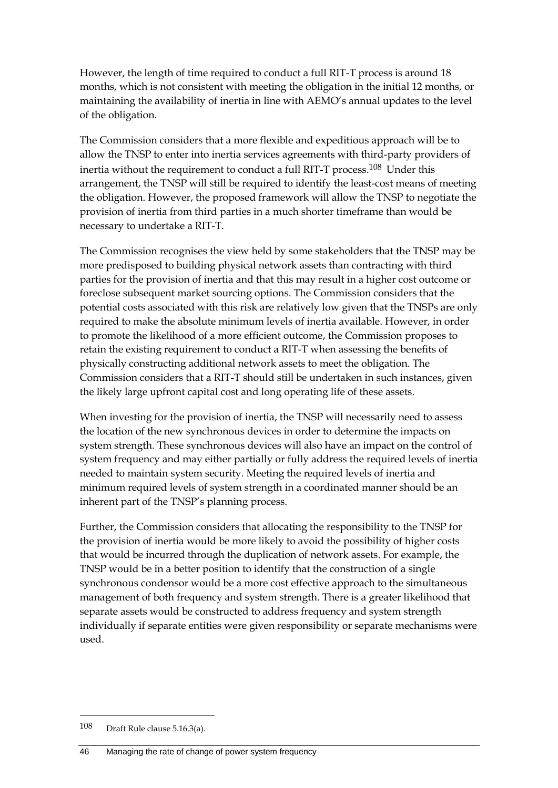However, the length of time required to conduct a full RIT-T process is around 18 months, which is not consistent with meeting the obligation in the initial 12 months, or maintaining the availability of inertia in line with AEMO's annual updates to the level of the obligation.

The Commission considers that a more flexible and expeditious approach will be to allow the TNSP to enter into inertia services agreements with third-party providers of inertia without the requirement to conduct a full RIT-T process.108 Under this arrangement, the TNSP will still be required to identify the least-cost means of meeting the obligation. However, the proposed framework will allow the TNSP to negotiate the provision of inertia from third parties in a much shorter timeframe than would be necessary to undertake a RIT-T.

The Commission recognises the view held by some stakeholders that the TNSP may be more predisposed to building physical network assets than contracting with third parties for the provision of inertia and that this may result in a higher cost outcome or foreclose subsequent market sourcing options. The Commission considers that the potential costs associated with this risk are relatively low given that the TNSPs are only required to make the absolute minimum levels of inertia available. However, in order to promote the likelihood of a more efficient outcome, the Commission proposes to retain the existing requirement to conduct a RIT-T when assessing the benefits of physically constructing additional network assets to meet the obligation. The Commission considers that a RIT-T should still be undertaken in such instances, given the likely large upfront capital cost and long operating life of these assets.

When investing for the provision of inertia, the TNSP will necessarily need to assess the location of the new synchronous devices in order to determine the impacts on system strength. These synchronous devices will also have an impact on the control of system frequency and may either partially or fully address the required levels of inertia needed to maintain system security. Meeting the required levels of inertia and minimum required levels of system strength in a coordinated manner should be an inherent part of the TNSP's planning process.

Further, the Commission considers that allocating the responsibility to the TNSP for the provision of inertia would be more likely to avoid the possibility of higher costs that would be incurred through the duplication of network assets. For example, the TNSP would be in a better position to identify that the construction of a single synchronous condensor would be a more cost effective approach to the simultaneous management of both frequency and system strength. There is a greater likelihood that separate assets would be constructed to address frequency and system strength individually if separate entities were given responsibility or separate mechanisms were used.

1

<sup>108</sup> Draft Rule clause 5.16.3(a).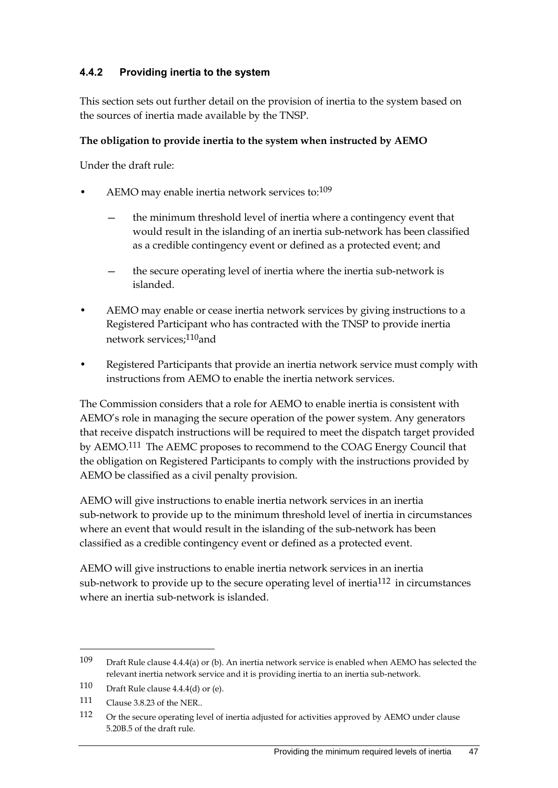### **4.4.2 Providing inertia to the system**

This section sets out further detail on the provision of inertia to the system based on the sources of inertia made available by the TNSP.

#### **The obligation to provide inertia to the system when instructed by AEMO**

Under the draft rule:

- AEMO may enable inertia network services to:109
	- the minimum threshold level of inertia where a contingency event that would result in the islanding of an inertia sub-network has been classified as a credible contingency event or defined as a protected event; and
	- the secure operating level of inertia where the inertia sub-network is islanded.
- AEMO may enable or cease inertia network services by giving instructions to a Registered Participant who has contracted with the TNSP to provide inertia network services;110and
- Registered Participants that provide an inertia network service must comply with instructions from AEMO to enable the inertia network services.

The Commission considers that a role for AEMO to enable inertia is consistent with AEMO's role in managing the secure operation of the power system. Any generators that receive dispatch instructions will be required to meet the dispatch target provided by AEMO.111 The AEMC proposes to recommend to the COAG Energy Council that the obligation on Registered Participants to comply with the instructions provided by AEMO be classified as a civil penalty provision.

AEMO will give instructions to enable inertia network services in an inertia sub-network to provide up to the minimum threshold level of inertia in circumstances where an event that would result in the islanding of the sub-network has been classified as a credible contingency event or defined as a protected event.

AEMO will give instructions to enable inertia network services in an inertia sub-network to provide up to the secure operating level of inertia<sup>112</sup> in circumstances where an inertia sub-network is islanded.

<sup>109</sup> Draft Rule clause 4.4.4(a) or (b). An inertia network service is enabled when AEMO has selected the relevant inertia network service and it is providing inertia to an inertia sub-network.

<sup>110</sup> Draft Rule clause 4.4.4(d) or (e).

<sup>111</sup> Clause 3.8.23 of the NER..

<sup>112</sup> Or the secure operating level of inertia adjusted for activities approved by AEMO under clause 5.20B.5 of the draft rule.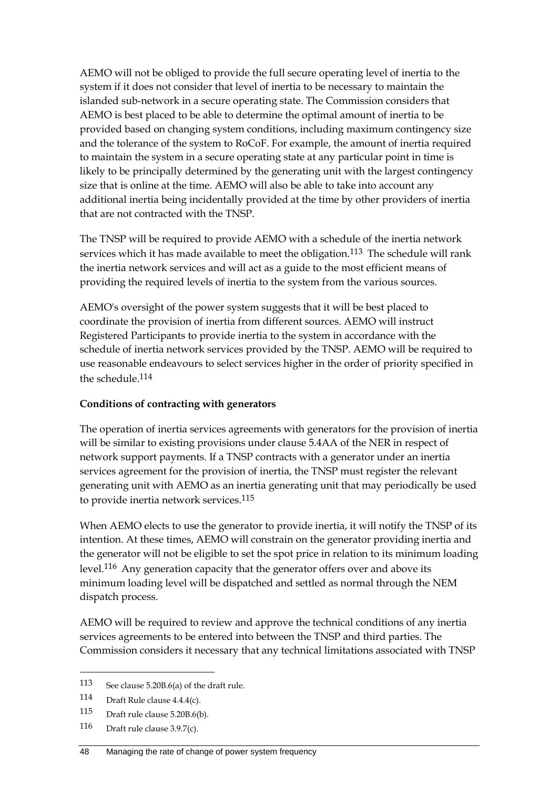AEMO will not be obliged to provide the full secure operating level of inertia to the system if it does not consider that level of inertia to be necessary to maintain the islanded sub-network in a secure operating state. The Commission considers that AEMO is best placed to be able to determine the optimal amount of inertia to be provided based on changing system conditions, including maximum contingency size and the tolerance of the system to RoCoF. For example, the amount of inertia required to maintain the system in a secure operating state at any particular point in time is likely to be principally determined by the generating unit with the largest contingency size that is online at the time. AEMO will also be able to take into account any additional inertia being incidentally provided at the time by other providers of inertia that are not contracted with the TNSP.

The TNSP will be required to provide AEMO with a schedule of the inertia network services which it has made available to meet the obligation.<sup>113</sup> The schedule will rank the inertia network services and will act as a guide to the most efficient means of providing the required levels of inertia to the system from the various sources.

AEMO's oversight of the power system suggests that it will be best placed to coordinate the provision of inertia from different sources. AEMO will instruct Registered Participants to provide inertia to the system in accordance with the schedule of inertia network services provided by the TNSP. AEMO will be required to use reasonable endeavours to select services higher in the order of priority specified in the schedule.114

#### **Conditions of contracting with generators**

The operation of inertia services agreements with generators for the provision of inertia will be similar to existing provisions under clause 5.4AA of the NER in respect of network support payments. If a TNSP contracts with a generator under an inertia services agreement for the provision of inertia, the TNSP must register the relevant generating unit with AEMO as an inertia generating unit that may periodically be used to provide inertia network services.<sup>115</sup>

When AEMO elects to use the generator to provide inertia, it will notify the TNSP of its intention. At these times, AEMO will constrain on the generator providing inertia and the generator will not be eligible to set the spot price in relation to its minimum loading level.116 Any generation capacity that the generator offers over and above its minimum loading level will be dispatched and settled as normal through the NEM dispatch process.

AEMO will be required to review and approve the technical conditions of any inertia services agreements to be entered into between the TNSP and third parties. The Commission considers it necessary that any technical limitations associated with TNSP

<sup>113</sup> See clause 5.20B.6(a) of the draft rule.

<sup>114</sup> Draft Rule clause 4.4.4(c).

<sup>115</sup> Draft rule clause 5.20B.6(b).

<sup>116</sup> Draft rule clause 3.9.7(c).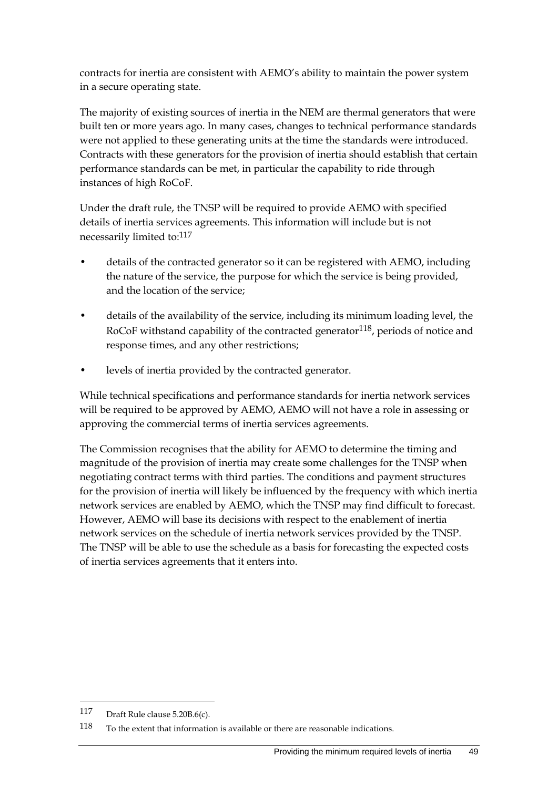contracts for inertia are consistent with AEMO's ability to maintain the power system in a secure operating state.

The majority of existing sources of inertia in the NEM are thermal generators that were built ten or more years ago. In many cases, changes to technical performance standards were not applied to these generating units at the time the standards were introduced. Contracts with these generators for the provision of inertia should establish that certain performance standards can be met, in particular the capability to ride through instances of high RoCoF.

Under the draft rule, the TNSP will be required to provide AEMO with specified details of inertia services agreements. This information will include but is not necessarily limited to:<sup>117</sup>

- details of the contracted generator so it can be registered with AEMO, including the nature of the service, the purpose for which the service is being provided, and the location of the service;
- details of the availability of the service, including its minimum loading level, the RoCoF withstand capability of the contracted generator  $118$ , periods of notice and response times, and any other restrictions;
- levels of inertia provided by the contracted generator.

While technical specifications and performance standards for inertia network services will be required to be approved by AEMO, AEMO will not have a role in assessing or approving the commercial terms of inertia services agreements.

The Commission recognises that the ability for AEMO to determine the timing and magnitude of the provision of inertia may create some challenges for the TNSP when negotiating contract terms with third parties. The conditions and payment structures for the provision of inertia will likely be influenced by the frequency with which inertia network services are enabled by AEMO, which the TNSP may find difficult to forecast. However, AEMO will base its decisions with respect to the enablement of inertia network services on the schedule of inertia network services provided by the TNSP. The TNSP will be able to use the schedule as a basis for forecasting the expected costs of inertia services agreements that it enters into.

1

<sup>117</sup> Draft Rule clause 5.20B.6(c).

<sup>118</sup> To the extent that information is available or there are reasonable indications.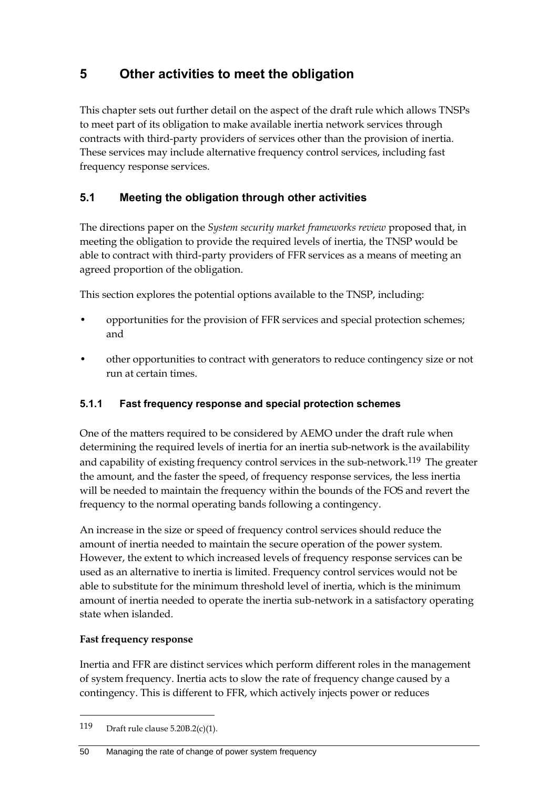# **5 Other activities to meet the obligation**

This chapter sets out further detail on the aspect of the draft rule which allows TNSPs to meet part of its obligation to make available inertia network services through contracts with third-party providers of services other than the provision of inertia. These services may include alternative frequency control services, including fast frequency response services.

## **5.1 Meeting the obligation through other activities**

The directions paper on the *System security market frameworks review* proposed that, in meeting the obligation to provide the required levels of inertia, the TNSP would be able to contract with third-party providers of FFR services as a means of meeting an agreed proportion of the obligation.

This section explores the potential options available to the TNSP, including:

- opportunities for the provision of FFR services and special protection schemes; and
- other opportunities to contract with generators to reduce contingency size or not run at certain times.

## **5.1.1 Fast frequency response and special protection schemes**

One of the matters required to be considered by AEMO under the draft rule when determining the required levels of inertia for an inertia sub-network is the availability and capability of existing frequency control services in the sub-network.<sup>119</sup> The greater the amount, and the faster the speed, of frequency response services, the less inertia will be needed to maintain the frequency within the bounds of the FOS and revert the frequency to the normal operating bands following a contingency.

An increase in the size or speed of frequency control services should reduce the amount of inertia needed to maintain the secure operation of the power system. However, the extent to which increased levels of frequency response services can be used as an alternative to inertia is limited. Frequency control services would not be able to substitute for the minimum threshold level of inertia, which is the minimum amount of inertia needed to operate the inertia sub-network in a satisfactory operating state when islanded.

#### **Fast frequency response**

1

Inertia and FFR are distinct services which perform different roles in the management of system frequency. Inertia acts to slow the rate of frequency change caused by a contingency. This is different to FFR, which actively injects power or reduces

<sup>119</sup> Draft rule clause 5.20B.2(c)(1).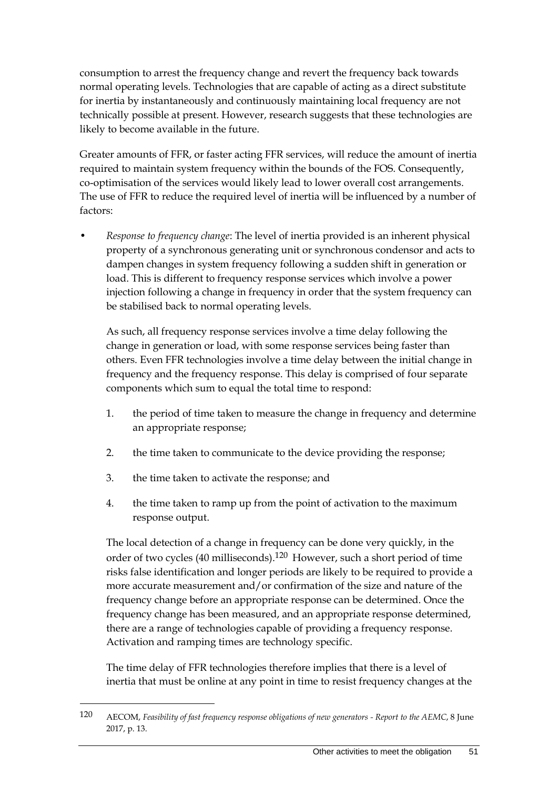consumption to arrest the frequency change and revert the frequency back towards normal operating levels. Technologies that are capable of acting as a direct substitute for inertia by instantaneously and continuously maintaining local frequency are not technically possible at present. However, research suggests that these technologies are likely to become available in the future.

Greater amounts of FFR, or faster acting FFR services, will reduce the amount of inertia required to maintain system frequency within the bounds of the FOS. Consequently, co-optimisation of the services would likely lead to lower overall cost arrangements. The use of FFR to reduce the required level of inertia will be influenced by a number of factors:

• *Response to frequency change*: The level of inertia provided is an inherent physical property of a synchronous generating unit or synchronous condensor and acts to dampen changes in system frequency following a sudden shift in generation or load. This is different to frequency response services which involve a power injection following a change in frequency in order that the system frequency can be stabilised back to normal operating levels.

As such, all frequency response services involve a time delay following the change in generation or load, with some response services being faster than others. Even FFR technologies involve a time delay between the initial change in frequency and the frequency response. This delay is comprised of four separate components which sum to equal the total time to respond:

- 1. the period of time taken to measure the change in frequency and determine an appropriate response;
- 2. the time taken to communicate to the device providing the response;
- 3. the time taken to activate the response; and

1

4. the time taken to ramp up from the point of activation to the maximum response output.

The local detection of a change in frequency can be done very quickly, in the order of two cycles (40 milliseconds).120 However, such a short period of time risks false identification and longer periods are likely to be required to provide a more accurate measurement and/or confirmation of the size and nature of the frequency change before an appropriate response can be determined. Once the frequency change has been measured, and an appropriate response determined, there are a range of technologies capable of providing a frequency response. Activation and ramping times are technology specific.

The time delay of FFR technologies therefore implies that there is a level of inertia that must be online at any point in time to resist frequency changes at the

<sup>120</sup> AECOM, *Feasibility of fast frequency response obligations of new generators - Report to the AEMC*, 8 June 2017, p. 13.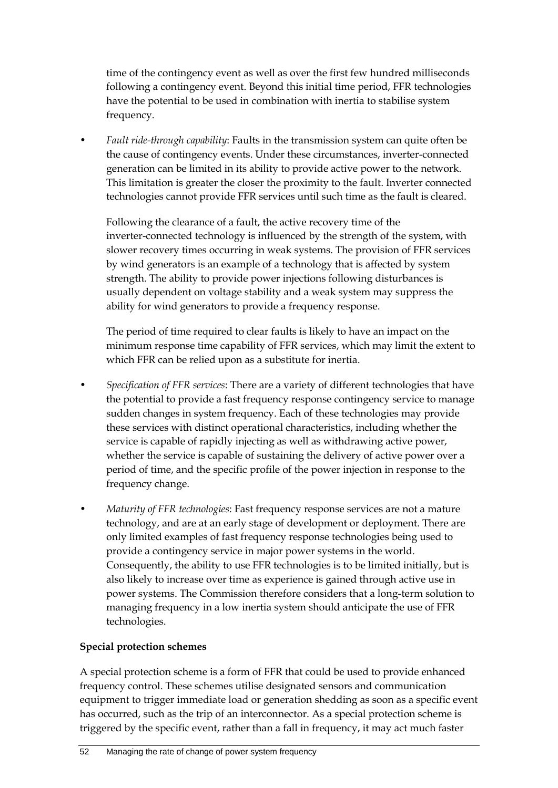time of the contingency event as well as over the first few hundred milliseconds following a contingency event. Beyond this initial time period, FFR technologies have the potential to be used in combination with inertia to stabilise system frequency.

• *Fault ride-through capability*: Faults in the transmission system can quite often be the cause of contingency events. Under these circumstances, inverter-connected generation can be limited in its ability to provide active power to the network. This limitation is greater the closer the proximity to the fault. Inverter connected technologies cannot provide FFR services until such time as the fault is cleared.

Following the clearance of a fault, the active recovery time of the inverter-connected technology is influenced by the strength of the system, with slower recovery times occurring in weak systems. The provision of FFR services by wind generators is an example of a technology that is affected by system strength. The ability to provide power injections following disturbances is usually dependent on voltage stability and a weak system may suppress the ability for wind generators to provide a frequency response.

The period of time required to clear faults is likely to have an impact on the minimum response time capability of FFR services, which may limit the extent to which FFR can be relied upon as a substitute for inertia.

- *Specification of FFR services*: There are a variety of different technologies that have the potential to provide a fast frequency response contingency service to manage sudden changes in system frequency. Each of these technologies may provide these services with distinct operational characteristics, including whether the service is capable of rapidly injecting as well as withdrawing active power, whether the service is capable of sustaining the delivery of active power over a period of time, and the specific profile of the power injection in response to the frequency change.
- *Maturity of FFR technologies*: Fast frequency response services are not a mature technology, and are at an early stage of development or deployment. There are only limited examples of fast frequency response technologies being used to provide a contingency service in major power systems in the world. Consequently, the ability to use FFR technologies is to be limited initially, but is also likely to increase over time as experience is gained through active use in power systems. The Commission therefore considers that a long-term solution to managing frequency in a low inertia system should anticipate the use of FFR technologies.

#### **Special protection schemes**

A special protection scheme is a form of FFR that could be used to provide enhanced frequency control. These schemes utilise designated sensors and communication equipment to trigger immediate load or generation shedding as soon as a specific event has occurred, such as the trip of an interconnector. As a special protection scheme is triggered by the specific event, rather than a fall in frequency, it may act much faster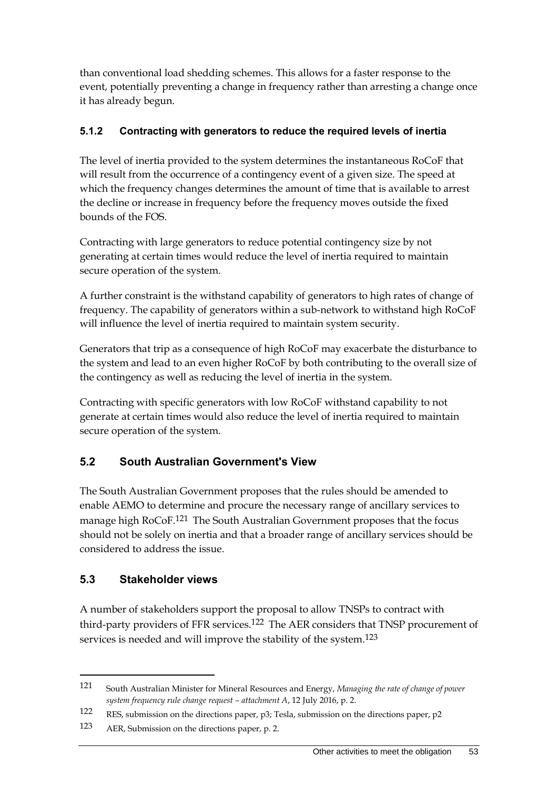than conventional load shedding schemes. This allows for a faster response to the event, potentially preventing a change in frequency rather than arresting a change once it has already begun.

### **5.1.2 Contracting with generators to reduce the required levels of inertia**

The level of inertia provided to the system determines the instantaneous RoCoF that will result from the occurrence of a contingency event of a given size. The speed at which the frequency changes determines the amount of time that is available to arrest the decline or increase in frequency before the frequency moves outside the fixed bounds of the FOS.

Contracting with large generators to reduce potential contingency size by not generating at certain times would reduce the level of inertia required to maintain secure operation of the system.

A further constraint is the withstand capability of generators to high rates of change of frequency. The capability of generators within a sub-network to withstand high RoCoF will influence the level of inertia required to maintain system security.

Generators that trip as a consequence of high RoCoF may exacerbate the disturbance to the system and lead to an even higher RoCoF by both contributing to the overall size of the contingency as well as reducing the level of inertia in the system.

Contracting with specific generators with low RoCoF withstand capability to not generate at certain times would also reduce the level of inertia required to maintain secure operation of the system.

## **5.2 South Australian Government's View**

The South Australian Government proposes that the rules should be amended to enable AEMO to determine and procure the necessary range of ancillary services to manage high RoCoF.<sup>121</sup> The South Australian Government proposes that the focus should not be solely on inertia and that a broader range of ancillary services should be considered to address the issue.

## **5.3 Stakeholder views**

<u>.</u>

A number of stakeholders support the proposal to allow TNSPs to contract with third-party providers of FFR services.122 The AER considers that TNSP procurement of services is needed and will improve the stability of the system.<sup>123</sup>

<sup>121</sup> South Australian Minister for Mineral Resources and Energy, *Managing the rate of change of power system frequency rule change request – attachment A*, 12 July 2016, p. 2.

<sup>122</sup> RES, submission on the directions paper, p3; Tesla, submission on the directions paper, p2

<sup>123</sup> AER, Submission on the directions paper, p. 2.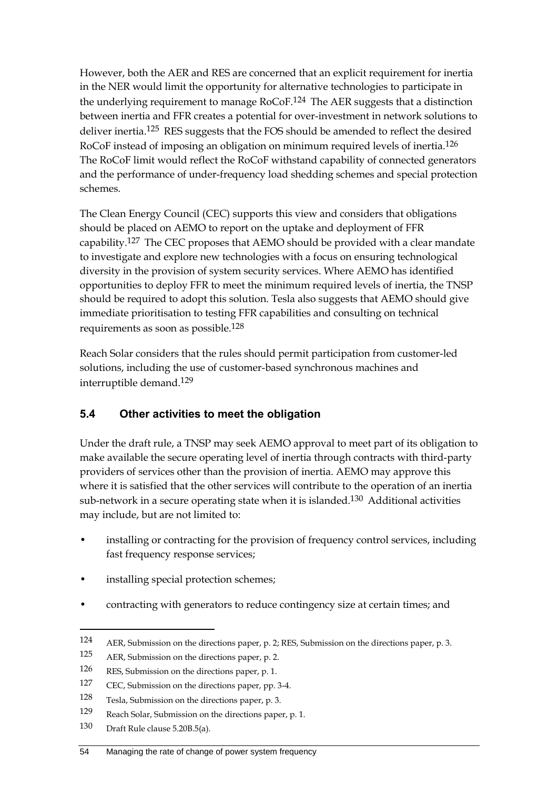However, both the AER and RES are concerned that an explicit requirement for inertia in the NER would limit the opportunity for alternative technologies to participate in the underlying requirement to manage RoCoF.<sup>124</sup> The AER suggests that a distinction between inertia and FFR creates a potential for over-investment in network solutions to deliver inertia.125 RES suggests that the FOS should be amended to reflect the desired RoCoF instead of imposing an obligation on minimum required levels of inertia.126 The RoCoF limit would reflect the RoCoF withstand capability of connected generators and the performance of under-frequency load shedding schemes and special protection schemes.

The Clean Energy Council (CEC) supports this view and considers that obligations should be placed on AEMO to report on the uptake and deployment of FFR capability.127 The CEC proposes that AEMO should be provided with a clear mandate to investigate and explore new technologies with a focus on ensuring technological diversity in the provision of system security services. Where AEMO has identified opportunities to deploy FFR to meet the minimum required levels of inertia, the TNSP should be required to adopt this solution. Tesla also suggests that AEMO should give immediate prioritisation to testing FFR capabilities and consulting on technical requirements as soon as possible.128

Reach Solar considers that the rules should permit participation from customer-led solutions, including the use of customer-based synchronous machines and interruptible demand.129

## **5.4 Other activities to meet the obligation**

Under the draft rule, a TNSP may seek AEMO approval to meet part of its obligation to make available the secure operating level of inertia through contracts with third-party providers of services other than the provision of inertia. AEMO may approve this where it is satisfied that the other services will contribute to the operation of an inertia sub-network in a secure operating state when it is islanded.130 Additional activities may include, but are not limited to:

- installing or contracting for the provision of frequency control services, including fast frequency response services;
- installing special protection schemes;
- contracting with generators to reduce contingency size at certain times; and

<sup>124</sup> AER, Submission on the directions paper, p. 2; RES, Submission on the directions paper, p. 3.

<sup>125</sup> AER, Submission on the directions paper, p. 2.

<sup>126</sup> RES, Submission on the directions paper, p. 1.

<sup>127</sup> CEC, Submission on the directions paper, pp. 3-4.

<sup>128</sup> Tesla, Submission on the directions paper, p. 3.

<sup>129</sup> Reach Solar, Submission on the directions paper, p. 1.

<sup>130</sup> Draft Rule clause 5.20B.5(a).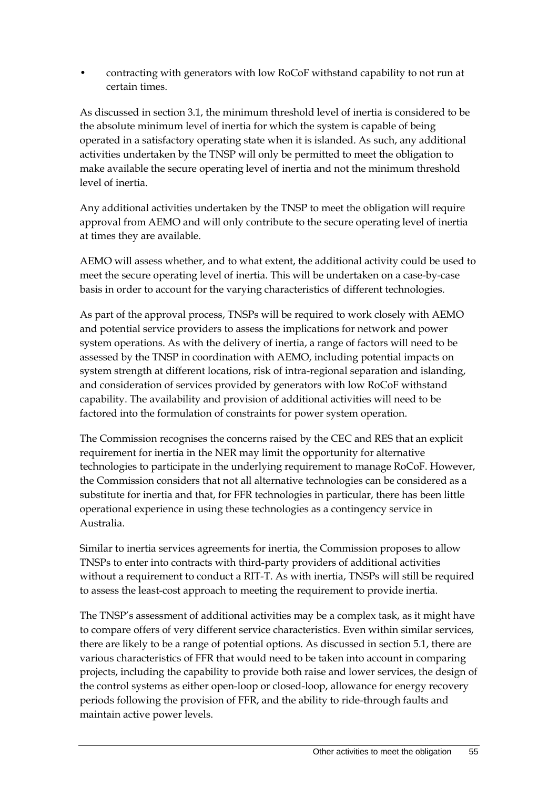• contracting with generators with low RoCoF withstand capability to not run at certain times.

As discussed in section 3.1, the minimum threshold level of inertia is considered to be the absolute minimum level of inertia for which the system is capable of being operated in a satisfactory operating state when it is islanded. As such, any additional activities undertaken by the TNSP will only be permitted to meet the obligation to make available the secure operating level of inertia and not the minimum threshold level of inertia.

Any additional activities undertaken by the TNSP to meet the obligation will require approval from AEMO and will only contribute to the secure operating level of inertia at times they are available.

AEMO will assess whether, and to what extent, the additional activity could be used to meet the secure operating level of inertia. This will be undertaken on a case-by-case basis in order to account for the varying characteristics of different technologies.

As part of the approval process, TNSPs will be required to work closely with AEMO and potential service providers to assess the implications for network and power system operations. As with the delivery of inertia, a range of factors will need to be assessed by the TNSP in coordination with AEMO, including potential impacts on system strength at different locations, risk of intra-regional separation and islanding, and consideration of services provided by generators with low RoCoF withstand capability. The availability and provision of additional activities will need to be factored into the formulation of constraints for power system operation.

The Commission recognises the concerns raised by the CEC and RES that an explicit requirement for inertia in the NER may limit the opportunity for alternative technologies to participate in the underlying requirement to manage RoCoF. However, the Commission considers that not all alternative technologies can be considered as a substitute for inertia and that, for FFR technologies in particular, there has been little operational experience in using these technologies as a contingency service in Australia.

Similar to inertia services agreements for inertia, the Commission proposes to allow TNSPs to enter into contracts with third-party providers of additional activities without a requirement to conduct a RIT-T. As with inertia, TNSPs will still be required to assess the least-cost approach to meeting the requirement to provide inertia.

The TNSP's assessment of additional activities may be a complex task, as it might have to compare offers of very different service characteristics. Even within similar services, there are likely to be a range of potential options. As discussed in section 5.1, there are various characteristics of FFR that would need to be taken into account in comparing projects, including the capability to provide both raise and lower services, the design of the control systems as either open-loop or closed-loop, allowance for energy recovery periods following the provision of FFR, and the ability to ride-through faults and maintain active power levels.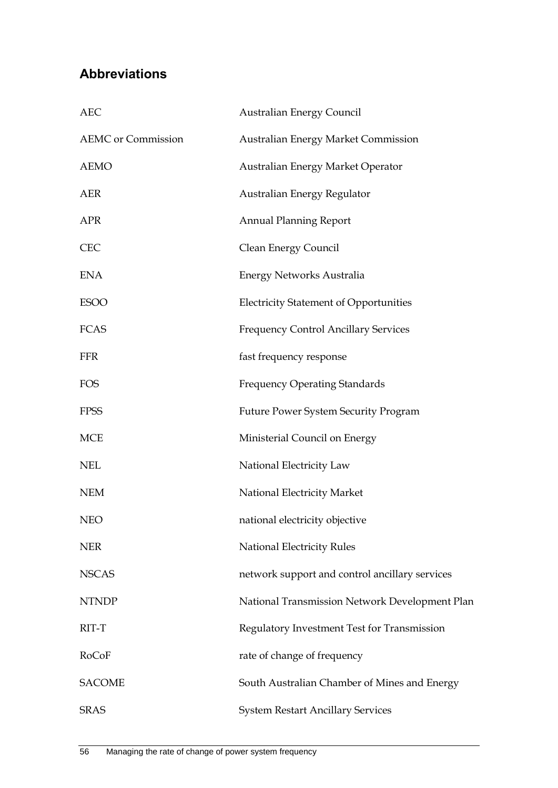# **Abbreviations**

| <b>AEC</b>                | <b>Australian Energy Council</b>               |
|---------------------------|------------------------------------------------|
| <b>AEMC</b> or Commission | <b>Australian Energy Market Commission</b>     |
| <b>AEMO</b>               | Australian Energy Market Operator              |
| <b>AER</b>                | Australian Energy Regulator                    |
| <b>APR</b>                | <b>Annual Planning Report</b>                  |
| <b>CEC</b>                | Clean Energy Council                           |
| <b>ENA</b>                | <b>Energy Networks Australia</b>               |
| <b>ESOO</b>               | <b>Electricity Statement of Opportunities</b>  |
| <b>FCAS</b>               | <b>Frequency Control Ancillary Services</b>    |
| <b>FFR</b>                | fast frequency response                        |
| <b>FOS</b>                | <b>Frequency Operating Standards</b>           |
| <b>FPSS</b>               | <b>Future Power System Security Program</b>    |
| <b>MCE</b>                | Ministerial Council on Energy                  |
| <b>NEL</b>                | National Electricity Law                       |
| <b>NEM</b>                | National Electricity Market                    |
| <b>NEO</b>                | national electricity objective                 |
| <b>NER</b>                | National Electricity Rules                     |
| <b>NSCAS</b>              | network support and control ancillary services |
| <b>NTNDP</b>              | National Transmission Network Development Plan |
| RIT-T                     | Regulatory Investment Test for Transmission    |
| RoCoF                     | rate of change of frequency                    |
| <b>SACOME</b>             | South Australian Chamber of Mines and Energy   |
| <b>SRAS</b>               | <b>System Restart Ancillary Services</b>       |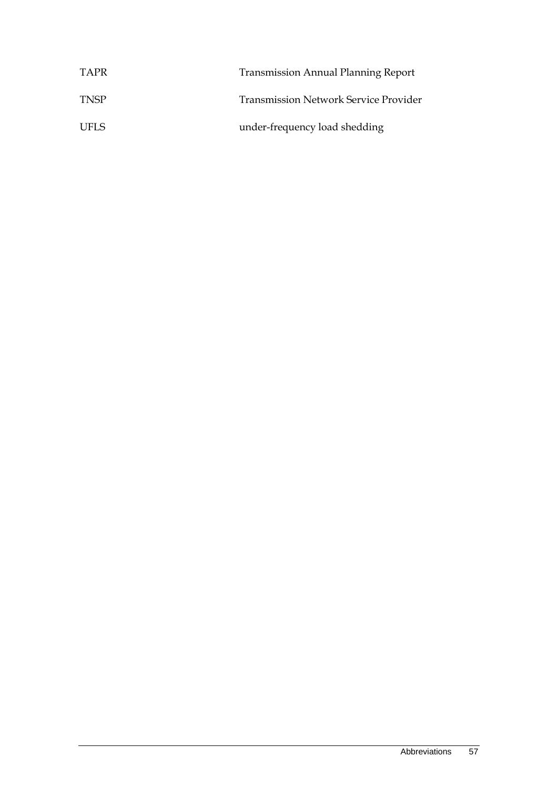| TAPR        | <b>Transmission Annual Planning Report</b>   |
|-------------|----------------------------------------------|
| <b>TNSP</b> | <b>Transmission Network Service Provider</b> |
| UFLS.       | under-frequency load shedding                |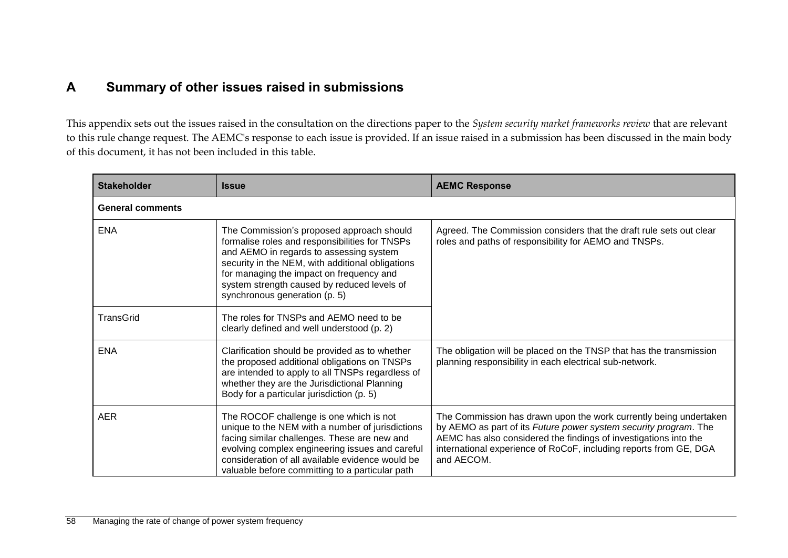## **A Summary of other issues raised in submissions**

This appendix sets out the issues raised in the consultation on the directions paper to the *System security market frameworks review* that are relevant to this rule change request. The AEMC's response to each issue is provided. If an issue raised in a submission has been discussed in the main body of this document, it has not been included in this table.

| <b>Stakeholder</b>      | <b>Issue</b>                                                                                                                                                                                                                                                                                                           | <b>AEMC Response</b>                                                                                                                                                                                                                                                                         |
|-------------------------|------------------------------------------------------------------------------------------------------------------------------------------------------------------------------------------------------------------------------------------------------------------------------------------------------------------------|----------------------------------------------------------------------------------------------------------------------------------------------------------------------------------------------------------------------------------------------------------------------------------------------|
| <b>General comments</b> |                                                                                                                                                                                                                                                                                                                        |                                                                                                                                                                                                                                                                                              |
| <b>ENA</b>              | The Commission's proposed approach should<br>formalise roles and responsibilities for TNSPs<br>and AEMO in regards to assessing system<br>security in the NEM, with additional obligations<br>for managing the impact on frequency and<br>system strength caused by reduced levels of<br>synchronous generation (p. 5) | Agreed. The Commission considers that the draft rule sets out clear<br>roles and paths of responsibility for AEMO and TNSPs.                                                                                                                                                                 |
| <b>TransGrid</b>        | The roles for TNSPs and AEMO need to be<br>clearly defined and well understood (p. 2)                                                                                                                                                                                                                                  |                                                                                                                                                                                                                                                                                              |
| <b>ENA</b>              | Clarification should be provided as to whether<br>the proposed additional obligations on TNSPs<br>are intended to apply to all TNSPs regardless of<br>whether they are the Jurisdictional Planning<br>Body for a particular jurisdiction (p. 5)                                                                        | The obligation will be placed on the TNSP that has the transmission<br>planning responsibility in each electrical sub-network.                                                                                                                                                               |
| <b>AER</b>              | The ROCOF challenge is one which is not<br>unique to the NEM with a number of jurisdictions<br>facing similar challenges. These are new and<br>evolving complex engineering issues and careful<br>consideration of all available evidence would be<br>valuable before committing to a particular path                  | The Commission has drawn upon the work currently being undertaken<br>by AEMO as part of its Future power system security program. The<br>AEMC has also considered the findings of investigations into the<br>international experience of RoCoF, including reports from GE, DGA<br>and AECOM. |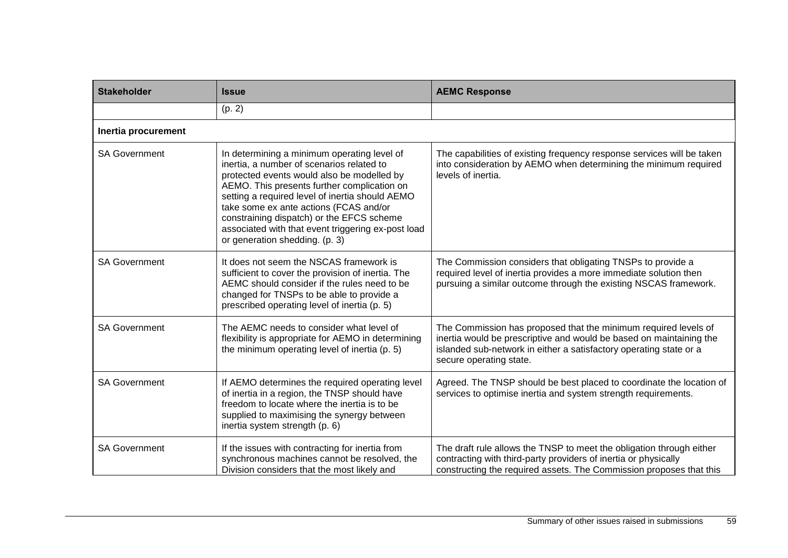| <b>Stakeholder</b>   | <b>Issue</b>                                                                                                                                                                                                                                                                                                                                                                                                            | <b>AEMC Response</b>                                                                                                                                                                                                                    |
|----------------------|-------------------------------------------------------------------------------------------------------------------------------------------------------------------------------------------------------------------------------------------------------------------------------------------------------------------------------------------------------------------------------------------------------------------------|-----------------------------------------------------------------------------------------------------------------------------------------------------------------------------------------------------------------------------------------|
|                      | (p. 2)                                                                                                                                                                                                                                                                                                                                                                                                                  |                                                                                                                                                                                                                                         |
| Inertia procurement  |                                                                                                                                                                                                                                                                                                                                                                                                                         |                                                                                                                                                                                                                                         |
| <b>SA Government</b> | In determining a minimum operating level of<br>inertia, a number of scenarios related to<br>protected events would also be modelled by<br>AEMO. This presents further complication on<br>setting a required level of inertia should AEMO<br>take some ex ante actions (FCAS and/or<br>constraining dispatch) or the EFCS scheme<br>associated with that event triggering ex-post load<br>or generation shedding. (p. 3) | The capabilities of existing frequency response services will be taken<br>into consideration by AEMO when determining the minimum required<br>levels of inertia.                                                                        |
| <b>SA Government</b> | It does not seem the NSCAS framework is<br>sufficient to cover the provision of inertia. The<br>AEMC should consider if the rules need to be<br>changed for TNSPs to be able to provide a<br>prescribed operating level of inertia (p. 5)                                                                                                                                                                               | The Commission considers that obligating TNSPs to provide a<br>required level of inertia provides a more immediate solution then<br>pursuing a similar outcome through the existing NSCAS framework.                                    |
| <b>SA Government</b> | The AEMC needs to consider what level of<br>flexibility is appropriate for AEMO in determining<br>the minimum operating level of inertia (p. 5)                                                                                                                                                                                                                                                                         | The Commission has proposed that the minimum required levels of<br>inertia would be prescriptive and would be based on maintaining the<br>islanded sub-network in either a satisfactory operating state or a<br>secure operating state. |
| <b>SA Government</b> | If AEMO determines the required operating level<br>of inertia in a region, the TNSP should have<br>freedom to locate where the inertia is to be<br>supplied to maximising the synergy between<br>inertia system strength (p. 6)                                                                                                                                                                                         | Agreed. The TNSP should be best placed to coordinate the location of<br>services to optimise inertia and system strength requirements.                                                                                                  |
| <b>SA Government</b> | If the issues with contracting for inertia from<br>synchronous machines cannot be resolved, the<br>Division considers that the most likely and                                                                                                                                                                                                                                                                          | The draft rule allows the TNSP to meet the obligation through either<br>contracting with third-party providers of inertia or physically<br>constructing the required assets. The Commission proposes that this                          |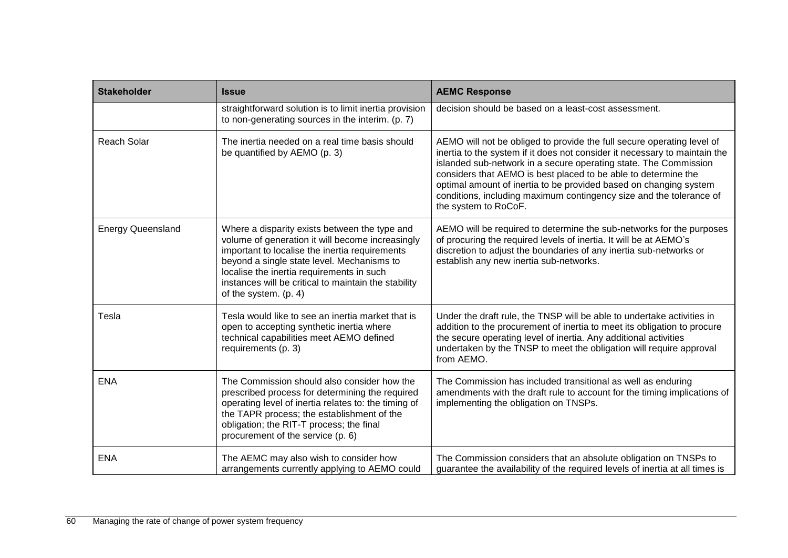| <b>Stakeholder</b>       | <b>Issue</b>                                                                                                                                                                                                                                                                                                                    | <b>AEMC Response</b>                                                                                                                                                                                                                                                                                                                                                                                                                                           |
|--------------------------|---------------------------------------------------------------------------------------------------------------------------------------------------------------------------------------------------------------------------------------------------------------------------------------------------------------------------------|----------------------------------------------------------------------------------------------------------------------------------------------------------------------------------------------------------------------------------------------------------------------------------------------------------------------------------------------------------------------------------------------------------------------------------------------------------------|
|                          | straightforward solution is to limit inertia provision<br>to non-generating sources in the interim. (p. 7)                                                                                                                                                                                                                      | decision should be based on a least-cost assessment.                                                                                                                                                                                                                                                                                                                                                                                                           |
| <b>Reach Solar</b>       | The inertia needed on a real time basis should<br>be quantified by AEMO (p. 3)                                                                                                                                                                                                                                                  | AEMO will not be obliged to provide the full secure operating level of<br>inertia to the system if it does not consider it necessary to maintain the<br>islanded sub-network in a secure operating state. The Commission<br>considers that AEMO is best placed to be able to determine the<br>optimal amount of inertia to be provided based on changing system<br>conditions, including maximum contingency size and the tolerance of<br>the system to RoCoF. |
| <b>Energy Queensland</b> | Where a disparity exists between the type and<br>volume of generation it will become increasingly<br>important to localise the inertia requirements<br>beyond a single state level. Mechanisms to<br>localise the inertia requirements in such<br>instances will be critical to maintain the stability<br>of the system. (p. 4) | AEMO will be required to determine the sub-networks for the purposes<br>of procuring the required levels of inertia. It will be at AEMO's<br>discretion to adjust the boundaries of any inertia sub-networks or<br>establish any new inertia sub-networks.                                                                                                                                                                                                     |
| Tesla                    | Tesla would like to see an inertia market that is<br>open to accepting synthetic inertia where<br>technical capabilities meet AEMO defined<br>requirements (p. 3)                                                                                                                                                               | Under the draft rule, the TNSP will be able to undertake activities in<br>addition to the procurement of inertia to meet its obligation to procure<br>the secure operating level of inertia. Any additional activities<br>undertaken by the TNSP to meet the obligation will require approval<br>from AEMO.                                                                                                                                                    |
| <b>ENA</b>               | The Commission should also consider how the<br>prescribed process for determining the required<br>operating level of inertia relates to: the timing of<br>the TAPR process; the establishment of the<br>obligation; the RIT-T process; the final<br>procurement of the service (p. 6)                                           | The Commission has included transitional as well as enduring<br>amendments with the draft rule to account for the timing implications of<br>implementing the obligation on TNSPs.                                                                                                                                                                                                                                                                              |
| <b>ENA</b>               | The AEMC may also wish to consider how<br>arrangements currently applying to AEMO could                                                                                                                                                                                                                                         | The Commission considers that an absolute obligation on TNSPs to<br>guarantee the availability of the required levels of inertia at all times is                                                                                                                                                                                                                                                                                                               |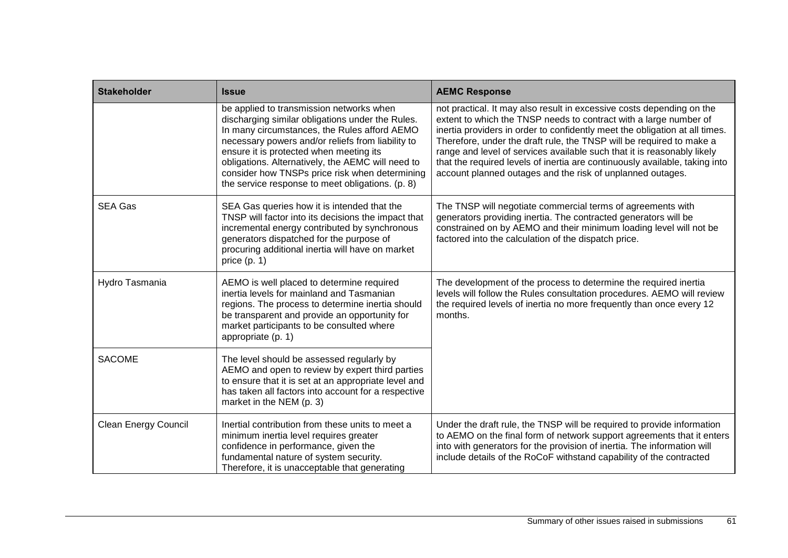| <b>Stakeholder</b>          | <b>Issue</b>                                                                                                                                                                                                                                                                                                                                                                                            | <b>AEMC Response</b>                                                                                                                                                                                                                                                                                                                                                                                                                                                                                                      |
|-----------------------------|---------------------------------------------------------------------------------------------------------------------------------------------------------------------------------------------------------------------------------------------------------------------------------------------------------------------------------------------------------------------------------------------------------|---------------------------------------------------------------------------------------------------------------------------------------------------------------------------------------------------------------------------------------------------------------------------------------------------------------------------------------------------------------------------------------------------------------------------------------------------------------------------------------------------------------------------|
|                             | be applied to transmission networks when<br>discharging similar obligations under the Rules.<br>In many circumstances, the Rules afford AEMO<br>necessary powers and/or reliefs from liability to<br>ensure it is protected when meeting its<br>obligations. Alternatively, the AEMC will need to<br>consider how TNSPs price risk when determining<br>the service response to meet obligations. (p. 8) | not practical. It may also result in excessive costs depending on the<br>extent to which the TNSP needs to contract with a large number of<br>inertia providers in order to confidently meet the obligation at all times.<br>Therefore, under the draft rule, the TNSP will be required to make a<br>range and level of services available such that it is reasonably likely<br>that the required levels of inertia are continuously available, taking into<br>account planned outages and the risk of unplanned outages. |
| <b>SEA Gas</b>              | SEA Gas queries how it is intended that the<br>TNSP will factor into its decisions the impact that<br>incremental energy contributed by synchronous<br>generators dispatched for the purpose of<br>procuring additional inertia will have on market<br>price $(p. 1)$                                                                                                                                   | The TNSP will negotiate commercial terms of agreements with<br>generators providing inertia. The contracted generators will be<br>constrained on by AEMO and their minimum loading level will not be<br>factored into the calculation of the dispatch price.                                                                                                                                                                                                                                                              |
| Hydro Tasmania              | AEMO is well placed to determine required<br>inertia levels for mainland and Tasmanian<br>regions. The process to determine inertia should<br>be transparent and provide an opportunity for<br>market participants to be consulted where<br>appropriate (p. 1)                                                                                                                                          | The development of the process to determine the required inertia<br>levels will follow the Rules consultation procedures. AEMO will review<br>the required levels of inertia no more frequently than once every 12<br>months.                                                                                                                                                                                                                                                                                             |
| <b>SACOME</b>               | The level should be assessed regularly by<br>AEMO and open to review by expert third parties<br>to ensure that it is set at an appropriate level and<br>has taken all factors into account for a respective<br>market in the NEM (p. 3)                                                                                                                                                                 |                                                                                                                                                                                                                                                                                                                                                                                                                                                                                                                           |
| <b>Clean Energy Council</b> | Inertial contribution from these units to meet a<br>minimum inertia level requires greater<br>confidence in performance, given the<br>fundamental nature of system security.<br>Therefore, it is unacceptable that generating                                                                                                                                                                           | Under the draft rule, the TNSP will be required to provide information<br>to AEMO on the final form of network support agreements that it enters<br>into with generators for the provision of inertia. The information will<br>include details of the RoCoF withstand capability of the contracted                                                                                                                                                                                                                        |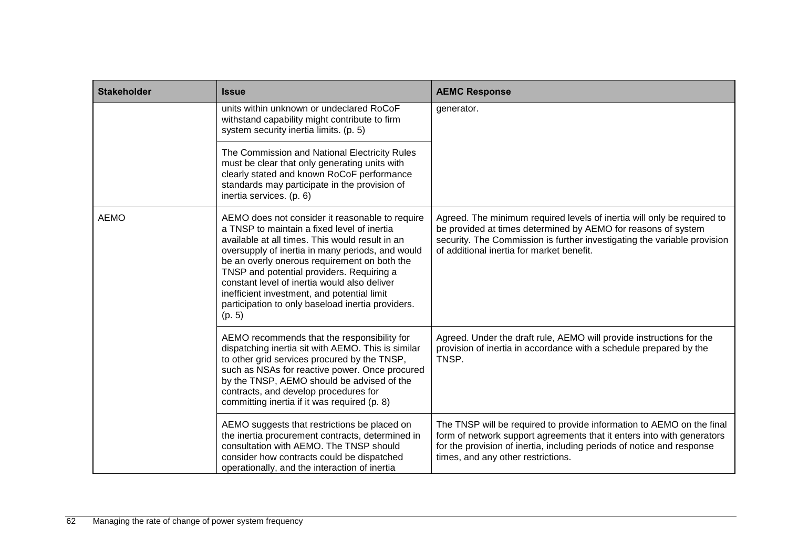| <b>Stakeholder</b> | <b>Issue</b>                                                                                                                                                                                                                                                                                                                                                                                                                                                     | <b>AEMC Response</b>                                                                                                                                                                                                                                              |
|--------------------|------------------------------------------------------------------------------------------------------------------------------------------------------------------------------------------------------------------------------------------------------------------------------------------------------------------------------------------------------------------------------------------------------------------------------------------------------------------|-------------------------------------------------------------------------------------------------------------------------------------------------------------------------------------------------------------------------------------------------------------------|
|                    | units within unknown or undeclared RoCoF<br>withstand capability might contribute to firm<br>system security inertia limits. (p. 5)                                                                                                                                                                                                                                                                                                                              | generator.                                                                                                                                                                                                                                                        |
|                    | The Commission and National Electricity Rules<br>must be clear that only generating units with<br>clearly stated and known RoCoF performance<br>standards may participate in the provision of<br>inertia services. (p. 6)                                                                                                                                                                                                                                        |                                                                                                                                                                                                                                                                   |
| <b>AEMO</b>        | AEMO does not consider it reasonable to require<br>a TNSP to maintain a fixed level of inertia<br>available at all times. This would result in an<br>oversupply of inertia in many periods, and would<br>be an overly onerous requirement on both the<br>TNSP and potential providers. Requiring a<br>constant level of inertia would also deliver<br>inefficient investment, and potential limit<br>participation to only baseload inertia providers.<br>(p. 5) | Agreed. The minimum required levels of inertia will only be required to<br>be provided at times determined by AEMO for reasons of system<br>security. The Commission is further investigating the variable provision<br>of additional inertia for market benefit. |
|                    | AEMO recommends that the responsibility for<br>dispatching inertia sit with AEMO. This is similar<br>to other grid services procured by the TNSP,<br>such as NSAs for reactive power. Once procured<br>by the TNSP, AEMO should be advised of the<br>contracts, and develop procedures for<br>committing inertia if it was required (p. 8)                                                                                                                       | Agreed. Under the draft rule, AEMO will provide instructions for the<br>provision of inertia in accordance with a schedule prepared by the<br>TNSP.                                                                                                               |
|                    | AEMO suggests that restrictions be placed on<br>the inertia procurement contracts, determined in<br>consultation with AEMO. The TNSP should<br>consider how contracts could be dispatched<br>operationally, and the interaction of inertia                                                                                                                                                                                                                       | The TNSP will be required to provide information to AEMO on the final<br>form of network support agreements that it enters into with generators<br>for the provision of inertia, including periods of notice and response<br>times, and any other restrictions.   |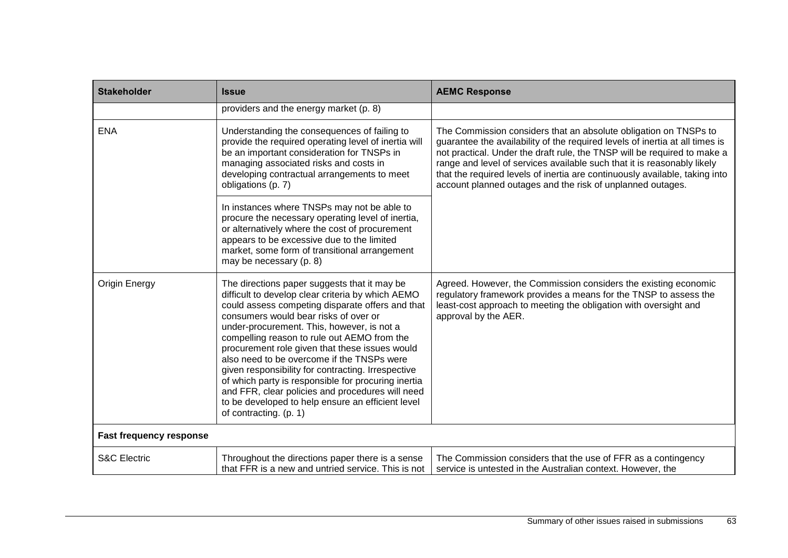| <b>Stakeholder</b>             | <b>Issue</b>                                                                                                                                                                                                                                                                                                                                                                                                                                                                                                                                                                                                                                | <b>AEMC Response</b>                                                                                                                                                                                                                                                                                                                                                                                                                                 |
|--------------------------------|---------------------------------------------------------------------------------------------------------------------------------------------------------------------------------------------------------------------------------------------------------------------------------------------------------------------------------------------------------------------------------------------------------------------------------------------------------------------------------------------------------------------------------------------------------------------------------------------------------------------------------------------|------------------------------------------------------------------------------------------------------------------------------------------------------------------------------------------------------------------------------------------------------------------------------------------------------------------------------------------------------------------------------------------------------------------------------------------------------|
|                                | providers and the energy market (p. 8)                                                                                                                                                                                                                                                                                                                                                                                                                                                                                                                                                                                                      |                                                                                                                                                                                                                                                                                                                                                                                                                                                      |
| <b>ENA</b>                     | Understanding the consequences of failing to<br>provide the required operating level of inertia will<br>be an important consideration for TNSPs in<br>managing associated risks and costs in<br>developing contractual arrangements to meet<br>obligations (p. 7)                                                                                                                                                                                                                                                                                                                                                                           | The Commission considers that an absolute obligation on TNSPs to<br>guarantee the availability of the required levels of inertia at all times is<br>not practical. Under the draft rule, the TNSP will be required to make a<br>range and level of services available such that it is reasonably likely<br>that the required levels of inertia are continuously available, taking into<br>account planned outages and the risk of unplanned outages. |
|                                | In instances where TNSPs may not be able to<br>procure the necessary operating level of inertia,<br>or alternatively where the cost of procurement<br>appears to be excessive due to the limited<br>market, some form of transitional arrangement<br>may be necessary (p. 8)                                                                                                                                                                                                                                                                                                                                                                |                                                                                                                                                                                                                                                                                                                                                                                                                                                      |
| <b>Origin Energy</b>           | The directions paper suggests that it may be<br>difficult to develop clear criteria by which AEMO<br>could assess competing disparate offers and that<br>consumers would bear risks of over or<br>under-procurement. This, however, is not a<br>compelling reason to rule out AEMO from the<br>procurement role given that these issues would<br>also need to be overcome if the TNSPs were<br>given responsibility for contracting. Irrespective<br>of which party is responsible for procuring inertia<br>and FFR, clear policies and procedures will need<br>to be developed to help ensure an efficient level<br>of contracting. (p. 1) | Agreed. However, the Commission considers the existing economic<br>regulatory framework provides a means for the TNSP to assess the<br>least-cost approach to meeting the obligation with oversight and<br>approval by the AER.                                                                                                                                                                                                                      |
| <b>Fast frequency response</b> |                                                                                                                                                                                                                                                                                                                                                                                                                                                                                                                                                                                                                                             |                                                                                                                                                                                                                                                                                                                                                                                                                                                      |
| <b>S&amp;C Electric</b>        | Throughout the directions paper there is a sense<br>that FFR is a new and untried service. This is not                                                                                                                                                                                                                                                                                                                                                                                                                                                                                                                                      | The Commission considers that the use of FFR as a contingency<br>service is untested in the Australian context. However, the                                                                                                                                                                                                                                                                                                                         |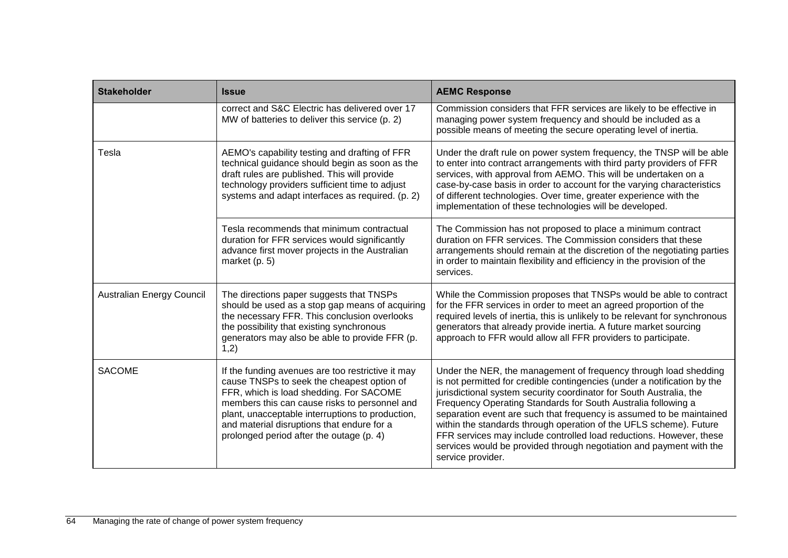| <b>Stakeholder</b>        | <b>Issue</b>                                                                                                                                                                                                                                                                                                                              | <b>AEMC Response</b>                                                                                                                                                                                                                                                                                                                                                                                                                                                                                                                                                                                  |
|---------------------------|-------------------------------------------------------------------------------------------------------------------------------------------------------------------------------------------------------------------------------------------------------------------------------------------------------------------------------------------|-------------------------------------------------------------------------------------------------------------------------------------------------------------------------------------------------------------------------------------------------------------------------------------------------------------------------------------------------------------------------------------------------------------------------------------------------------------------------------------------------------------------------------------------------------------------------------------------------------|
|                           | correct and S&C Electric has delivered over 17<br>MW of batteries to deliver this service (p. 2)                                                                                                                                                                                                                                          | Commission considers that FFR services are likely to be effective in<br>managing power system frequency and should be included as a<br>possible means of meeting the secure operating level of inertia.                                                                                                                                                                                                                                                                                                                                                                                               |
| Tesla                     | AEMO's capability testing and drafting of FFR<br>technical guidance should begin as soon as the<br>draft rules are published. This will provide<br>technology providers sufficient time to adjust<br>systems and adapt interfaces as required. (p. 2)                                                                                     | Under the draft rule on power system frequency, the TNSP will be able<br>to enter into contract arrangements with third party providers of FFR<br>services, with approval from AEMO. This will be undertaken on a<br>case-by-case basis in order to account for the varying characteristics<br>of different technologies. Over time, greater experience with the<br>implementation of these technologies will be developed.                                                                                                                                                                           |
|                           | Tesla recommends that minimum contractual<br>duration for FFR services would significantly<br>advance first mover projects in the Australian<br>market $(p. 5)$                                                                                                                                                                           | The Commission has not proposed to place a minimum contract<br>duration on FFR services. The Commission considers that these<br>arrangements should remain at the discretion of the negotiating parties<br>in order to maintain flexibility and efficiency in the provision of the<br>services.                                                                                                                                                                                                                                                                                                       |
| Australian Energy Council | The directions paper suggests that TNSPs<br>should be used as a stop gap means of acquiring<br>the necessary FFR. This conclusion overlooks<br>the possibility that existing synchronous<br>generators may also be able to provide FFR (p.<br>1,2)                                                                                        | While the Commission proposes that TNSPs would be able to contract<br>for the FFR services in order to meet an agreed proportion of the<br>required levels of inertia, this is unlikely to be relevant for synchronous<br>generators that already provide inertia. A future market sourcing<br>approach to FFR would allow all FFR providers to participate.                                                                                                                                                                                                                                          |
| <b>SACOME</b>             | If the funding avenues are too restrictive it may<br>cause TNSPs to seek the cheapest option of<br>FFR, which is load shedding. For SACOME<br>members this can cause risks to personnel and<br>plant, unacceptable interruptions to production,<br>and material disruptions that endure for a<br>prolonged period after the outage (p. 4) | Under the NER, the management of frequency through load shedding<br>is not permitted for credible contingencies (under a notification by the<br>jurisdictional system security coordinator for South Australia, the<br>Frequency Operating Standards for South Australia following a<br>separation event are such that frequency is assumed to be maintained<br>within the standards through operation of the UFLS scheme). Future<br>FFR services may include controlled load reductions. However, these<br>services would be provided through negotiation and payment with the<br>service provider. |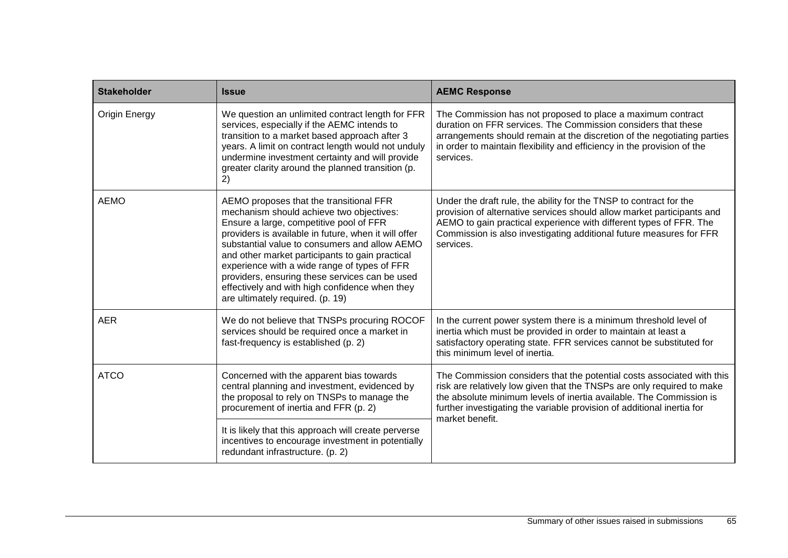| <b>Stakeholder</b>   | <b>Issue</b>                                                                                                                                                                                                                                                                                                                                                                                                                                                                       | <b>AEMC Response</b>                                                                                                                                                                                                                                                                                                 |
|----------------------|------------------------------------------------------------------------------------------------------------------------------------------------------------------------------------------------------------------------------------------------------------------------------------------------------------------------------------------------------------------------------------------------------------------------------------------------------------------------------------|----------------------------------------------------------------------------------------------------------------------------------------------------------------------------------------------------------------------------------------------------------------------------------------------------------------------|
| <b>Origin Energy</b> | We question an unlimited contract length for FFR<br>services, especially if the AEMC intends to<br>transition to a market based approach after 3<br>years. A limit on contract length would not unduly<br>undermine investment certainty and will provide<br>greater clarity around the planned transition (p.<br>2)                                                                                                                                                               | The Commission has not proposed to place a maximum contract<br>duration on FFR services. The Commission considers that these<br>arrangements should remain at the discretion of the negotiating parties<br>in order to maintain flexibility and efficiency in the provision of the<br>services.                      |
| <b>AEMO</b>          | AEMO proposes that the transitional FFR<br>mechanism should achieve two objectives:<br>Ensure a large, competitive pool of FFR<br>providers is available in future, when it will offer<br>substantial value to consumers and allow AEMO<br>and other market participants to gain practical<br>experience with a wide range of types of FFR<br>providers, ensuring these services can be used<br>effectively and with high confidence when they<br>are ultimately required. (p. 19) | Under the draft rule, the ability for the TNSP to contract for the<br>provision of alternative services should allow market participants and<br>AEMO to gain practical experience with different types of FFR. The<br>Commission is also investigating additional future measures for FFR<br>services.               |
| <b>AER</b>           | We do not believe that TNSPs procuring ROCOF<br>services should be required once a market in<br>fast-frequency is established (p. 2)                                                                                                                                                                                                                                                                                                                                               | In the current power system there is a minimum threshold level of<br>inertia which must be provided in order to maintain at least a<br>satisfactory operating state. FFR services cannot be substituted for<br>this minimum level of inertia.                                                                        |
| <b>ATCO</b>          | Concerned with the apparent bias towards<br>central planning and investment, evidenced by<br>the proposal to rely on TNSPs to manage the<br>procurement of inertia and FFR (p. 2)                                                                                                                                                                                                                                                                                                  | The Commission considers that the potential costs associated with this<br>risk are relatively low given that the TNSPs are only required to make<br>the absolute minimum levels of inertia available. The Commission is<br>further investigating the variable provision of additional inertia for<br>market benefit. |
|                      | It is likely that this approach will create perverse<br>incentives to encourage investment in potentially<br>redundant infrastructure. (p. 2)                                                                                                                                                                                                                                                                                                                                      |                                                                                                                                                                                                                                                                                                                      |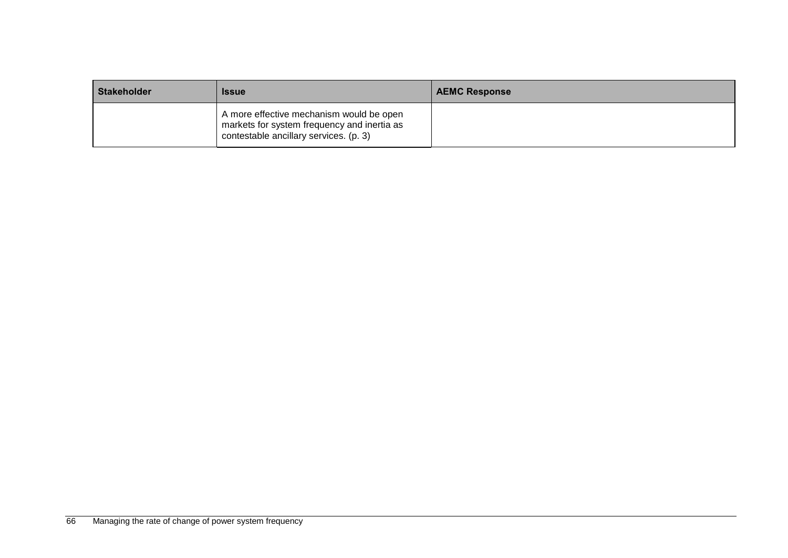| <b>Stakeholder</b> | <b>Issue</b>                                                                                                                      | <b>AEMC Response</b> |
|--------------------|-----------------------------------------------------------------------------------------------------------------------------------|----------------------|
|                    | A more effective mechanism would be open<br>markets for system frequency and inertia as<br>contestable ancillary services. (p. 3) |                      |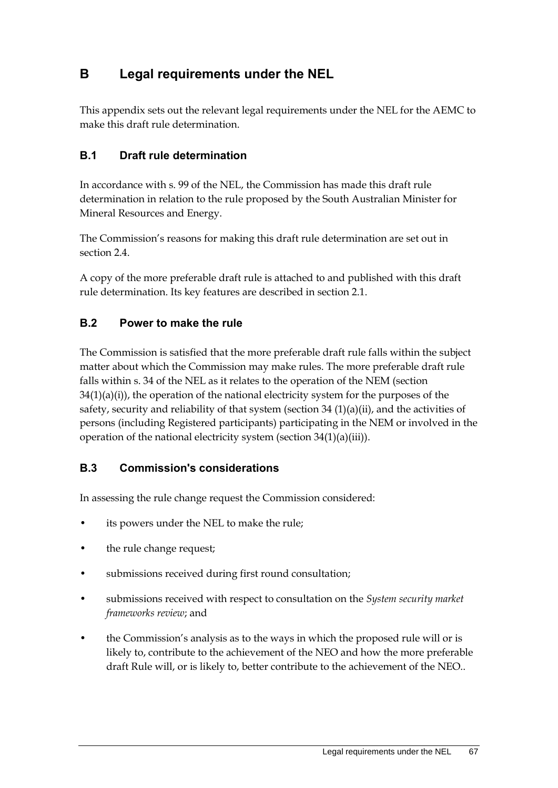# **B Legal requirements under the NEL**

This appendix sets out the relevant legal requirements under the NEL for the AEMC to make this draft rule determination.

### **B.1 Draft rule determination**

In accordance with s. 99 of the NEL, the Commission has made this draft rule determination in relation to the rule proposed by the South Australian Minister for Mineral Resources and Energy.

The Commission's reasons for making this draft rule determination are set out in section 2.4.

A copy of the more preferable draft rule is attached to and published with this draft rule determination. Its key features are described in section 2.1.

### **B.2 Power to make the rule**

The Commission is satisfied that the more preferable draft rule falls within the subject matter about which the Commission may make rules. The more preferable draft rule falls within s. 34 of the NEL as it relates to the operation of the NEM (section  $34(1)(a)(i)$ , the operation of the national electricity system for the purposes of the safety, security and reliability of that system (section  $34 \frac{(1)(a)(ii)}{i}$ , and the activities of persons (including Registered participants) participating in the NEM or involved in the operation of the national electricity system (section 34(1)(a)(iii)).

### **B.3 Commission's considerations**

In assessing the rule change request the Commission considered:

- its powers under the NEL to make the rule;
- the rule change request;
- submissions received during first round consultation;
- submissions received with respect to consultation on the *System security market frameworks review*; and
- the Commission's analysis as to the ways in which the proposed rule will or is likely to, contribute to the achievement of the NEO and how the more preferable draft Rule will, or is likely to, better contribute to the achievement of the NEO..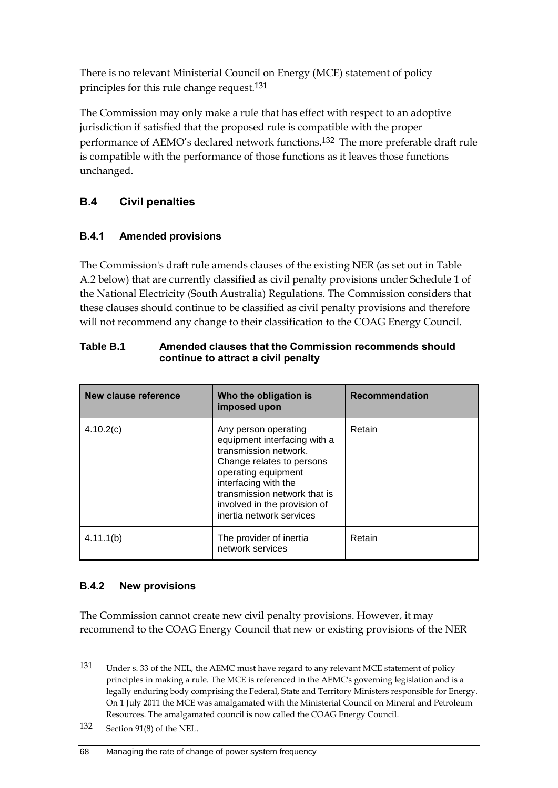There is no relevant Ministerial Council on Energy (MCE) statement of policy principles for this rule change request.131

The Commission may only make a rule that has effect with respect to an adoptive jurisdiction if satisfied that the proposed rule is compatible with the proper performance of AEMO's declared network functions.132 The more preferable draft rule is compatible with the performance of those functions as it leaves those functions unchanged.

## **B.4 Civil penalties**

### **B.4.1 Amended provisions**

The Commission's draft rule amends clauses of the existing NER (as set out in Table A.2 below) that are currently classified as civil penalty provisions under Schedule 1 of the National Electricity (South Australia) Regulations. The Commission considers that these clauses should continue to be classified as civil penalty provisions and therefore will not recommend any change to their classification to the COAG Energy Council.

| New clause reference | Who the obligation is<br>imposed upon                                                                                                                                                                                                                 | <b>Recommendation</b> |
|----------------------|-------------------------------------------------------------------------------------------------------------------------------------------------------------------------------------------------------------------------------------------------------|-----------------------|
| 4.10.2(c)            | Any person operating<br>equipment interfacing with a<br>transmission network.<br>Change relates to persons<br>operating equipment<br>interfacing with the<br>transmission network that is<br>involved in the provision of<br>inertia network services | Retain                |
| 4.11.1(b)            | The provider of inertia<br>network services                                                                                                                                                                                                           | Retain                |

#### **Table B.1 Amended clauses that the Commission recommends should continue to attract a civil penalty**

### **B.4.2 New provisions**

The Commission cannot create new civil penalty provisions. However, it may recommend to the COAG Energy Council that new or existing provisions of the NER

<u>.</u>

<sup>131</sup> Under s. 33 of the NEL, the AEMC must have regard to any relevant MCE statement of policy principles in making a rule. The MCE is referenced in the AEMC's governing legislation and is a legally enduring body comprising the Federal, State and Territory Ministers responsible for Energy. On 1 July 2011 the MCE was amalgamated with the Ministerial Council on Mineral and Petroleum Resources. The amalgamated council is now called the COAG Energy Council.

<sup>132</sup> Section 91(8) of the NEL.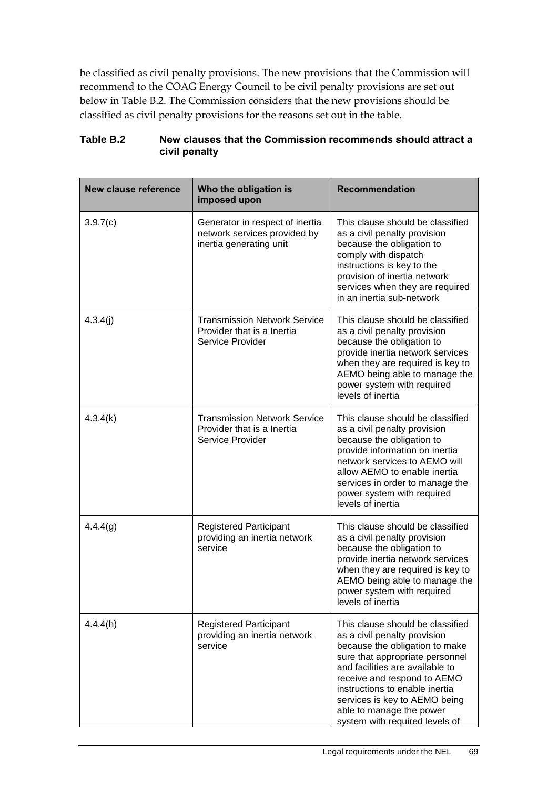be classified as civil penalty provisions. The new provisions that the Commission will recommend to the COAG Energy Council to be civil penalty provisions are set out below in Table B.2. The Commission considers that the new provisions should be classified as civil penalty provisions for the reasons set out in the table.

| <b>New clause reference</b> | Who the obligation is<br>imposed upon                                                      | <b>Recommendation</b>                                                                                                                                                                                                                                                                                                                    |
|-----------------------------|--------------------------------------------------------------------------------------------|------------------------------------------------------------------------------------------------------------------------------------------------------------------------------------------------------------------------------------------------------------------------------------------------------------------------------------------|
| 3.9.7(c)                    | Generator in respect of inertia<br>network services provided by<br>inertia generating unit | This clause should be classified<br>as a civil penalty provision<br>because the obligation to<br>comply with dispatch<br>instructions is key to the<br>provision of inertia network<br>services when they are required<br>in an inertia sub-network                                                                                      |
| 4.3.4(j)                    | <b>Transmission Network Service</b><br>Provider that is a Inertia<br>Service Provider      | This clause should be classified<br>as a civil penalty provision<br>because the obligation to<br>provide inertia network services<br>when they are required is key to<br>AEMO being able to manage the<br>power system with required<br>levels of inertia                                                                                |
| 4.3.4(k)                    | <b>Transmission Network Service</b><br>Provider that is a Inertia<br>Service Provider      | This clause should be classified<br>as a civil penalty provision<br>because the obligation to<br>provide information on inertia<br>network services to AEMO will<br>allow AEMO to enable inertia<br>services in order to manage the<br>power system with required<br>levels of inertia                                                   |
| 4.4.4(g)                    | <b>Registered Participant</b><br>providing an inertia network<br>service                   | This clause should be classified<br>as a civil penalty provision<br>because the obligation to<br>provide inertia network services<br>when they are required is key to<br>AEMO being able to manage the<br>power system with required<br>levels of inertia                                                                                |
| 4.4.4(h)                    | <b>Registered Participant</b><br>providing an inertia network<br>service                   | This clause should be classified<br>as a civil penalty provision<br>because the obligation to make<br>sure that appropriate personnel<br>and facilities are available to<br>receive and respond to AEMO<br>instructions to enable inertia<br>services is key to AEMO being<br>able to manage the power<br>system with required levels of |

#### **Table B.2 New clauses that the Commission recommends should attract a civil penalty**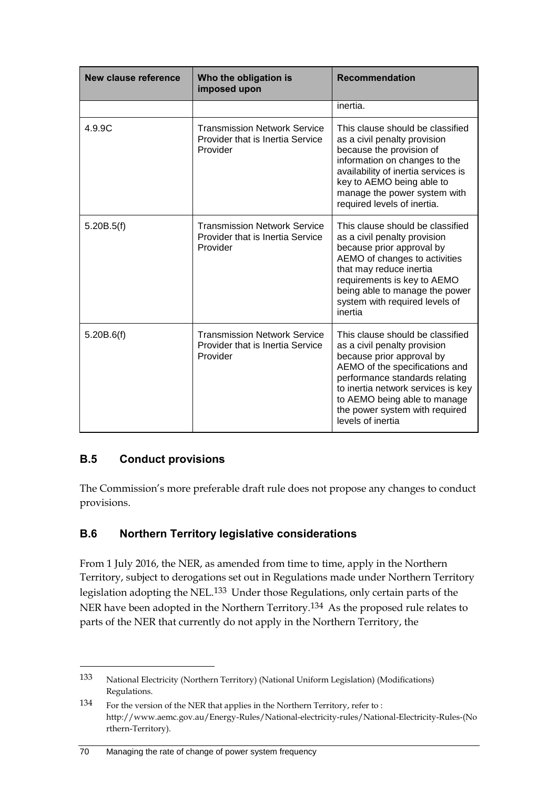| New clause reference | Who the obligation is<br>imposed upon                                               | <b>Recommendation</b>                                                                                                                                                                                                                                                                          |
|----------------------|-------------------------------------------------------------------------------------|------------------------------------------------------------------------------------------------------------------------------------------------------------------------------------------------------------------------------------------------------------------------------------------------|
|                      |                                                                                     | inertia.                                                                                                                                                                                                                                                                                       |
| 4.9.9C               | <b>Transmission Network Service</b><br>Provider that is Inertia Service<br>Provider | This clause should be classified<br>as a civil penalty provision<br>because the provision of<br>information on changes to the<br>availability of inertia services is<br>key to AEMO being able to<br>manage the power system with<br>required levels of inertia.                               |
| 5.20B.5(f)           | <b>Transmission Network Service</b><br>Provider that is Inertia Service<br>Provider | This clause should be classified<br>as a civil penalty provision<br>because prior approval by<br>AEMO of changes to activities<br>that may reduce inertia<br>requirements is key to AEMO<br>being able to manage the power<br>system with required levels of<br>inertia                        |
| 5.20B.6(f)           | <b>Transmission Network Service</b><br>Provider that is Inertia Service<br>Provider | This clause should be classified<br>as a civil penalty provision<br>because prior approval by<br>AEMO of the specifications and<br>performance standards relating<br>to inertia network services is key<br>to AEMO being able to manage<br>the power system with required<br>levels of inertia |

## **B.5 Conduct provisions**

<u>.</u>

The Commission's more preferable draft rule does not propose any changes to conduct provisions.

## **B.6 Northern Territory legislative considerations**

From 1 July 2016, the NER, as amended from time to time, apply in the Northern Territory, subject to derogations set out in Regulations made under Northern Territory legislation adopting the NEL.133 Under those Regulations, only certain parts of the NER have been adopted in the Northern Territory.134 As the proposed rule relates to parts of the NER that currently do not apply in the Northern Territory, the

#### 70 Managing the rate of change of power system frequency

<sup>133</sup> National Electricity (Northern Territory) (National Uniform Legislation) (Modifications) Regulations.

<sup>134</sup> For the version of the NER that applies in the Northern Territory, refer to : http://www.aemc.gov.au/Energy-Rules/National-electricity-rules/National-Electricity-Rules-(No rthern-Territory).